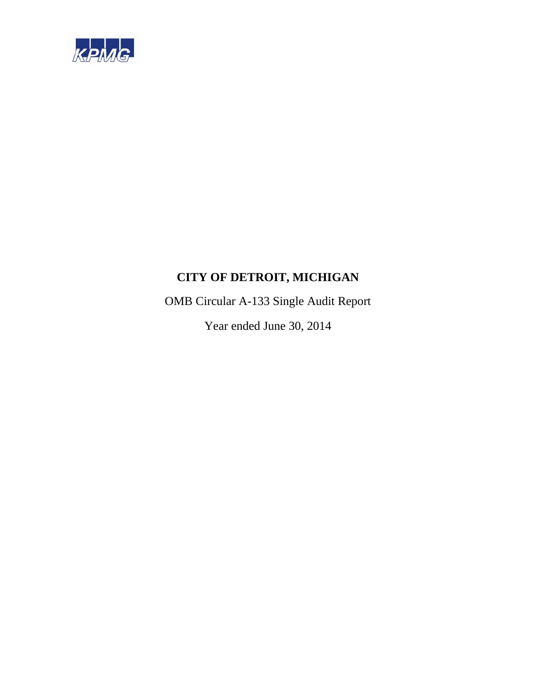

OMB Circular A-133 Single Audit Report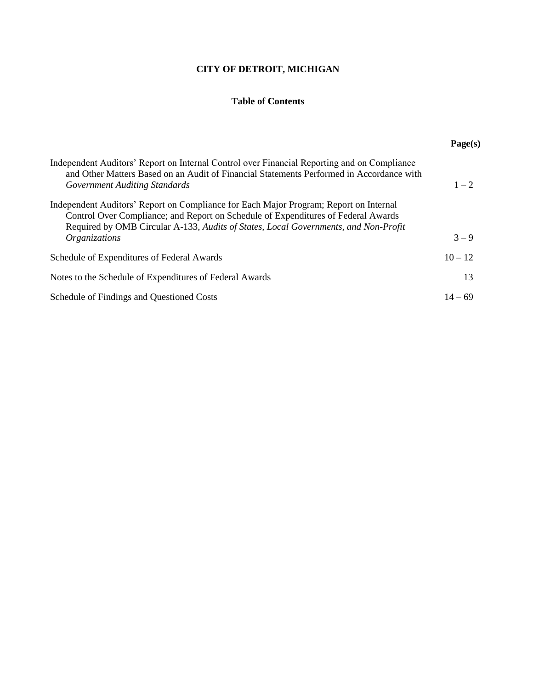# **Table of Contents**

|                                                                                                                                                                                                                                                                                                  | Page(s)   |
|--------------------------------------------------------------------------------------------------------------------------------------------------------------------------------------------------------------------------------------------------------------------------------------------------|-----------|
| Independent Auditors' Report on Internal Control over Financial Reporting and on Compliance<br>and Other Matters Based on an Audit of Financial Statements Performed in Accordance with<br><b>Government Auditing Standards</b>                                                                  | $1 - 2$   |
| Independent Auditors' Report on Compliance for Each Major Program; Report on Internal<br>Control Over Compliance; and Report on Schedule of Expenditures of Federal Awards<br>Required by OMB Circular A-133, Audits of States, Local Governments, and Non-Profit<br><i><b>Organizations</b></i> | $3 - 9$   |
| Schedule of Expenditures of Federal Awards                                                                                                                                                                                                                                                       | $10 - 12$ |
| Notes to the Schedule of Expenditures of Federal Awards                                                                                                                                                                                                                                          | 13        |
| Schedule of Findings and Questioned Costs                                                                                                                                                                                                                                                        | $14 - 69$ |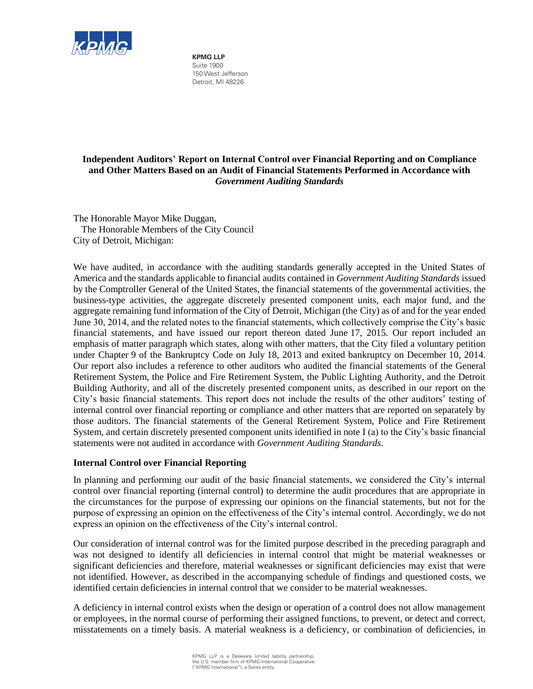

**KPMG LLP** Suite 1900 150 West Jefferson Detroit, MI 48226

# **Independent Auditors' Report on Internal Control over Financial Reporting and on Compliance and Other Matters Based on an Audit of Financial Statements Performed in Accordance with**  *Government Auditing Standards*

The Honorable Mayor Mike Duggan, The Honorable Members of the City Council City of Detroit, Michigan:

We have audited, in accordance with the auditing standards generally accepted in the United States of America and the standards applicable to financial audits contained in *Government Auditing Standards* issued by the Comptroller General of the United States, the financial statements of the governmental activities, the business-type activities, the aggregate discretely presented component units, each major fund, and the aggregate remaining fund information of the City of Detroit, Michigan (the City) as of and for the year ended June 30, 2014, and the related notes to the financial statements, which collectively comprise the City's basic financial statements, and have issued our report thereon dated June 17, 2015. Our report included an emphasis of matter paragraph which states, along with other matters, that the City filed a voluntary petition under Chapter 9 of the Bankruptcy Code on July 18, 2013 and exited bankruptcy on December 10, 2014. Our report also includes a reference to other auditors who audited the financial statements of the General Retirement System, the Police and Fire Retirement System, the Public Lighting Authority, and the Detroit Building Authority, and all of the discretely presented component units, as described in our report on the City's basic financial statements. This report does not include the results of the other auditors' testing of internal control over financial reporting or compliance and other matters that are reported on separately by those auditors. The financial statements of the General Retirement System, Police and Fire Retirement System, and certain discretely presented component units identified in note I (a) to the City's basic financial statements were not audited in accordance with *Government Auditing Standards*.

# **Internal Control over Financial Reporting**

In planning and performing our audit of the basic financial statements, we considered the City's internal control over financial reporting (internal control) to determine the audit procedures that are appropriate in the circumstances for the purpose of expressing our opinions on the financial statements, but not for the purpose of expressing an opinion on the effectiveness of the City's internal control. Accordingly, we do not express an opinion on the effectiveness of the City's internal control.

Our consideration of internal control was for the limited purpose described in the preceding paragraph and was not designed to identify all deficiencies in internal control that might be material weaknesses or significant deficiencies and therefore, material weaknesses or significant deficiencies may exist that were not identified. However, as described in the accompanying schedule of findings and questioned costs, we identified certain deficiencies in internal control that we consider to be material weaknesses.

A deficiency in internal control exists when the design or operation of a control does not allow management or employees, in the normal course of performing their assigned functions, to prevent, or detect and correct, misstatements on a timely basis. A material weakness is a deficiency, or combination of deficiencies, in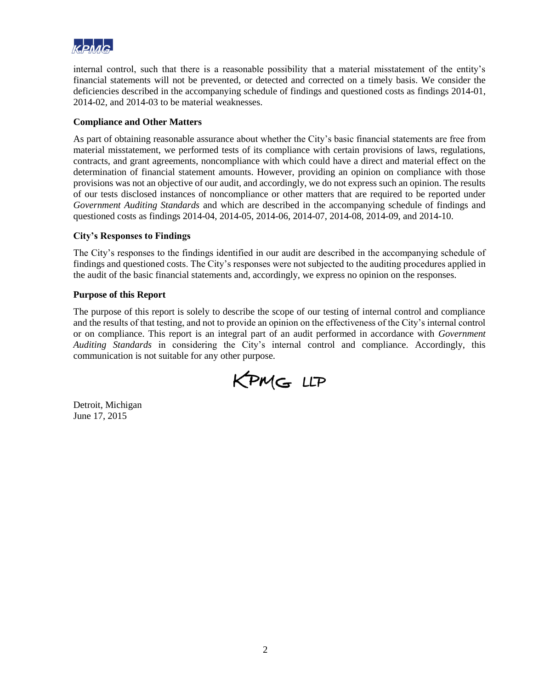

internal control, such that there is a reasonable possibility that a material misstatement of the entity's financial statements will not be prevented, or detected and corrected on a timely basis. We consider the deficiencies described in the accompanying schedule of findings and questioned costs as findings 2014-01, 2014-02, and 2014-03 to be material weaknesses.

# **Compliance and Other Matters**

As part of obtaining reasonable assurance about whether the City's basic financial statements are free from material misstatement, we performed tests of its compliance with certain provisions of laws, regulations, contracts, and grant agreements, noncompliance with which could have a direct and material effect on the determination of financial statement amounts. However, providing an opinion on compliance with those provisions was not an objective of our audit, and accordingly, we do not express such an opinion. The results of our tests disclosed instances of noncompliance or other matters that are required to be reported under *Government Auditing Standards* and which are described in the accompanying schedule of findings and questioned costs as findings 2014-04, 2014-05, 2014-06, 2014-07, 2014-08, 2014-09, and 2014-10.

# **City's Responses to Findings**

The City's responses to the findings identified in our audit are described in the accompanying schedule of findings and questioned costs. The City's responses were not subjected to the auditing procedures applied in the audit of the basic financial statements and, accordingly, we express no opinion on the responses.

# **Purpose of this Report**

The purpose of this report is solely to describe the scope of our testing of internal control and compliance and the results of that testing, and not to provide an opinion on the effectiveness of the City's internal control or on compliance. This report is an integral part of an audit performed in accordance with *Government Auditing Standards* in considering the City's internal control and compliance. Accordingly, this communication is not suitable for any other purpose.

KPMG LLP

Detroit, Michigan June 17, 2015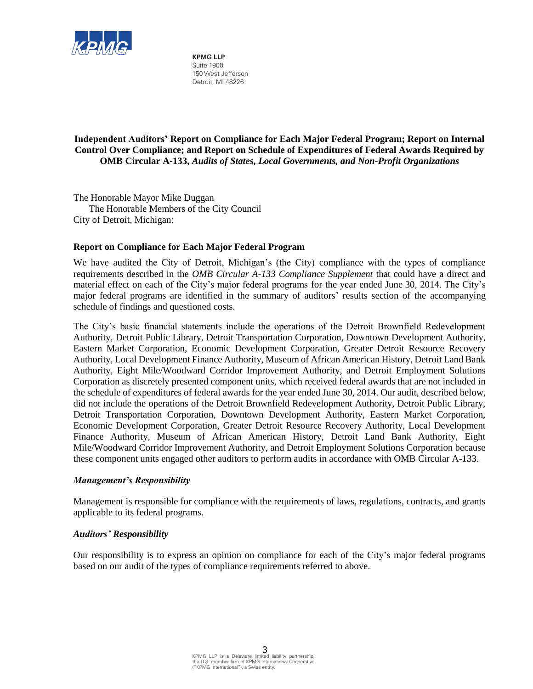

**KPMG LLP** Suite 1900 150 West Jefferson Detroit, MI 48226

**Independent Auditors' Report on Compliance for Each Major Federal Program; Report on Internal Control Over Compliance; and Report on Schedule of Expenditures of Federal Awards Required by OMB Circular A-133,** *Audits of States, Local Governments, and Non-Profit Organizations*

The Honorable Mayor Mike Duggan The Honorable Members of the City Council City of Detroit, Michigan:

# **Report on Compliance for Each Major Federal Program**

We have audited the City of Detroit, Michigan's (the City) compliance with the types of compliance requirements described in the *OMB Circular A-133 Compliance Supplement* that could have a direct and material effect on each of the City's major federal programs for the year ended June 30, 2014. The City's major federal programs are identified in the summary of auditors' results section of the accompanying schedule of findings and questioned costs.

The City's basic financial statements include the operations of the Detroit Brownfield Redevelopment Authority, Detroit Public Library, Detroit Transportation Corporation, Downtown Development Authority, Eastern Market Corporation, Economic Development Corporation, Greater Detroit Resource Recovery Authority, Local Development Finance Authority, Museum of African American History, Detroit Land Bank Authority, Eight Mile/Woodward Corridor Improvement Authority, and Detroit Employment Solutions Corporation as discretely presented component units, which received federal awards that are not included in the schedule of expenditures of federal awards for the year ended June 30, 2014. Our audit, described below, did not include the operations of the Detroit Brownfield Redevelopment Authority, Detroit Public Library, Detroit Transportation Corporation, Downtown Development Authority, Eastern Market Corporation, Economic Development Corporation, Greater Detroit Resource Recovery Authority, Local Development Finance Authority, Museum of African American History, Detroit Land Bank Authority, Eight Mile/Woodward Corridor Improvement Authority, and Detroit Employment Solutions Corporation because these component units engaged other auditors to perform audits in accordance with OMB Circular A-133.

# *Management's Responsibility*

Management is responsible for compliance with the requirements of laws, regulations, contracts, and grants applicable to its federal programs.

# *Auditors' Responsibility*

Our responsibility is to express an opinion on compliance for each of the City's major federal programs based on our audit of the types of compliance requirements referred to above.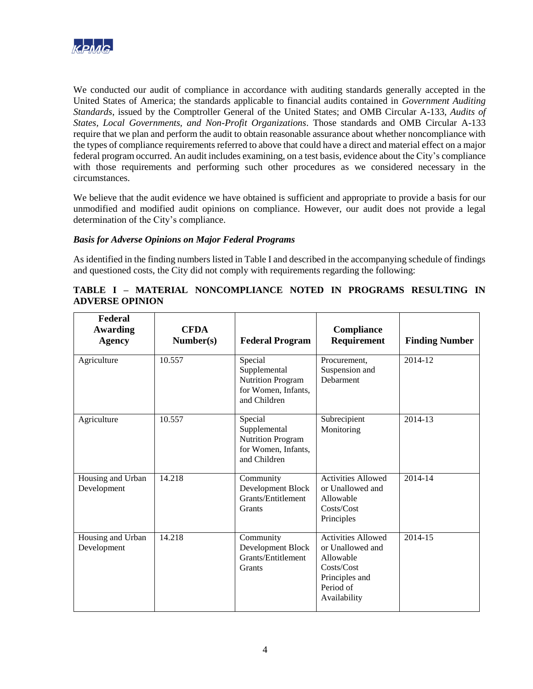

We conducted our audit of compliance in accordance with auditing standards generally accepted in the United States of America; the standards applicable to financial audits contained in *Government Auditing Standards*, issued by the Comptroller General of the United States; and OMB Circular A-133, *Audits of States, Local Governments, and Non-Profit Organizations*. Those standards and OMB Circular A-133 require that we plan and perform the audit to obtain reasonable assurance about whether noncompliance with the types of compliance requirements referred to above that could have a direct and material effect on a major federal program occurred. An audit includes examining, on a test basis, evidence about the City's compliance with those requirements and performing such other procedures as we considered necessary in the circumstances.

We believe that the audit evidence we have obtained is sufficient and appropriate to provide a basis for our unmodified and modified audit opinions on compliance. However, our audit does not provide a legal determination of the City's compliance.

# *Basis for Adverse Opinions on Major Federal Programs*

As identified in the finding numbers listed in Table I and described in the accompanying schedule of findings and questioned costs, the City did not comply with requirements regarding the following:

# **TABLE I – MATERIAL NONCOMPLIANCE NOTED IN PROGRAMS RESULTING IN ADVERSE OPINION**

| Federal<br><b>Awarding</b><br><b>Agency</b> | <b>CFDA</b><br>Number(s) | <b>Federal Program</b>                                                                     | Compliance<br>Requirement                                                                                               | <b>Finding Number</b> |
|---------------------------------------------|--------------------------|--------------------------------------------------------------------------------------------|-------------------------------------------------------------------------------------------------------------------------|-----------------------|
| Agriculture                                 | 10.557                   | Special<br>Supplemental<br><b>Nutrition Program</b><br>for Women, Infants,<br>and Children | Procurement.<br>Suspension and<br>Debarment                                                                             | 2014-12               |
| Agriculture                                 | 10.557                   | Special<br>Supplemental<br><b>Nutrition Program</b><br>for Women, Infants,<br>and Children | Subrecipient<br>Monitoring                                                                                              | 2014-13               |
| Housing and Urban<br>Development            | 14.218                   | Community<br>Development Block<br>Grants/Entitlement<br>Grants                             | <b>Activities Allowed</b><br>or Unallowed and<br>Allowable<br>Costs/Cost<br>Principles                                  | 2014-14               |
| Housing and Urban<br>Development            | 14.218                   | Community<br>Development Block<br>Grants/Entitlement<br>Grants                             | <b>Activities Allowed</b><br>or Unallowed and<br>Allowable<br>Costs/Cost<br>Principles and<br>Period of<br>Availability | 2014-15               |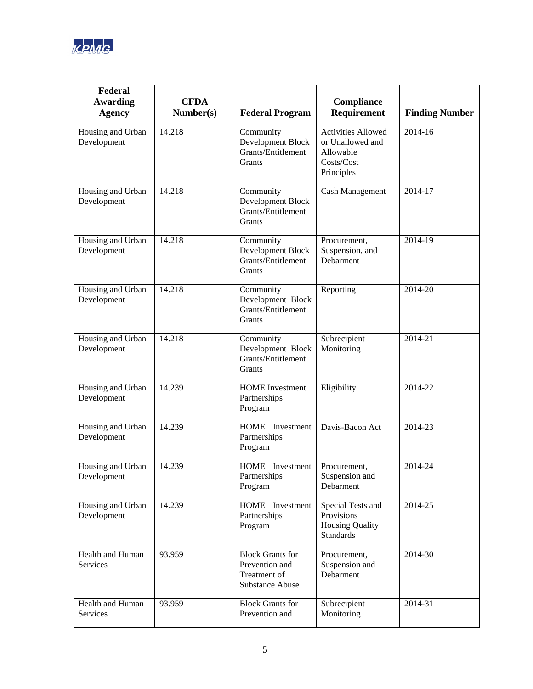

| Federal<br>Awarding<br><b>Agency</b> | <b>CFDA</b><br>Number(s) | <b>Federal Program</b>                                                              | Compliance<br>Requirement                                                              | <b>Finding Number</b> |
|--------------------------------------|--------------------------|-------------------------------------------------------------------------------------|----------------------------------------------------------------------------------------|-----------------------|
| Housing and Urban<br>Development     | 14.218                   | Community<br>Development Block<br>Grants/Entitlement<br>Grants                      | <b>Activities Allowed</b><br>or Unallowed and<br>Allowable<br>Costs/Cost<br>Principles | 2014-16               |
| Housing and Urban<br>Development     | 14.218                   | Community<br>Development Block<br>Grants/Entitlement<br>Grants                      | Cash Management                                                                        | 2014-17               |
| Housing and Urban<br>Development     | 14.218                   | Community<br>Development Block<br>Grants/Entitlement<br>Grants                      | Procurement,<br>Suspension, and<br>Debarment                                           | 2014-19               |
| Housing and Urban<br>Development     | 14.218                   | Community<br>Development Block<br>Grants/Entitlement<br>Grants                      | Reporting                                                                              | 2014-20               |
| Housing and Urban<br>Development     | 14.218                   | Community<br>Development Block<br>Grants/Entitlement<br>Grants                      | Subrecipient<br>Monitoring                                                             | 2014-21               |
| Housing and Urban<br>Development     | 14.239                   | <b>HOME</b> Investment<br>Partnerships<br>Program                                   | Eligibility                                                                            | $2014 - 22$           |
| Housing and Urban<br>Development     | 14.239                   | HOME Investment<br>Partnerships<br>Program                                          | Davis-Bacon Act                                                                        | 2014-23               |
| Housing and Urban<br>Development     | 14.239                   | HOME Investment<br>Partnerships<br>Program                                          | Procurement,<br>Suspension and<br>Debarment                                            | 2014-24               |
| Housing and Urban<br>Development     | 14.239                   | HOME Investment<br>Partnerships<br>Program                                          | Special Tests and<br>Provisions-<br><b>Housing Quality</b><br><b>Standards</b>         | 2014-25               |
| Health and Human<br>Services         | 93.959                   | <b>Block Grants for</b><br>Prevention and<br>Treatment of<br><b>Substance Abuse</b> | Procurement,<br>Suspension and<br>Debarment                                            | 2014-30               |
| Health and Human<br>Services         | 93.959                   | <b>Block Grants for</b><br>Prevention and                                           | Subrecipient<br>Monitoring                                                             | 2014-31               |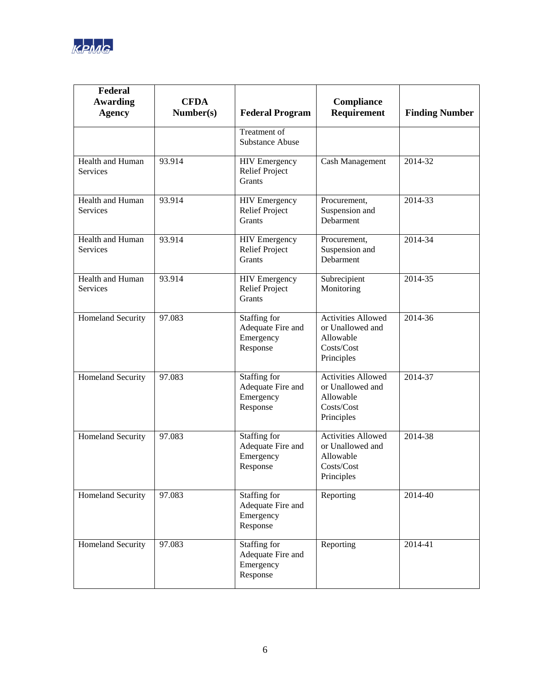

| Federal<br><b>Awarding</b><br><b>Agency</b> | <b>CFDA</b><br>Number(s) | <b>Federal Program</b>                                     | <b>Compliance</b><br>Requirement                                                       | <b>Finding Number</b> |
|---------------------------------------------|--------------------------|------------------------------------------------------------|----------------------------------------------------------------------------------------|-----------------------|
|                                             |                          | Treatment of<br><b>Substance Abuse</b>                     |                                                                                        |                       |
| Health and Human<br><b>Services</b>         | 93.914                   | <b>HIV</b> Emergency<br><b>Relief Project</b><br>Grants    | Cash Management                                                                        | 2014-32               |
| Health and Human<br>Services                | 93.914                   | <b>HIV</b> Emergency<br><b>Relief Project</b><br>Grants    | Procurement,<br>Suspension and<br>Debarment                                            | 2014-33               |
| Health and Human<br>Services                | 93.914                   | <b>HIV</b> Emergency<br><b>Relief Project</b><br>Grants    | Procurement,<br>Suspension and<br>Debarment                                            | 2014-34               |
| Health and Human<br><b>Services</b>         | 93.914                   | <b>HIV</b> Emergency<br><b>Relief Project</b><br>Grants    | Subrecipient<br>Monitoring                                                             | 2014-35               |
| <b>Homeland Security</b>                    | 97.083                   | Staffing for<br>Adequate Fire and<br>Emergency<br>Response | <b>Activities Allowed</b><br>or Unallowed and<br>Allowable<br>Costs/Cost<br>Principles | 2014-36               |
| <b>Homeland Security</b>                    | 97.083                   | Staffing for<br>Adequate Fire and<br>Emergency<br>Response | <b>Activities Allowed</b><br>or Unallowed and<br>Allowable<br>Costs/Cost<br>Principles | 2014-37               |
| <b>Homeland Security</b>                    | 97.083                   | Staffing for<br>Adequate Fire and<br>Emergency<br>Response | <b>Activities Allowed</b><br>or Unallowed and<br>Allowable<br>Costs/Cost<br>Principles | 2014-38               |
| <b>Homeland Security</b>                    | 97.083                   | Staffing for<br>Adequate Fire and<br>Emergency<br>Response | Reporting                                                                              | 2014-40               |
| Homeland Security                           | 97.083                   | Staffing for<br>Adequate Fire and<br>Emergency<br>Response | Reporting                                                                              | 2014-41               |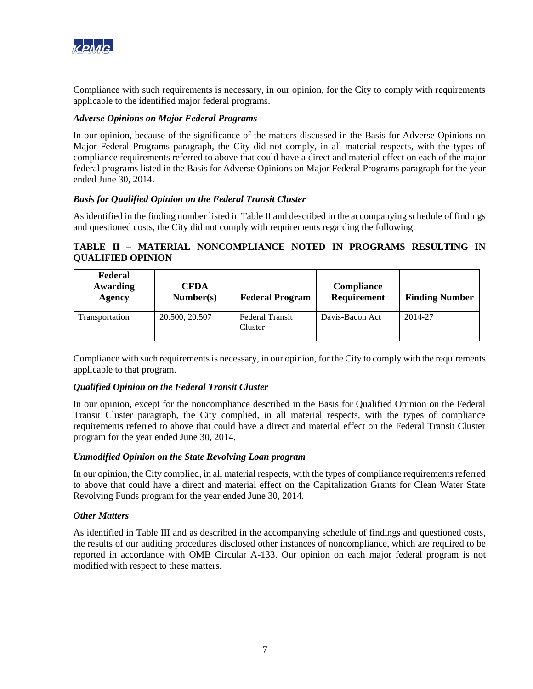

Compliance with such requirements is necessary, in our opinion, for the City to comply with requirements applicable to the identified major federal programs.

# *Adverse Opinions on Major Federal Programs*

In our opinion, because of the significance of the matters discussed in the Basis for Adverse Opinions on Major Federal Programs paragraph, the City did not comply, in all material respects, with the types of compliance requirements referred to above that could have a direct and material effect on each of the major federal programs listed in the Basis for Adverse Opinions on Major Federal Programs paragraph for the year ended June 30, 2014.

# *Basis for Qualified Opinion on the Federal Transit Cluster*

As identified in the finding number listed in Table II and described in the accompanying schedule of findings and questioned costs, the City did not comply with requirements regarding the following:

# **TABLE II – MATERIAL NONCOMPLIANCE NOTED IN PROGRAMS RESULTING IN QUALIFIED OPINION**

| Federal<br>Awarding<br><b>Agency</b> | <b>CFDA</b><br>Number(s) | <b>Federal Program</b>            | <b>Compliance</b><br>Requirement | <b>Finding Number</b> |
|--------------------------------------|--------------------------|-----------------------------------|----------------------------------|-----------------------|
| Transportation                       | 20.500, 20.507           | <b>Federal Transit</b><br>Cluster | Davis-Bacon Act                  | 2014-27               |

Compliance with such requirements is necessary, in our opinion, for the City to comply with the requirements applicable to that program.

# *Qualified Opinion on the Federal Transit Cluster*

In our opinion, except for the noncompliance described in the Basis for Qualified Opinion on the Federal Transit Cluster paragraph, the City complied, in all material respects, with the types of compliance requirements referred to above that could have a direct and material effect on the Federal Transit Cluster program for the year ended June 30, 2014.

# *Unmodified Opinion on the State Revolving Loan program*

In our opinion, the City complied, in all material respects, with the types of compliance requirements referred to above that could have a direct and material effect on the Capitalization Grants for Clean Water State Revolving Funds program for the year ended June 30, 2014.

# *Other Matters*

As identified in Table III and as described in the accompanying schedule of findings and questioned costs, the results of our auditing procedures disclosed other instances of noncompliance, which are required to be reported in accordance with OMB Circular A-133. Our opinion on each major federal program is not modified with respect to these matters.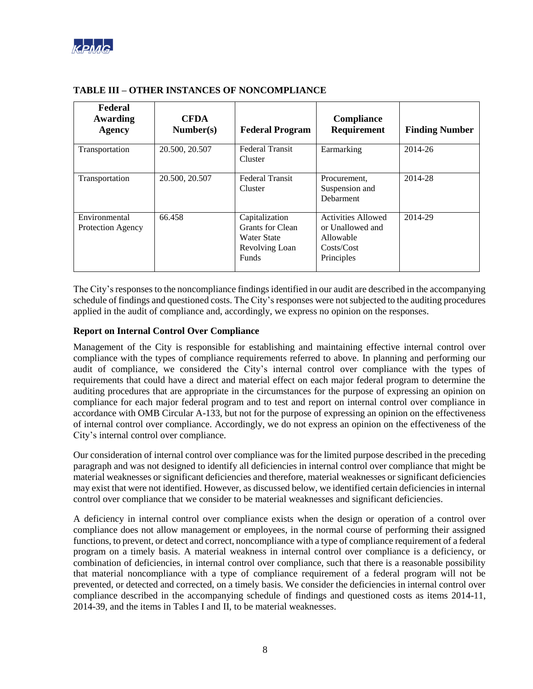

| Federal<br>Awarding<br><b>Agency</b>      | <b>CFDA</b><br>Number(s) | <b>Federal Program</b>                                                              | Compliance<br>Requirement                                                              | <b>Finding Number</b> |
|-------------------------------------------|--------------------------|-------------------------------------------------------------------------------------|----------------------------------------------------------------------------------------|-----------------------|
| Transportation                            | 20.500, 20.507           | <b>Federal Transit</b><br>Cluster                                                   | Earmarking                                                                             | 2014-26               |
| Transportation                            | 20.500, 20.507           | <b>Federal Transit</b><br>Cluster                                                   | Procurement.<br>Suspension and<br>Debarment                                            | 2014-28               |
| Environmental<br><b>Protection Agency</b> | 66.458                   | Capitalization<br>Grants for Clean<br>Water State<br>Revolving Loan<br><b>Funds</b> | <b>Activities Allowed</b><br>or Unallowed and<br>Allowable<br>Costs/Cost<br>Principles | 2014-29               |

# **TABLE III – OTHER INSTANCES OF NONCOMPLIANCE**

The City's responses to the noncompliance findings identified in our audit are described in the accompanying schedule of findings and questioned costs. The City's responses were not subjected to the auditing procedures applied in the audit of compliance and, accordingly, we express no opinion on the responses.

# **Report on Internal Control Over Compliance**

Management of the City is responsible for establishing and maintaining effective internal control over compliance with the types of compliance requirements referred to above. In planning and performing our audit of compliance, we considered the City's internal control over compliance with the types of requirements that could have a direct and material effect on each major federal program to determine the auditing procedures that are appropriate in the circumstances for the purpose of expressing an opinion on compliance for each major federal program and to test and report on internal control over compliance in accordance with OMB Circular A-133, but not for the purpose of expressing an opinion on the effectiveness of internal control over compliance. Accordingly, we do not express an opinion on the effectiveness of the City's internal control over compliance.

Our consideration of internal control over compliance was for the limited purpose described in the preceding paragraph and was not designed to identify all deficiencies in internal control over compliance that might be material weaknesses or significant deficiencies and therefore, material weaknesses or significant deficiencies may exist that were not identified. However, as discussed below, we identified certain deficiencies in internal control over compliance that we consider to be material weaknesses and significant deficiencies.

A deficiency in internal control over compliance exists when the design or operation of a control over compliance does not allow management or employees, in the normal course of performing their assigned functions, to prevent, or detect and correct, noncompliance with a type of compliance requirement of a federal program on a timely basis. A material weakness in internal control over compliance is a deficiency, or combination of deficiencies, in internal control over compliance, such that there is a reasonable possibility that material noncompliance with a type of compliance requirement of a federal program will not be prevented, or detected and corrected, on a timely basis. We consider the deficiencies in internal control over compliance described in the accompanying schedule of findings and questioned costs as items 2014-11, 2014-39, and the items in Tables I and II, to be material weaknesses.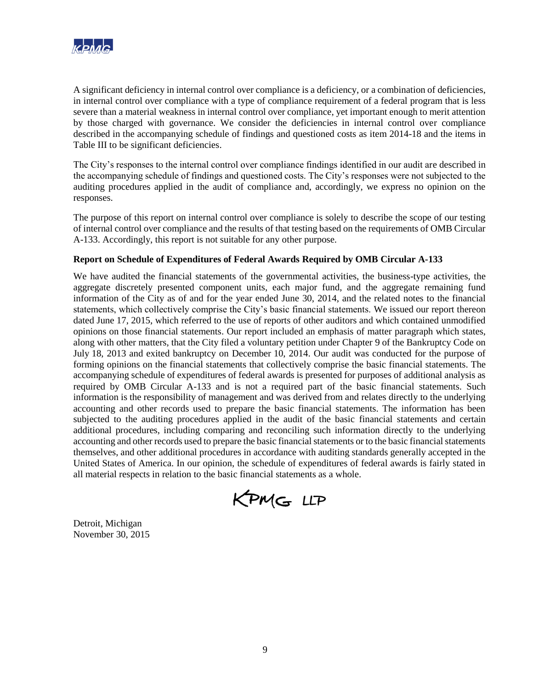

A significant deficiency in internal control over compliance is a deficiency, or a combination of deficiencies, in internal control over compliance with a type of compliance requirement of a federal program that is less severe than a material weakness in internal control over compliance, yet important enough to merit attention by those charged with governance. We consider the deficiencies in internal control over compliance described in the accompanying schedule of findings and questioned costs as item 2014-18 and the items in Table III to be significant deficiencies.

The City's responses to the internal control over compliance findings identified in our audit are described in the accompanying schedule of findings and questioned costs. The City's responses were not subjected to the auditing procedures applied in the audit of compliance and, accordingly, we express no opinion on the responses.

The purpose of this report on internal control over compliance is solely to describe the scope of our testing of internal control over compliance and the results of that testing based on the requirements of OMB Circular A-133. Accordingly, this report is not suitable for any other purpose.

# **Report on Schedule of Expenditures of Federal Awards Required by OMB Circular A-133**

We have audited the financial statements of the governmental activities, the business-type activities, the aggregate discretely presented component units, each major fund, and the aggregate remaining fund information of the City as of and for the year ended June 30, 2014, and the related notes to the financial statements, which collectively comprise the City's basic financial statements. We issued our report thereon dated June 17, 2015, which referred to the use of reports of other auditors and which contained unmodified opinions on those financial statements. Our report included an emphasis of matter paragraph which states, along with other matters, that the City filed a voluntary petition under Chapter 9 of the Bankruptcy Code on July 18, 2013 and exited bankruptcy on December 10, 2014. Our audit was conducted for the purpose of forming opinions on the financial statements that collectively comprise the basic financial statements. The accompanying schedule of expenditures of federal awards is presented for purposes of additional analysis as required by OMB Circular A-133 and is not a required part of the basic financial statements. Such information is the responsibility of management and was derived from and relates directly to the underlying accounting and other records used to prepare the basic financial statements. The information has been subjected to the auditing procedures applied in the audit of the basic financial statements and certain additional procedures, including comparing and reconciling such information directly to the underlying accounting and other records used to prepare the basic financial statements or to the basic financial statements themselves, and other additional procedures in accordance with auditing standards generally accepted in the United States of America. In our opinion, the schedule of expenditures of federal awards is fairly stated in all material respects in relation to the basic financial statements as a whole.

KPMG LLP

Detroit, Michigan November 30, 2015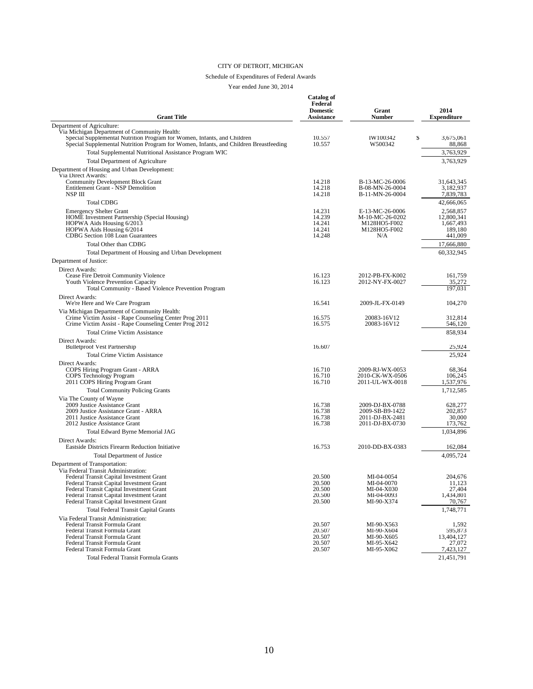#### Schedule of Expenditures of Federal Awards

| <b>Grant Title</b>                                                                                                                                                                                                       | Catalog of<br>Federal<br><b>Domestic</b><br>Assistance | Grant<br>Number                                                           | 2014<br><b>Expenditure</b>                                 |
|--------------------------------------------------------------------------------------------------------------------------------------------------------------------------------------------------------------------------|--------------------------------------------------------|---------------------------------------------------------------------------|------------------------------------------------------------|
| Department of Agriculture:                                                                                                                                                                                               |                                                        |                                                                           |                                                            |
| Via Michigan Department of Community Health:<br>Special Supplemental Nutrition Program for Women, Infants, and Children<br>Special Supplemental Nutrition Program for Women, Infants, and Children Breastfeeding         | 10.557<br>10.557                                       | S<br>IW100342<br>W500342                                                  | 3.675.061<br>88,868                                        |
| Total Supplemental Nutritional Assistance Program WIC                                                                                                                                                                    |                                                        |                                                                           | 3,763,929                                                  |
| <b>Total Department of Agriculture</b>                                                                                                                                                                                   |                                                        |                                                                           | 3,763,929                                                  |
| Department of Housing and Urban Development:<br>Via Direct Awards:                                                                                                                                                       |                                                        |                                                                           |                                                            |
| <b>Community Development Block Grant</b><br><b>Entitlement Grant - NSP Demolition</b><br>NSP III                                                                                                                         | 14.218<br>14.218<br>14.218                             | B-13-MC-26-0006<br>B-08-MN-26-0004<br>B-11-MN-26-0004                     | 31,643,345<br>3,182,937<br>7,839,783                       |
| <b>Total CDBG</b>                                                                                                                                                                                                        |                                                        |                                                                           | 42,666,065                                                 |
| <b>Emergency Shelter Grant</b><br>HOME Investment Partnership (Special Housing)<br>HOPWA Aids Housing 6/2013<br>HOPWA Aids Housing 6/2014<br>CDBG Section 108 Loan Guarantees                                            | 14.231<br>14.239<br>14.241<br>14.241<br>14.248         | E-13-MC-26-0006<br>M-10-MC-26-0202<br>M128HO5-F002<br>M128HO5-F002<br>N/A | 2,568,857<br>12,800,341<br>1,667,493<br>189,180<br>441,009 |
| Total Other than CDBG                                                                                                                                                                                                    |                                                        |                                                                           | 17,666,880                                                 |
| Total Department of Housing and Urban Development                                                                                                                                                                        |                                                        |                                                                           | 60,332,945                                                 |
| Department of Justice:                                                                                                                                                                                                   |                                                        |                                                                           |                                                            |
| Direct Awards:<br>Cease Fire Detroit Community Violence<br>Youth Violence Prevention Capacity<br>Total Community - Based Violence Prevention Program                                                                     | 16.123<br>16.123                                       | 2012-PB-FX-K002<br>2012-NY-FX-0027                                        | 161.759<br>35,272<br>197,031                               |
| Direct Awards:<br>We're Here and We Care Program                                                                                                                                                                         | 16.541                                                 | 2009-JL-FX-0149                                                           | 104,270                                                    |
| Via Michigan Department of Community Health:<br>Crime Victim Assist - Rape Counseling Center Prog 2011<br>Crime Victim Assist - Rape Counseling Center Prog 2012                                                         | 16.575<br>16.575                                       | 20083-16V12<br>20083-16V12                                                | 312,814<br>546,120                                         |
| <b>Total Crime Victim Assistance</b>                                                                                                                                                                                     |                                                        |                                                                           | 858,934                                                    |
| Direct Awards:                                                                                                                                                                                                           |                                                        |                                                                           |                                                            |
| <b>Bulletproof Vest Partnership</b><br><b>Total Crime Victim Assistance</b>                                                                                                                                              | 16.607                                                 |                                                                           | 25,924<br>25,924                                           |
| Direct Awards:                                                                                                                                                                                                           |                                                        |                                                                           |                                                            |
| COPS Hiring Program Grant - ARRA<br>COPS Technology Program<br>2011 COPS Hiring Program Grant                                                                                                                            | 16.710<br>16.710<br>16.710                             | 2009-RJ-WX-0053<br>2010-CK-WX-0506<br>2011-UL-WX-0018                     | 68,364<br>106,245<br>1,537,976                             |
| <b>Total Community Policing Grants</b>                                                                                                                                                                                   |                                                        |                                                                           | 1,712,585                                                  |
| Via The County of Wayne<br>2009 Justice Assistance Grant<br>2009 Justice Assistance Grant - ARRA<br>2011 Justice Assistance Grant<br>2012 Justice Assistance Grant                                                       | 16.738<br>16.738<br>16.738<br>16.738                   | 2009-DJ-BX-0788<br>2009-SB-B9-1422<br>2011-DJ-BX-2481<br>2011-DJ-BX-0730  | 628,277<br>202,857<br>30,000<br>173,762                    |
| Total Edward Byrne Memorial JAG                                                                                                                                                                                          |                                                        |                                                                           | 1,034,896                                                  |
| Direct Awards:                                                                                                                                                                                                           |                                                        |                                                                           |                                                            |
| Eastside Districts Firearm Reduction Initiative                                                                                                                                                                          | 16.753                                                 | 2010-DD-BX-0383                                                           | 162,084                                                    |
| <b>Total Department of Justice</b><br>Department of Transportation:<br>Via Federal Transit Administration:                                                                                                               |                                                        |                                                                           | 4,095,724                                                  |
| Federal Transit Capital Investment Grant<br>Federal Transit Capital Investment Grant<br>Federal Transit Capital Investment Grant<br>Federal Transit Capital Investment Grant<br>Federal Transit Capital Investment Grant | 20.500<br>20.500<br>20.500<br>20.500<br>20.500         | MI-04-0054<br>MI-04-0070<br>MI-04-X030<br>MI-04-0093<br>MI-90-X374        | 204,676<br>11,123<br>27,404<br>1,434,801<br>70,767         |
| <b>Total Federal Transit Capital Grants</b>                                                                                                                                                                              |                                                        |                                                                           | 1,748,771                                                  |
| Via Federal Transit Administration:<br>Federal Transit Formula Grant<br>Federal Transit Formula Grant<br>Federal Transit Formula Grant<br>Federal Transit Formula Grant<br>Federal Transit Formula Grant                 | 20.507<br>20.507<br>20.507<br>20.507<br>20.507         | MI-90-X563<br>MI-90-X604<br>MI-90-X605<br>MI-95-X642<br>MI-95-X062        | 1,592<br>595,873<br>13,404,127<br>27,072<br>7,423,127      |
| Total Federal Transit Formula Grants                                                                                                                                                                                     |                                                        |                                                                           | 21,451,791                                                 |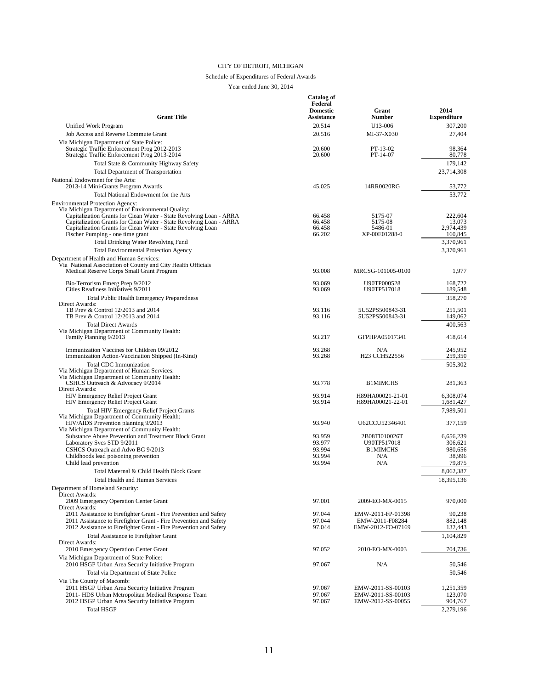#### Schedule of Expenditures of Federal Awards

| <b>Grant Title</b>                                                                                                                                                                                                                                                                                                                             | Catalog of<br>Federal<br><b>Domestic</b><br>Assistance | Grant<br>Number                                               | 2014<br><b>Expenditure</b>                                       |
|------------------------------------------------------------------------------------------------------------------------------------------------------------------------------------------------------------------------------------------------------------------------------------------------------------------------------------------------|--------------------------------------------------------|---------------------------------------------------------------|------------------------------------------------------------------|
| Unified Work Program                                                                                                                                                                                                                                                                                                                           | 20.514                                                 | U13-006                                                       | 307,200                                                          |
| Job Access and Reverse Commute Grant                                                                                                                                                                                                                                                                                                           | 20.516                                                 | MI-37-X030                                                    | 27,404                                                           |
| Via Michigan Department of State Police:<br>Strategic Traffic Enforcement Prog 2012-2013<br>Strategic Traffic Enforcement Prog 2013-2014                                                                                                                                                                                                       | 20.600<br>20.600                                       | PT-13-02<br>PT-14-07                                          | 98,364<br>80,778                                                 |
| Total State & Community Highway Safety                                                                                                                                                                                                                                                                                                         |                                                        |                                                               | 179,142                                                          |
| <b>Total Department of Transportation</b>                                                                                                                                                                                                                                                                                                      |                                                        |                                                               | 23,714,308                                                       |
| National Endowment for the Arts:<br>2013-14 Mini-Grants Program Awards                                                                                                                                                                                                                                                                         | 45.025                                                 | 14RR0020RG                                                    | 53,772                                                           |
| Total National Endowment for the Arts                                                                                                                                                                                                                                                                                                          |                                                        |                                                               | 53,772                                                           |
| <b>Environmental Protection Agency:</b><br>Via Michigan Department of Environmental Quality:<br>Capitalization Grants for Clean Water - State Revolving Loan - ARRA<br>Capitalization Grants for Clean Water - State Revolving Loan - ARRA<br>Capitalization Grants for Clean Water - State Revolving Loan<br>Fischer Pumping - one time grant | 66.458<br>66.458<br>66.458<br>66.202                   | 5175-07<br>5175-08<br>5486-01<br>XP-00E01288-0                | 222,604<br>13,073<br>2,974,439<br>160,845                        |
| Total Drinking Water Revolving Fund                                                                                                                                                                                                                                                                                                            |                                                        |                                                               | 3,370,961                                                        |
| <b>Total Environmental Protection Agency</b><br>Department of Health and Human Services:<br>Via National Association of County and City Health Officials<br>Medical Reserve Corps Small Grant Program                                                                                                                                          | 93.008                                                 | MRCSG-101005-0100                                             | 3,370,961<br>1,977                                               |
|                                                                                                                                                                                                                                                                                                                                                |                                                        |                                                               |                                                                  |
| Bio-Terrorism Emerg Prep 9/2012<br>Cities Readiness Initiatives 9/2011                                                                                                                                                                                                                                                                         | 93.069<br>93.069                                       | U90TP000528<br>U90TP517018                                    | 168,722<br>189,548                                               |
| <b>Total Public Health Emergency Preparedness</b><br>Direct Awards:                                                                                                                                                                                                                                                                            |                                                        |                                                               | 358,270                                                          |
| TB Prev & Control 12/2013 and 2014<br>TB Prev & Control 12/2013 and 2014                                                                                                                                                                                                                                                                       | 93.116<br>93.116                                       | 5U52PS500843-31<br>5U52PS500843-31                            | 251,501<br>149,062                                               |
| <b>Total Direct Awards</b>                                                                                                                                                                                                                                                                                                                     |                                                        |                                                               | 400,563                                                          |
| Via Michigan Department of Community Health:<br>Family Planning 9/2013                                                                                                                                                                                                                                                                         | 93.217                                                 | GFPHPA05017341                                                | 418,614                                                          |
| Immunization Vaccines for Children 09/2012                                                                                                                                                                                                                                                                                                     | 93.268                                                 | N/A                                                           | 245,952                                                          |
| Immunization Action-Vaccination Shipped (In-Kind)                                                                                                                                                                                                                                                                                              | 93.268                                                 | H23 CCH522556                                                 | 259,350                                                          |
| <b>Total CDC Immunization</b><br>Via Michigan Department of Human Services:<br>Via Michigan Department of Community Health:<br>CSHCS Outreach & Advocacy 9/2014                                                                                                                                                                                | 93.778                                                 | <b>B1MIMCHS</b>                                               | 505,302<br>281,363                                               |
| Direct Awards:                                                                                                                                                                                                                                                                                                                                 |                                                        |                                                               |                                                                  |
| HIV Emergency Relief Project Grant<br>HIV Emergency Relief Project Grant                                                                                                                                                                                                                                                                       | 93.914<br>93.914                                       | H89HA00021-21-01<br>H89HA00021-22-01                          | 6,308,074<br>1,681,427                                           |
| <b>Total HIV Emergency Relief Project Grants</b><br>Via Michigan Department of Community Health:                                                                                                                                                                                                                                               |                                                        |                                                               | 7,989,501                                                        |
| HIV/AIDS Prevention planning 9/2013<br>Via Michigan Department of Community Health:                                                                                                                                                                                                                                                            | 93.940                                                 | U62CCU52346401                                                | 377,159                                                          |
| Substance Abuse Prevention and Treatment Block Grant<br>Laboratory Svcs STD 9/2011<br>CSHCS Outreach and Advo BG 9/2013<br>Childhoods lead poisoning prevention<br>Child lead prevention<br>Total Maternal & Child Health Block Grant                                                                                                          | 93.959<br>93.977<br>93.994<br>93.994<br>93.994         | 2B08TI010026T<br>U90TP517018<br><b>B1MIMCHS</b><br>N/A<br>N/A | 6,656,239<br>306,621<br>980,656<br>38,996<br>79,875<br>8,062,387 |
| <b>Total Health and Human Services</b>                                                                                                                                                                                                                                                                                                         |                                                        |                                                               | 18,395,136                                                       |
| Department of Homeland Security:                                                                                                                                                                                                                                                                                                               |                                                        |                                                               |                                                                  |
| Direct Awards:<br>2009 Emergency Operation Center Grant<br>Direct Awards:                                                                                                                                                                                                                                                                      | 97.001                                                 | 2009-EO-MX-0015                                               | 970,000                                                          |
| 2011 Assistance to Firefighter Grant - Fire Prevention and Safety<br>2011 Assistance to Firefighter Grant - Fire Prevention and Safety<br>2012 Assistance to Firefighter Grant - Fire Prevention and Safety                                                                                                                                    | 97.044<br>97.044<br>97.044                             | EMW-2011-FP-01398<br>EMW-2011-F08284<br>EMW-2012-FO-07169     | 90,238<br>882,148<br>132,443                                     |
| <b>Total Assistance to Firefighter Grant</b><br>Direct Awards:                                                                                                                                                                                                                                                                                 |                                                        |                                                               | 1,104,829                                                        |
| 2010 Emergency Operation Center Grant<br>Via Michigan Department of State Police:                                                                                                                                                                                                                                                              | 97.052                                                 | 2010-EO-MX-0003                                               | 704,736                                                          |
| 2010 HSGP Urban Area Security Initiative Program<br>Total via Department of State Police                                                                                                                                                                                                                                                       | 97.067                                                 | N/A                                                           | 50,546<br>50,546                                                 |
| Via The County of Macomb:<br>2011 HSGP Urban Area Security Initiative Program<br>2011- HDS Urban Metropolitan Medical Response Team<br>2012 HSGP Urban Area Security Initiative Program                                                                                                                                                        | 97.067<br>97.067<br>97.067                             | EMW-2011-SS-00103<br>EMW-2011-SS-00103<br>EMW-2012-SS-00055   | 1,251,359<br>123,070<br>904,767                                  |
| <b>Total HSGP</b>                                                                                                                                                                                                                                                                                                                              |                                                        |                                                               | 2,279,196                                                        |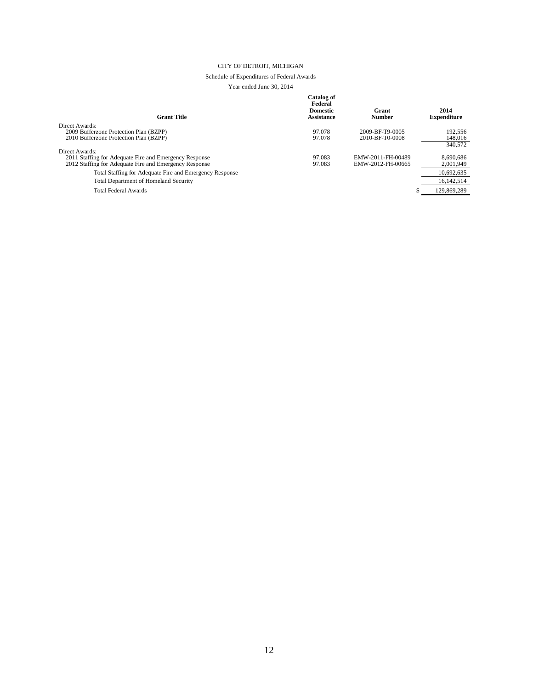#### Schedule of Expenditures of Federal Awards

| Catalog of<br>Federal<br><b>Domestic</b><br><b>Assistance</b> | Grant<br><b>Number</b> | 2014<br><b>Expenditure</b>         |
|---------------------------------------------------------------|------------------------|------------------------------------|
|                                                               |                        |                                    |
|                                                               |                        | 192,556                            |
|                                                               |                        | 148,016                            |
|                                                               |                        | 340,572                            |
|                                                               |                        |                                    |
| 97.083                                                        | EMW-2011-FH-00489      | 8.690.686                          |
| 97.083                                                        | EMW-2012-FH-00665      | 2,001,949                          |
|                                                               |                        | 10.692.635                         |
|                                                               |                        | 16.142.514                         |
|                                                               |                        | 129,869,289                        |
|                                                               | 97.078<br>97.078       | 2009-BF-T9-0005<br>2010-BF-T0-0008 |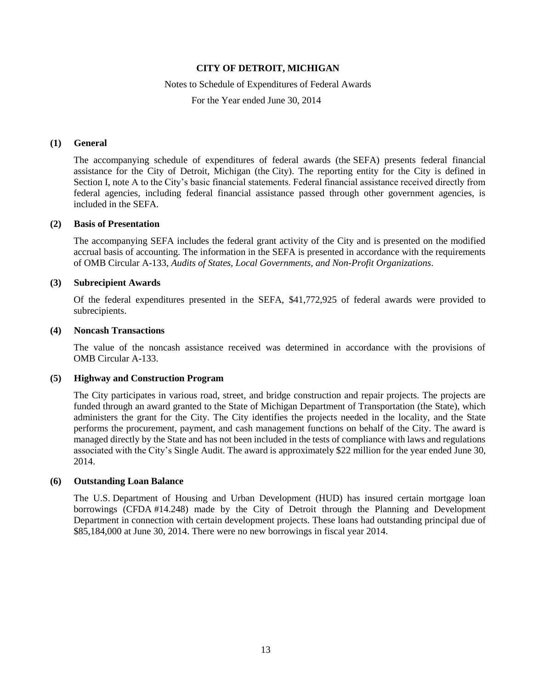### Notes to Schedule of Expenditures of Federal Awards

For the Year ended June 30, 2014

## **(1) General**

The accompanying schedule of expenditures of federal awards (the SEFA) presents federal financial assistance for the City of Detroit, Michigan (the City). The reporting entity for the City is defined in Section I, note A to the City's basic financial statements. Federal financial assistance received directly from federal agencies, including federal financial assistance passed through other government agencies, is included in the SEFA.

### **(2) Basis of Presentation**

The accompanying SEFA includes the federal grant activity of the City and is presented on the modified accrual basis of accounting. The information in the SEFA is presented in accordance with the requirements of OMB Circular A-133, *Audits of States, Local Governments, and Non-Profit Organizations*.

## **(3) Subrecipient Awards**

Of the federal expenditures presented in the SEFA, \$41,772,925 of federal awards were provided to subrecipients.

### **(4) Noncash Transactions**

The value of the noncash assistance received was determined in accordance with the provisions of OMB Circular A-133.

# **(5) Highway and Construction Program**

The City participates in various road, street, and bridge construction and repair projects. The projects are funded through an award granted to the State of Michigan Department of Transportation (the State), which administers the grant for the City. The City identifies the projects needed in the locality, and the State performs the procurement, payment, and cash management functions on behalf of the City. The award is managed directly by the State and has not been included in the tests of compliance with laws and regulations associated with the City's Single Audit. The award is approximately \$22 million for the year ended June 30, 2014.

### **(6) Outstanding Loan Balance**

The U.S. Department of Housing and Urban Development (HUD) has insured certain mortgage loan borrowings (CFDA #14.248) made by the City of Detroit through the Planning and Development Department in connection with certain development projects. These loans had outstanding principal due of \$85,184,000 at June 30, 2014. There were no new borrowings in fiscal year 2014.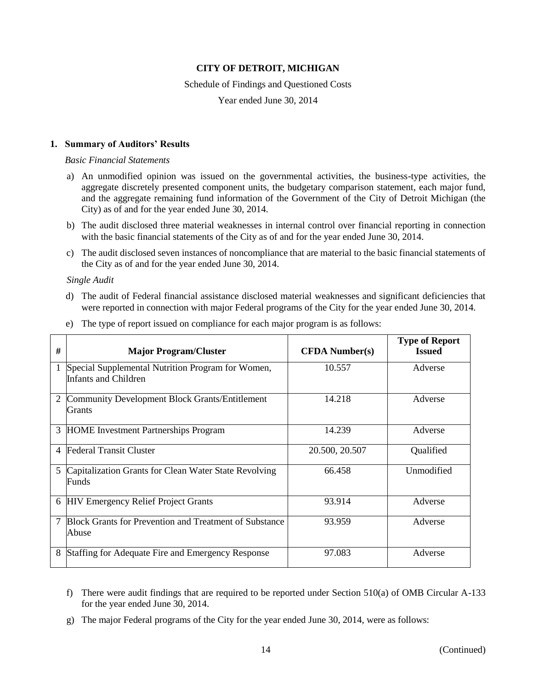### Schedule of Findings and Questioned Costs

Year ended June 30, 2014

## **1. Summary of Auditors' Results**

### *Basic Financial Statements*

- a) An unmodified opinion was issued on the governmental activities, the business-type activities, the aggregate discretely presented component units, the budgetary comparison statement, each major fund, and the aggregate remaining fund information of the Government of the City of Detroit Michigan (the City) as of and for the year ended June 30, 2014.
- b) The audit disclosed three material weaknesses in internal control over financial reporting in connection with the basic financial statements of the City as of and for the year ended June 30, 2014.
- c) The audit disclosed seven instances of noncompliance that are material to the basic financial statements of the City as of and for the year ended June 30, 2014.

### *Single Audit*

d) The audit of Federal financial assistance disclosed material weaknesses and significant deficiencies that were reported in connection with major Federal programs of the City for the year ended June 30, 2014.

| #              | <b>Major Program/Cluster</b>                                              | <b>CFDA</b> Number(s) | <b>Type of Report</b><br><b>Issued</b> |
|----------------|---------------------------------------------------------------------------|-----------------------|----------------------------------------|
|                | Special Supplemental Nutrition Program for Women,<br>Infants and Children | 10.557                | Adverse                                |
| 2              | <b>Community Development Block Grants/Entitlement</b><br>Grants           | 14.218                | Adverse                                |
| 3              | <b>HOME</b> Investment Partnerships Program                               | 14.239                | Adverse                                |
| $\overline{4}$ | <b>Federal Transit Cluster</b>                                            | 20.500, 20.507        | Qualified                              |
| 5              | Capitalization Grants for Clean Water State Revolving<br>Funds            | 66.458                | <b>Unmodified</b>                      |
|                | 6 HIV Emergency Relief Project Grants                                     | 93.914                | Adverse                                |
| 7              | <b>Block Grants for Prevention and Treatment of Substance</b><br>Abuse    | 93.959                | Adverse                                |
| 8              | Staffing for Adequate Fire and Emergency Response                         | 97.083                | Adverse                                |

e) The type of report issued on compliance for each major program is as follows:

- f) There were audit findings that are required to be reported under Section 510(a) of OMB Circular A-133 for the year ended June 30, 2014.
- g) The major Federal programs of the City for the year ended June 30, 2014, were as follows: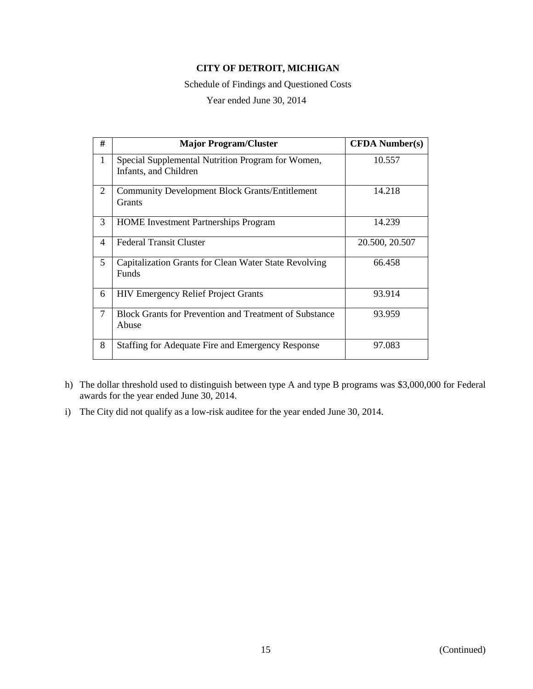Schedule of Findings and Questioned Costs

| #               | <b>Major Program/Cluster</b>                                               | <b>CFDA</b> Number(s) |
|-----------------|----------------------------------------------------------------------------|-----------------------|
| $\mathbf{1}$    | Special Supplemental Nutrition Program for Women,<br>Infants, and Children | 10.557                |
| 2               | <b>Community Development Block Grants/Entitlement</b><br><b>Grants</b>     | 14.218                |
| 3               | <b>HOME</b> Investment Partnerships Program                                | 14.239                |
| 4               | <b>Federal Transit Cluster</b>                                             | 20.500, 20.507        |
| $5\overline{)}$ | Capitalization Grants for Clean Water State Revolving<br>Funds             | 66.458                |
| 6               | <b>HIV Emergency Relief Project Grants</b>                                 | 93.914                |
| $\overline{7}$  | <b>Block Grants for Prevention and Treatment of Substance</b><br>Abuse     | 93.959                |
| 8               | Staffing for Adequate Fire and Emergency Response                          | 97.083                |

- h) The dollar threshold used to distinguish between type A and type B programs was \$3,000,000 for Federal awards for the year ended June 30, 2014.
- i) The City did not qualify as a low-risk auditee for the year ended June 30, 2014.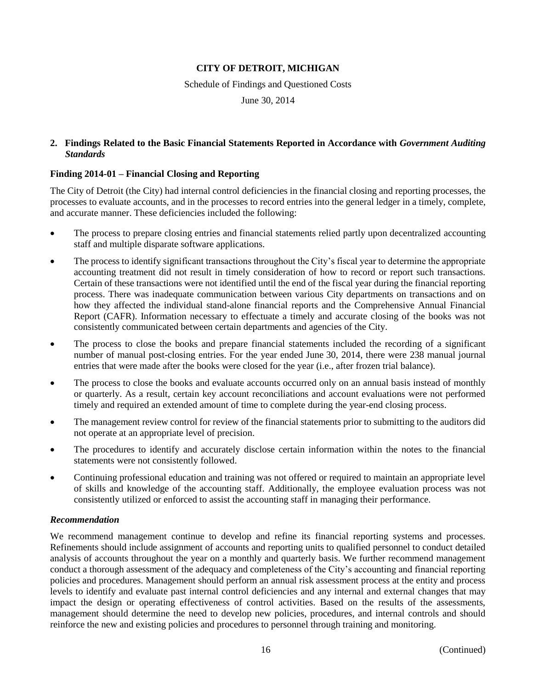Schedule of Findings and Questioned Costs

June 30, 2014

# **2. Findings Related to the Basic Financial Statements Reported in Accordance with** *Government Auditing Standards*

# **Finding 2014-01 – Financial Closing and Reporting**

The City of Detroit (the City) had internal control deficiencies in the financial closing and reporting processes, the processes to evaluate accounts, and in the processes to record entries into the general ledger in a timely, complete, and accurate manner. These deficiencies included the following:

- The process to prepare closing entries and financial statements relied partly upon decentralized accounting staff and multiple disparate software applications.
- The process to identify significant transactions throughout the City's fiscal year to determine the appropriate accounting treatment did not result in timely consideration of how to record or report such transactions. Certain of these transactions were not identified until the end of the fiscal year during the financial reporting process. There was inadequate communication between various City departments on transactions and on how they affected the individual stand-alone financial reports and the Comprehensive Annual Financial Report (CAFR). Information necessary to effectuate a timely and accurate closing of the books was not consistently communicated between certain departments and agencies of the City.
- The process to close the books and prepare financial statements included the recording of a significant number of manual post-closing entries. For the year ended June 30, 2014, there were 238 manual journal entries that were made after the books were closed for the year (i.e., after frozen trial balance).
- The process to close the books and evaluate accounts occurred only on an annual basis instead of monthly or quarterly. As a result, certain key account reconciliations and account evaluations were not performed timely and required an extended amount of time to complete during the year-end closing process.
- The management review control for review of the financial statements prior to submitting to the auditors did not operate at an appropriate level of precision.
- The procedures to identify and accurately disclose certain information within the notes to the financial statements were not consistently followed.
- Continuing professional education and training was not offered or required to maintain an appropriate level of skills and knowledge of the accounting staff. Additionally, the employee evaluation process was not consistently utilized or enforced to assist the accounting staff in managing their performance.

# *Recommendation*

We recommend management continue to develop and refine its financial reporting systems and processes. Refinements should include assignment of accounts and reporting units to qualified personnel to conduct detailed analysis of accounts throughout the year on a monthly and quarterly basis. We further recommend management conduct a thorough assessment of the adequacy and completeness of the City's accounting and financial reporting policies and procedures. Management should perform an annual risk assessment process at the entity and process levels to identify and evaluate past internal control deficiencies and any internal and external changes that may impact the design or operating effectiveness of control activities. Based on the results of the assessments, management should determine the need to develop new policies, procedures, and internal controls and should reinforce the new and existing policies and procedures to personnel through training and monitoring.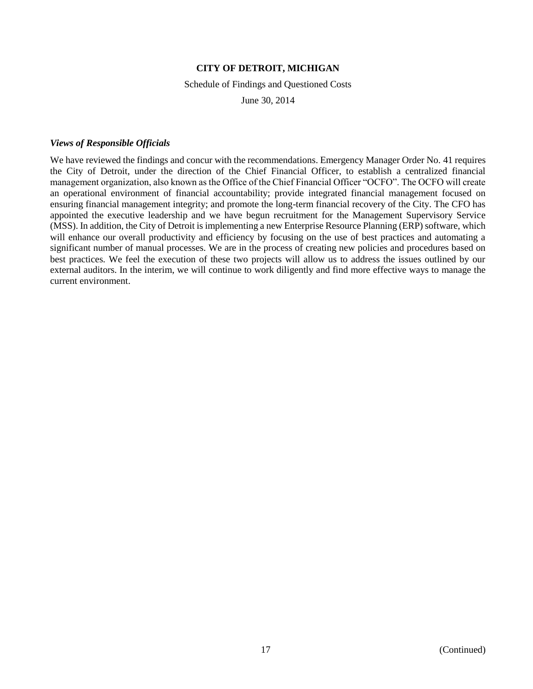## Schedule of Findings and Questioned Costs

June 30, 2014

## *Views of Responsible Officials*

We have reviewed the findings and concur with the recommendations. Emergency Manager Order No. 41 requires the City of Detroit, under the direction of the Chief Financial Officer, to establish a centralized financial management organization, also known as the Office of the Chief Financial Officer "OCFO". The OCFO will create an operational environment of financial accountability; provide integrated financial management focused on ensuring financial management integrity; and promote the long-term financial recovery of the City. The CFO has appointed the executive leadership and we have begun recruitment for the Management Supervisory Service (MSS). In addition, the City of Detroit is implementing a new Enterprise Resource Planning (ERP) software, which will enhance our overall productivity and efficiency by focusing on the use of best practices and automating a significant number of manual processes. We are in the process of creating new policies and procedures based on best practices. We feel the execution of these two projects will allow us to address the issues outlined by our external auditors. In the interim, we will continue to work diligently and find more effective ways to manage the current environment.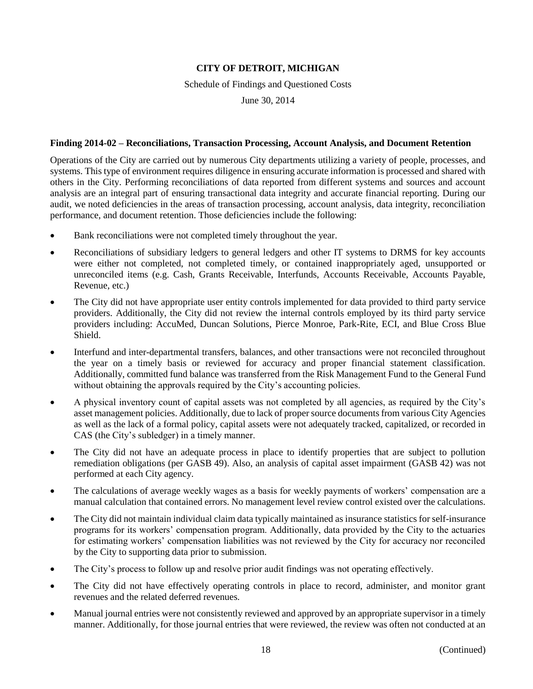Schedule of Findings and Questioned Costs

June 30, 2014

## **Finding 2014-02 – Reconciliations, Transaction Processing, Account Analysis, and Document Retention**

Operations of the City are carried out by numerous City departments utilizing a variety of people, processes, and systems. This type of environment requires diligence in ensuring accurate information is processed and shared with others in the City. Performing reconciliations of data reported from different systems and sources and account analysis are an integral part of ensuring transactional data integrity and accurate financial reporting. During our audit, we noted deficiencies in the areas of transaction processing, account analysis, data integrity, reconciliation performance, and document retention. Those deficiencies include the following:

- Bank reconciliations were not completed timely throughout the year.
- Reconciliations of subsidiary ledgers to general ledgers and other IT systems to DRMS for key accounts were either not completed, not completed timely, or contained inappropriately aged, unsupported or unreconciled items (e.g. Cash, Grants Receivable, Interfunds, Accounts Receivable, Accounts Payable, Revenue, etc.)
- The City did not have appropriate user entity controls implemented for data provided to third party service providers. Additionally, the City did not review the internal controls employed by its third party service providers including: AccuMed, Duncan Solutions, Pierce Monroe, Park-Rite, ECI, and Blue Cross Blue Shield.
- Interfund and inter-departmental transfers, balances, and other transactions were not reconciled throughout the year on a timely basis or reviewed for accuracy and proper financial statement classification. Additionally, committed fund balance was transferred from the Risk Management Fund to the General Fund without obtaining the approvals required by the City's accounting policies.
- A physical inventory count of capital assets was not completed by all agencies, as required by the City's asset management policies. Additionally, due to lack of proper source documents from various City Agencies as well as the lack of a formal policy, capital assets were not adequately tracked, capitalized, or recorded in CAS (the City's subledger) in a timely manner.
- The City did not have an adequate process in place to identify properties that are subject to pollution remediation obligations (per GASB 49). Also, an analysis of capital asset impairment (GASB 42) was not performed at each City agency.
- The calculations of average weekly wages as a basis for weekly payments of workers' compensation are a manual calculation that contained errors. No management level review control existed over the calculations.
- The City did not maintain individual claim data typically maintained as insurance statistics for self-insurance programs for its workers' compensation program. Additionally, data provided by the City to the actuaries for estimating workers' compensation liabilities was not reviewed by the City for accuracy nor reconciled by the City to supporting data prior to submission.
- The City's process to follow up and resolve prior audit findings was not operating effectively.
- The City did not have effectively operating controls in place to record, administer, and monitor grant revenues and the related deferred revenues.
- Manual journal entries were not consistently reviewed and approved by an appropriate supervisor in a timely manner. Additionally, for those journal entries that were reviewed, the review was often not conducted at an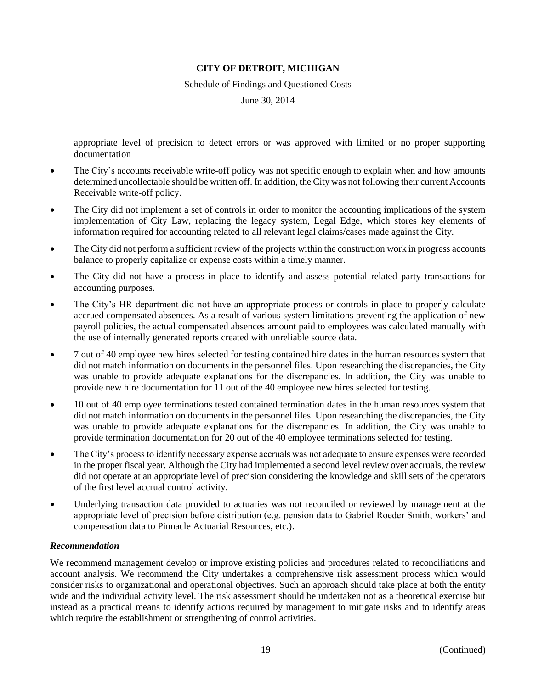Schedule of Findings and Questioned Costs

June 30, 2014

appropriate level of precision to detect errors or was approved with limited or no proper supporting documentation

- The City's accounts receivable write-off policy was not specific enough to explain when and how amounts determined uncollectable should be written off. In addition, the City was not following their current Accounts Receivable write-off policy.
- The City did not implement a set of controls in order to monitor the accounting implications of the system implementation of City Law, replacing the legacy system, Legal Edge, which stores key elements of information required for accounting related to all relevant legal claims/cases made against the City.
- The City did not perform a sufficient review of the projects within the construction work in progress accounts balance to properly capitalize or expense costs within a timely manner.
- The City did not have a process in place to identify and assess potential related party transactions for accounting purposes.
- The City's HR department did not have an appropriate process or controls in place to properly calculate accrued compensated absences. As a result of various system limitations preventing the application of new payroll policies, the actual compensated absences amount paid to employees was calculated manually with the use of internally generated reports created with unreliable source data.
- 7 out of 40 employee new hires selected for testing contained hire dates in the human resources system that did not match information on documents in the personnel files. Upon researching the discrepancies, the City was unable to provide adequate explanations for the discrepancies. In addition, the City was unable to provide new hire documentation for 11 out of the 40 employee new hires selected for testing.
- 10 out of 40 employee terminations tested contained termination dates in the human resources system that did not match information on documents in the personnel files. Upon researching the discrepancies, the City was unable to provide adequate explanations for the discrepancies. In addition, the City was unable to provide termination documentation for 20 out of the 40 employee terminations selected for testing.
- The City's process to identify necessary expense accruals was not adequate to ensure expenses were recorded in the proper fiscal year. Although the City had implemented a second level review over accruals, the review did not operate at an appropriate level of precision considering the knowledge and skill sets of the operators of the first level accrual control activity.
- Underlying transaction data provided to actuaries was not reconciled or reviewed by management at the appropriate level of precision before distribution (e.g. pension data to Gabriel Roeder Smith, workers' and compensation data to Pinnacle Actuarial Resources, etc.).

# *Recommendation*

We recommend management develop or improve existing policies and procedures related to reconciliations and account analysis. We recommend the City undertakes a comprehensive risk assessment process which would consider risks to organizational and operational objectives. Such an approach should take place at both the entity wide and the individual activity level. The risk assessment should be undertaken not as a theoretical exercise but instead as a practical means to identify actions required by management to mitigate risks and to identify areas which require the establishment or strengthening of control activities.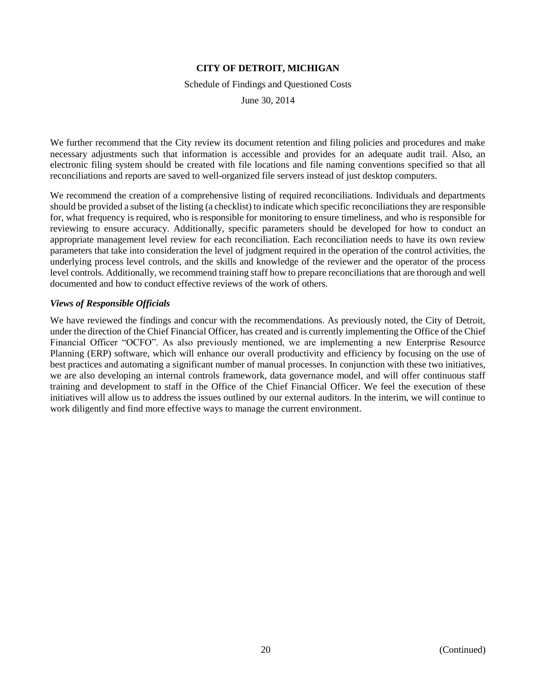Schedule of Findings and Questioned Costs

June 30, 2014

We further recommend that the City review its document retention and filing policies and procedures and make necessary adjustments such that information is accessible and provides for an adequate audit trail. Also, an electronic filing system should be created with file locations and file naming conventions specified so that all reconciliations and reports are saved to well-organized file servers instead of just desktop computers.

We recommend the creation of a comprehensive listing of required reconciliations. Individuals and departments should be provided a subset of the listing (a checklist) to indicate which specific reconciliations they are responsible for, what frequency is required, who is responsible for monitoring to ensure timeliness, and who is responsible for reviewing to ensure accuracy. Additionally, specific parameters should be developed for how to conduct an appropriate management level review for each reconciliation. Each reconciliation needs to have its own review parameters that take into consideration the level of judgment required in the operation of the control activities, the underlying process level controls, and the skills and knowledge of the reviewer and the operator of the process level controls. Additionally, we recommend training staff how to prepare reconciliations that are thorough and well documented and how to conduct effective reviews of the work of others.

## *Views of Responsible Officials*

We have reviewed the findings and concur with the recommendations. As previously noted, the City of Detroit, under the direction of the Chief Financial Officer, has created and is currently implementing the Office of the Chief Financial Officer "OCFO". As also previously mentioned, we are implementing a new Enterprise Resource Planning (ERP) software, which will enhance our overall productivity and efficiency by focusing on the use of best practices and automating a significant number of manual processes. In conjunction with these two initiatives, we are also developing an internal controls framework, data governance model, and will offer continuous staff training and development to staff in the Office of the Chief Financial Officer. We feel the execution of these initiatives will allow us to address the issues outlined by our external auditors. In the interim, we will continue to work diligently and find more effective ways to manage the current environment.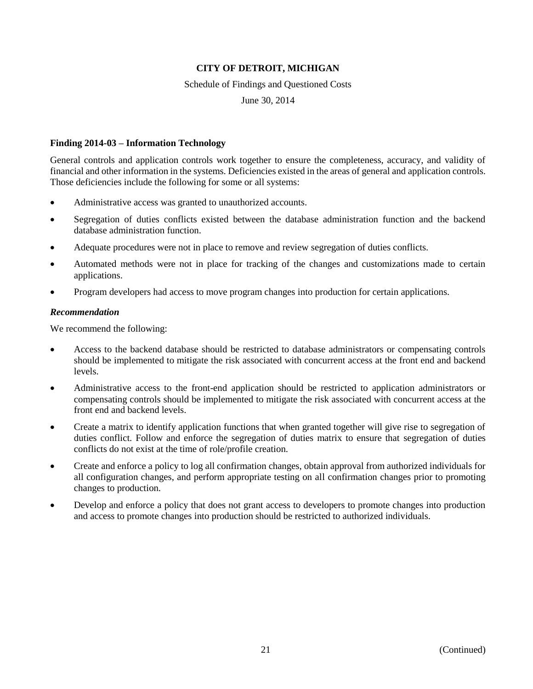### Schedule of Findings and Questioned Costs

June 30, 2014

### **Finding 2014-03 – Information Technology**

General controls and application controls work together to ensure the completeness, accuracy, and validity of financial and other information in the systems. Deficiencies existed in the areas of general and application controls. Those deficiencies include the following for some or all systems:

- Administrative access was granted to unauthorized accounts.
- Segregation of duties conflicts existed between the database administration function and the backend database administration function.
- Adequate procedures were not in place to remove and review segregation of duties conflicts.
- Automated methods were not in place for tracking of the changes and customizations made to certain applications.
- Program developers had access to move program changes into production for certain applications.

## *Recommendation*

We recommend the following:

- Access to the backend database should be restricted to database administrators or compensating controls should be implemented to mitigate the risk associated with concurrent access at the front end and backend levels.
- Administrative access to the front-end application should be restricted to application administrators or compensating controls should be implemented to mitigate the risk associated with concurrent access at the front end and backend levels.
- Create a matrix to identify application functions that when granted together will give rise to segregation of duties conflict. Follow and enforce the segregation of duties matrix to ensure that segregation of duties conflicts do not exist at the time of role/profile creation.
- Create and enforce a policy to log all confirmation changes, obtain approval from authorized individuals for all configuration changes, and perform appropriate testing on all confirmation changes prior to promoting changes to production.
- Develop and enforce a policy that does not grant access to developers to promote changes into production and access to promote changes into production should be restricted to authorized individuals.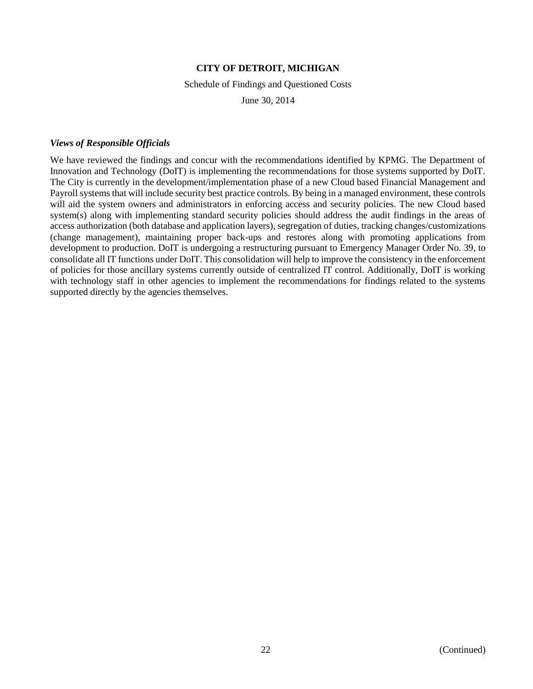### Schedule of Findings and Questioned Costs

June 30, 2014

## *Views of Responsible Officials*

We have reviewed the findings and concur with the recommendations identified by KPMG. The Department of Innovation and Technology (DoIT) is implementing the recommendations for those systems supported by DoIT. The City is currently in the development/implementation phase of a new Cloud based Financial Management and Payroll systems that will include security best practice controls. By being in a managed environment, these controls will aid the system owners and administrators in enforcing access and security policies. The new Cloud based system(s) along with implementing standard security policies should address the audit findings in the areas of access authorization (both database and application layers), segregation of duties, tracking changes/customizations (change management), maintaining proper back-ups and restores along with promoting applications from development to production. DoIT is undergoing a restructuring pursuant to Emergency Manager Order No. 39, to consolidate all IT functions under DoIT. This consolidation will help to improve the consistency in the enforcement of policies for those ancillary systems currently outside of centralized IT control. Additionally, DoIT is working with technology staff in other agencies to implement the recommendations for findings related to the systems supported directly by the agencies themselves.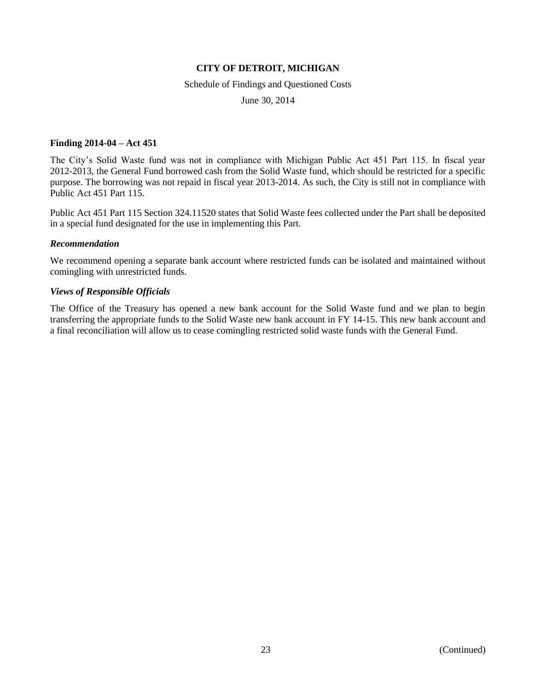### Schedule of Findings and Questioned Costs

June 30, 2014

## **Finding 2014-04 – Act 451**

The City's Solid Waste fund was not in compliance with Michigan Public Act 451 Part 115. In fiscal year 2012-2013, the General Fund borrowed cash from the Solid Waste fund, which should be restricted for a specific purpose. The borrowing was not repaid in fiscal year 2013-2014. As such, the City is still not in compliance with Public Act 451 Part 115.

Public Act 451 Part 115 Section 324.11520 states that Solid Waste fees collected under the Part shall be deposited in a special fund designated for the use in implementing this Part.

### *Recommendation*

We recommend opening a separate bank account where restricted funds can be isolated and maintained without comingling with unrestricted funds.

## *Views of Responsible Officials*

The Office of the Treasury has opened a new bank account for the Solid Waste fund and we plan to begin transferring the appropriate funds to the Solid Waste new bank account in FY 14-15. This new bank account and a final reconciliation will allow us to cease comingling restricted solid waste funds with the General Fund.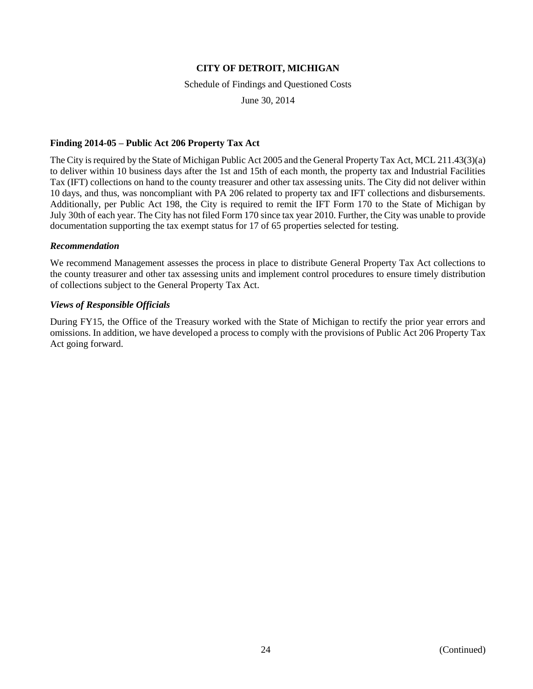### Schedule of Findings and Questioned Costs

June 30, 2014

## **Finding 2014-05 – Public Act 206 Property Tax Act**

The City is required by the State of Michigan Public Act 2005 and the General Property Tax Act, MCL 211.43(3)(a) to deliver within 10 business days after the 1st and 15th of each month, the property tax and Industrial Facilities Tax (IFT) collections on hand to the county treasurer and other tax assessing units. The City did not deliver within 10 days, and thus, was noncompliant with PA 206 related to property tax and IFT collections and disbursements. Additionally, per Public Act 198, the City is required to remit the IFT Form 170 to the State of Michigan by July 30th of each year. The City has not filed Form 170 since tax year 2010. Further, the City was unable to provide documentation supporting the tax exempt status for 17 of 65 properties selected for testing.

### *Recommendation*

We recommend Management assesses the process in place to distribute General Property Tax Act collections to the county treasurer and other tax assessing units and implement control procedures to ensure timely distribution of collections subject to the General Property Tax Act.

## *Views of Responsible Officials*

During FY15, the Office of the Treasury worked with the State of Michigan to rectify the prior year errors and omissions. In addition, we have developed a process to comply with the provisions of Public Act 206 Property Tax Act going forward.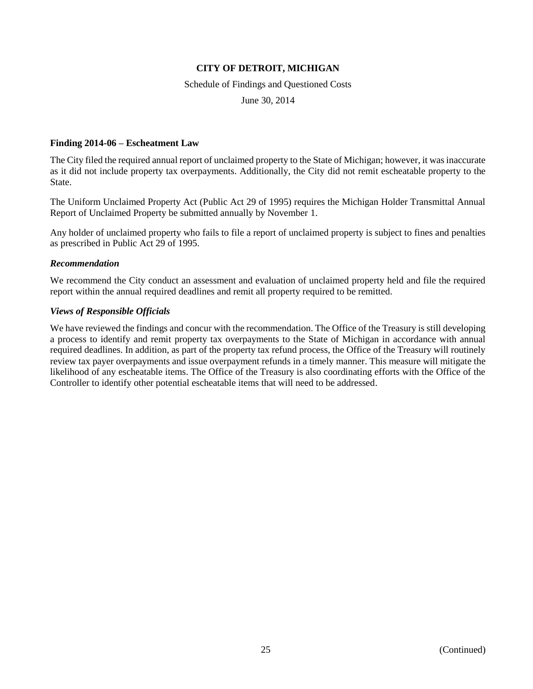### Schedule of Findings and Questioned Costs

June 30, 2014

## **Finding 2014-06 – Escheatment Law**

The City filed the required annual report of unclaimed property to the State of Michigan; however, it was inaccurate as it did not include property tax overpayments. Additionally, the City did not remit escheatable property to the State.

The Uniform Unclaimed Property Act (Public Act 29 of 1995) requires the Michigan Holder Transmittal Annual Report of Unclaimed Property be submitted annually by November 1.

Any holder of unclaimed property who fails to file a report of unclaimed property is subject to fines and penalties as prescribed in Public Act 29 of 1995.

## *Recommendation*

We recommend the City conduct an assessment and evaluation of unclaimed property held and file the required report within the annual required deadlines and remit all property required to be remitted.

# *Views of Responsible Officials*

We have reviewed the findings and concur with the recommendation. The Office of the Treasury is still developing a process to identify and remit property tax overpayments to the State of Michigan in accordance with annual required deadlines. In addition, as part of the property tax refund process, the Office of the Treasury will routinely review tax payer overpayments and issue overpayment refunds in a timely manner. This measure will mitigate the likelihood of any escheatable items. The Office of the Treasury is also coordinating efforts with the Office of the Controller to identify other potential escheatable items that will need to be addressed.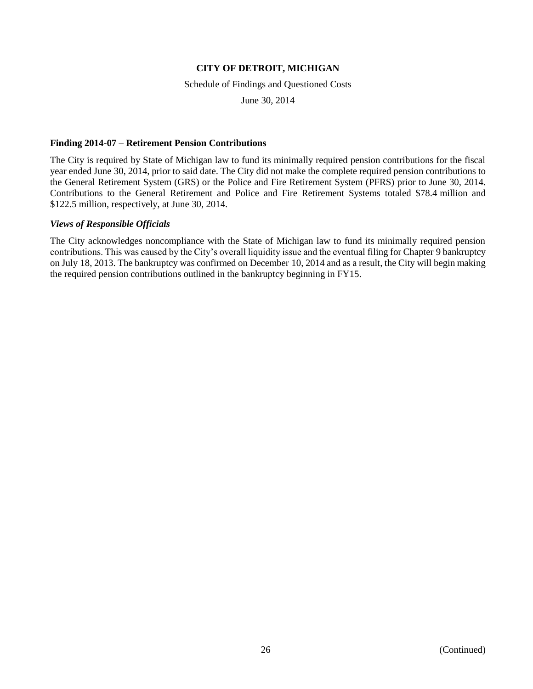## Schedule of Findings and Questioned Costs

June 30, 2014

## **Finding 2014-07 – Retirement Pension Contributions**

The City is required by State of Michigan law to fund its minimally required pension contributions for the fiscal year ended June 30, 2014, prior to said date. The City did not make the complete required pension contributions to the General Retirement System (GRS) or the Police and Fire Retirement System (PFRS) prior to June 30, 2014. Contributions to the General Retirement and Police and Fire Retirement Systems totaled \$78.4 million and \$122.5 million, respectively, at June 30, 2014.

## *Views of Responsible Officials*

The City acknowledges noncompliance with the State of Michigan law to fund its minimally required pension contributions. This was caused by the City's overall liquidity issue and the eventual filing for Chapter 9 bankruptcy on July 18, 2013. The bankruptcy was confirmed on December 10, 2014 and as a result, the City will begin making the required pension contributions outlined in the bankruptcy beginning in FY15.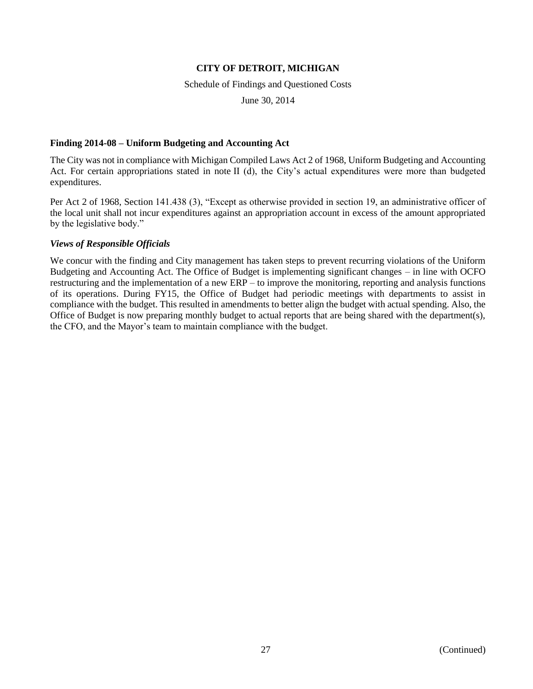Schedule of Findings and Questioned Costs

June 30, 2014

# **Finding 2014-08 – Uniform Budgeting and Accounting Act**

The City was not in compliance with Michigan Compiled Laws Act 2 of 1968, Uniform Budgeting and Accounting Act. For certain appropriations stated in note II (d), the City's actual expenditures were more than budgeted expenditures.

Per Act 2 of 1968, Section 141.438 (3), "Except as otherwise provided in section 19, an administrative officer of the local unit shall not incur expenditures against an appropriation account in excess of the amount appropriated by the legislative body."

# *Views of Responsible Officials*

We concur with the finding and City management has taken steps to prevent recurring violations of the Uniform Budgeting and Accounting Act. The Office of Budget is implementing significant changes – in line with OCFO restructuring and the implementation of a new ERP – to improve the monitoring, reporting and analysis functions of its operations. During FY15, the Office of Budget had periodic meetings with departments to assist in compliance with the budget. This resulted in amendments to better align the budget with actual spending. Also, the Office of Budget is now preparing monthly budget to actual reports that are being shared with the department(s), the CFO, and the Mayor's team to maintain compliance with the budget.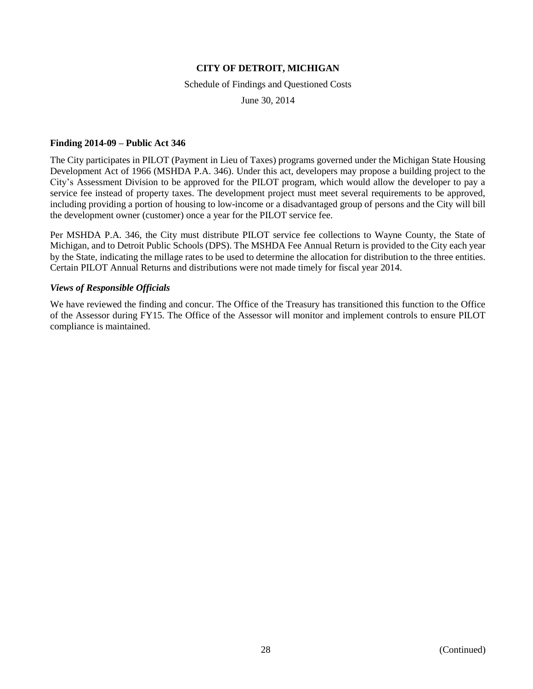### Schedule of Findings and Questioned Costs

June 30, 2014

## **Finding 2014-09 – Public Act 346**

The City participates in PILOT (Payment in Lieu of Taxes) programs governed under the Michigan State Housing Development Act of 1966 (MSHDA P.A. 346). Under this act, developers may propose a building project to the City's Assessment Division to be approved for the PILOT program, which would allow the developer to pay a service fee instead of property taxes. The development project must meet several requirements to be approved, including providing a portion of housing to low-income or a disadvantaged group of persons and the City will bill the development owner (customer) once a year for the PILOT service fee.

Per MSHDA P.A. 346, the City must distribute PILOT service fee collections to Wayne County, the State of Michigan, and to Detroit Public Schools (DPS). The MSHDA Fee Annual Return is provided to the City each year by the State, indicating the millage rates to be used to determine the allocation for distribution to the three entities. Certain PILOT Annual Returns and distributions were not made timely for fiscal year 2014.

## *Views of Responsible Officials*

We have reviewed the finding and concur. The Office of the Treasury has transitioned this function to the Office of the Assessor during FY15. The Office of the Assessor will monitor and implement controls to ensure PILOT compliance is maintained.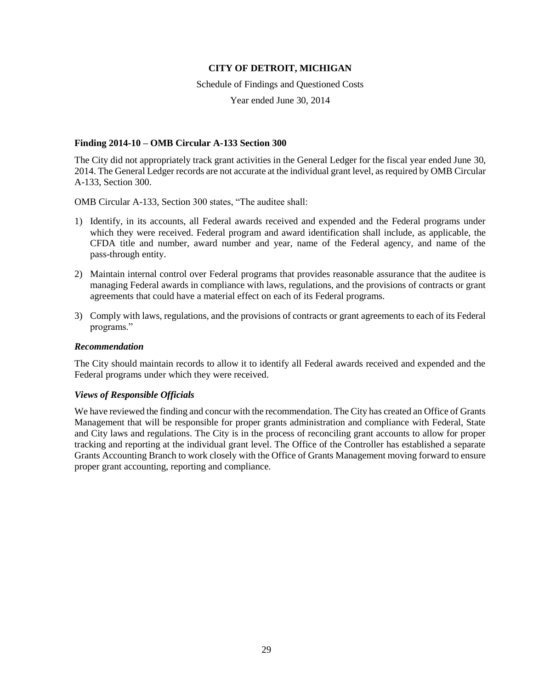Schedule of Findings and Questioned Costs

Year ended June 30, 2014

## **Finding 2014-10 – OMB Circular A-133 Section 300**

The City did not appropriately track grant activities in the General Ledger for the fiscal year ended June 30, 2014. The General Ledger records are not accurate at the individual grant level, as required by OMB Circular A-133, Section 300.

OMB Circular A-133, Section 300 states, "The auditee shall:

- 1) Identify, in its accounts, all Federal awards received and expended and the Federal programs under which they were received. Federal program and award identification shall include, as applicable, the CFDA title and number, award number and year, name of the Federal agency, and name of the pass-through entity.
- 2) Maintain internal control over Federal programs that provides reasonable assurance that the auditee is managing Federal awards in compliance with laws, regulations, and the provisions of contracts or grant agreements that could have a material effect on each of its Federal programs.
- 3) Comply with laws, regulations, and the provisions of contracts or grant agreements to each of its Federal programs."

### *Recommendation*

The City should maintain records to allow it to identify all Federal awards received and expended and the Federal programs under which they were received.

# *Views of Responsible Officials*

We have reviewed the finding and concur with the recommendation. The City has created an Office of Grants Management that will be responsible for proper grants administration and compliance with Federal, State and City laws and regulations. The City is in the process of reconciling grant accounts to allow for proper tracking and reporting at the individual grant level. The Office of the Controller has established a separate Grants Accounting Branch to work closely with the Office of Grants Management moving forward to ensure proper grant accounting, reporting and compliance.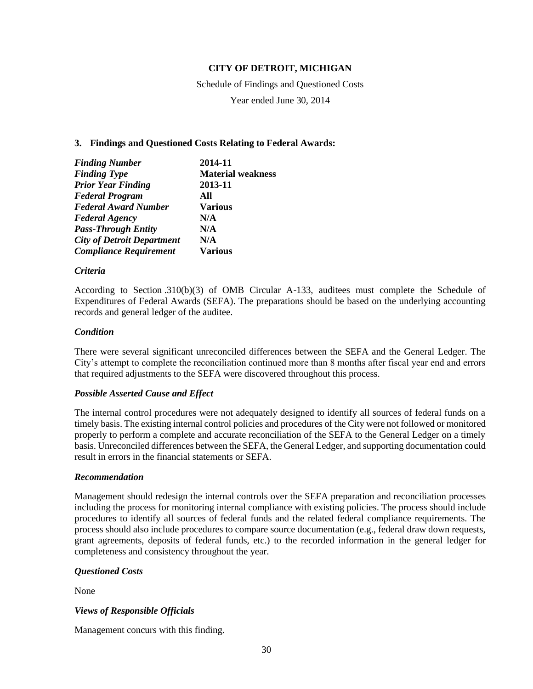Schedule of Findings and Questioned Costs Year ended June 30, 2014

## **3. Findings and Questioned Costs Relating to Federal Awards:**

| <b>Finding Number</b>             | 2014-11                  |
|-----------------------------------|--------------------------|
| <b>Finding Type</b>               | <b>Material weakness</b> |
| <b>Prior Year Finding</b>         | 2013-11                  |
| <b>Federal Program</b>            | All                      |
| <b>Federal Award Number</b>       | <b>Various</b>           |
| <b>Federal Agency</b>             | N/A                      |
| <b>Pass-Through Entity</b>        | N/A                      |
| <b>City of Detroit Department</b> | N/A                      |
| <b>Compliance Requirement</b>     | <b>Various</b>           |

### *Criteria*

According to Section .310(b)(3) of OMB Circular A-133, auditees must complete the Schedule of Expenditures of Federal Awards (SEFA). The preparations should be based on the underlying accounting records and general ledger of the auditee.

## *Condition*

There were several significant unreconciled differences between the SEFA and the General Ledger. The City's attempt to complete the reconciliation continued more than 8 months after fiscal year end and errors that required adjustments to the SEFA were discovered throughout this process.

# *Possible Asserted Cause and Effect*

The internal control procedures were not adequately designed to identify all sources of federal funds on a timely basis. The existing internal control policies and procedures of the City were not followed or monitored properly to perform a complete and accurate reconciliation of the SEFA to the General Ledger on a timely basis. Unreconciled differences between the SEFA, the General Ledger, and supporting documentation could result in errors in the financial statements or SEFA.

### *Recommendation*

Management should redesign the internal controls over the SEFA preparation and reconciliation processes including the process for monitoring internal compliance with existing policies. The process should include procedures to identify all sources of federal funds and the related federal compliance requirements. The process should also include procedures to compare source documentation (e.g., federal draw down requests, grant agreements, deposits of federal funds, etc.) to the recorded information in the general ledger for completeness and consistency throughout the year.

# *Questioned Costs*

None

# *Views of Responsible Officials*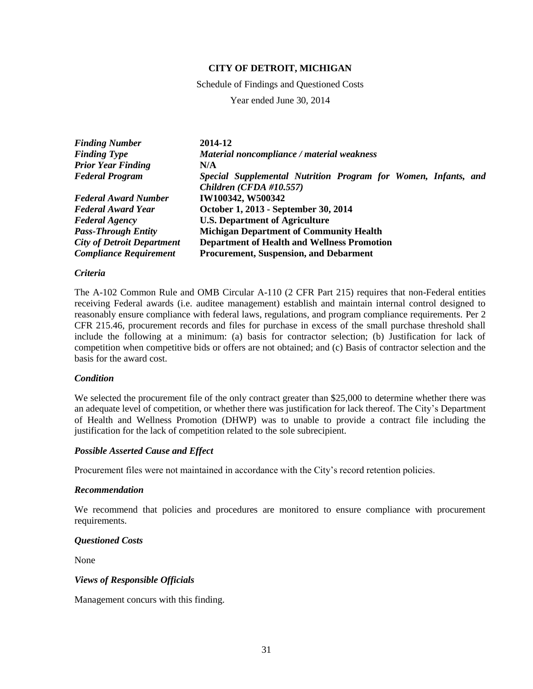Schedule of Findings and Questioned Costs

Year ended June 30, 2014

| <b>Finding Number</b>             | 2014-12                                                                                   |
|-----------------------------------|-------------------------------------------------------------------------------------------|
| <b>Finding Type</b>               | Material noncompliance / material weakness                                                |
| <b>Prior Year Finding</b>         | N/A                                                                                       |
| <b>Federal Program</b>            | Special Supplemental Nutrition Program for Women, Infants, and<br>Children (CFDA #10.557) |
| <b>Federal Award Number</b>       | IW100342, W500342                                                                         |
| <b>Federal Award Year</b>         | October 1, 2013 - September 30, 2014                                                      |
| <b>Federal Agency</b>             | <b>U.S. Department of Agriculture</b>                                                     |
| <b>Pass-Through Entity</b>        | <b>Michigan Department of Community Health</b>                                            |
| <b>City of Detroit Department</b> | <b>Department of Health and Wellness Promotion</b>                                        |
| <b>Compliance Requirement</b>     | <b>Procurement, Suspension, and Debarment</b>                                             |

### *Criteria*

The A-102 Common Rule and OMB Circular A-110 (2 CFR Part 215) requires that non-Federal entities receiving Federal awards (i.e. auditee management) establish and maintain internal control designed to reasonably ensure compliance with federal laws, regulations, and program compliance requirements. Per 2 CFR 215.46, procurement records and files for purchase in excess of the small purchase threshold shall include the following at a minimum: (a) basis for contractor selection; (b) Justification for lack of competition when competitive bids or offers are not obtained; and (c) Basis of contractor selection and the basis for the award cost.

### *Condition*

We selected the procurement file of the only contract greater than \$25,000 to determine whether there was an adequate level of competition, or whether there was justification for lack thereof. The City's Department of Health and Wellness Promotion (DHWP) was to unable to provide a contract file including the justification for the lack of competition related to the sole subrecipient.

## *Possible Asserted Cause and Effect*

Procurement files were not maintained in accordance with the City's record retention policies.

### *Recommendation*

We recommend that policies and procedures are monitored to ensure compliance with procurement requirements.

## *Questioned Costs*

None

### *Views of Responsible Officials*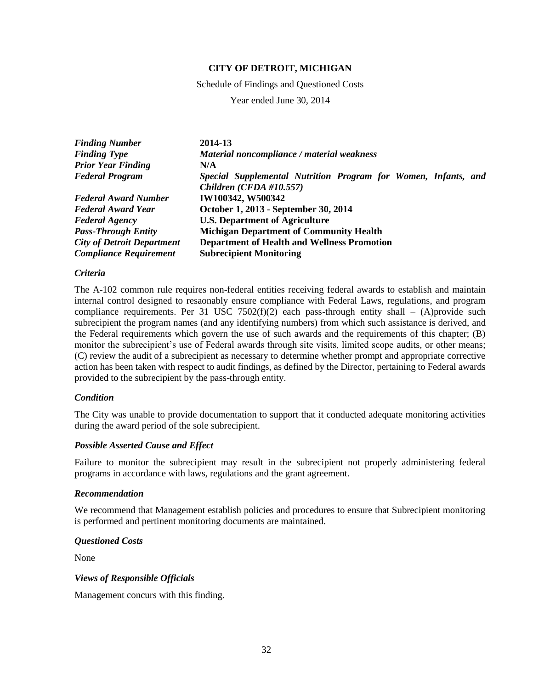Schedule of Findings and Questioned Costs

Year ended June 30, 2014

| <b>Finding Number</b>             | 2014-13                                                        |
|-----------------------------------|----------------------------------------------------------------|
| <b>Finding Type</b>               | Material noncompliance / material weakness                     |
| <b>Prior Year Finding</b>         | N/A                                                            |
| <b>Federal Program</b>            | Special Supplemental Nutrition Program for Women, Infants, and |
|                                   | Children (CFDA #10.557)                                        |
| <b>Federal Award Number</b>       | IW100342, W500342                                              |
| <b>Federal Award Year</b>         | October 1, 2013 - September 30, 2014                           |
| <b>Federal Agency</b>             | <b>U.S. Department of Agriculture</b>                          |
| <b>Pass-Through Entity</b>        | <b>Michigan Department of Community Health</b>                 |
| <b>City of Detroit Department</b> | <b>Department of Health and Wellness Promotion</b>             |
| <b>Compliance Requirement</b>     | <b>Subrecipient Monitoring</b>                                 |

### *Criteria*

The A-102 common rule requires non-federal entities receiving federal awards to establish and maintain internal control designed to resaonably ensure compliance with Federal Laws, regulations, and program compliance requirements. Per 31 USC 7502(f)(2) each pass-through entity shall – (A)provide such subrecipient the program names (and any identifying numbers) from which such assistance is derived, and the Federal requirements which govern the use of such awards and the requirements of this chapter; (B) monitor the subrecipient's use of Federal awards through site visits, limited scope audits, or other means; (C) review the audit of a subrecipient as necessary to determine whether prompt and appropriate corrective action has been taken with respect to audit findings, as defined by the Director, pertaining to Federal awards provided to the subrecipient by the pass-through entity.

### *Condition*

The City was unable to provide documentation to support that it conducted adequate monitoring activities during the award period of the sole subrecipient.

### *Possible Asserted Cause and Effect*

Failure to monitor the subrecipient may result in the subrecipient not properly administering federal programs in accordance with laws, regulations and the grant agreement.

### *Recommendation*

We recommend that Management establish policies and procedures to ensure that Subrecipient monitoring is performed and pertinent monitoring documents are maintained.

## *Questioned Costs*

None

### *Views of Responsible Officials*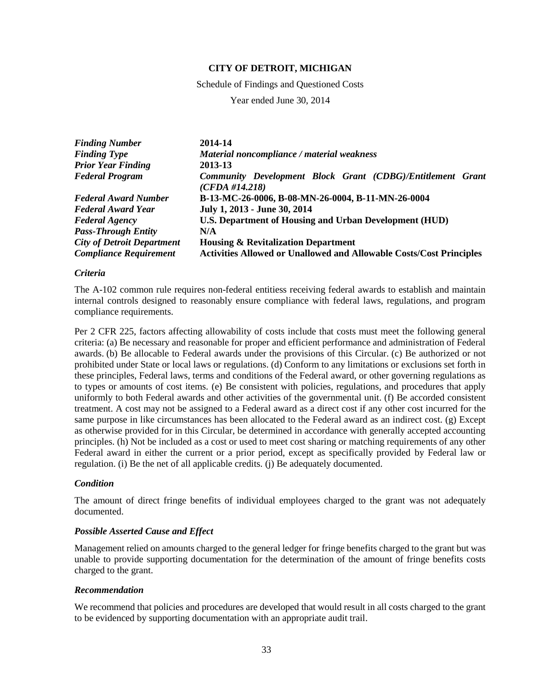Schedule of Findings and Questioned Costs

Year ended June 30, 2014

| <b>Finding Number</b>             | 2014-14                                                                      |
|-----------------------------------|------------------------------------------------------------------------------|
| <b>Finding Type</b>               | Material noncompliance / material weakness                                   |
| <b>Prior Year Finding</b>         | 2013-13                                                                      |
| <b>Federal Program</b>            | Community Development Block Grant (CDBG)/Entitlement Grant<br>(CFDA #14.218) |
| <b>Federal Award Number</b>       | B-13-MC-26-0006, B-08-MN-26-0004, B-11-MN-26-0004                            |
| <b>Federal Award Year</b>         | July 1, 2013 - June 30, 2014                                                 |
| <b>Federal Agency</b>             | <b>U.S. Department of Housing and Urban Development (HUD)</b>                |
| <b>Pass-Through Entity</b>        | N/A                                                                          |
| <b>City of Detroit Department</b> | <b>Housing &amp; Revitalization Department</b>                               |
| <b>Compliance Requirement</b>     | <b>Activities Allowed or Unallowed and Allowable Costs/Cost Principles</b>   |

### *Criteria*

The A-102 common rule requires non-federal entitiess receiving federal awards to establish and maintain internal controls designed to reasonably ensure compliance with federal laws, regulations, and program compliance requirements.

Per 2 CFR 225, factors affecting allowability of costs include that costs must meet the following general criteria: (a) Be necessary and reasonable for proper and efficient performance and administration of Federal awards. (b) Be allocable to Federal awards under the provisions of this Circular. (c) Be authorized or not prohibited under State or local laws or regulations. (d) Conform to any limitations or exclusions set forth in these principles, Federal laws, terms and conditions of the Federal award, or other governing regulations as to types or amounts of cost items. (e) Be consistent with policies, regulations, and procedures that apply uniformly to both Federal awards and other activities of the governmental unit. (f) Be accorded consistent treatment. A cost may not be assigned to a Federal award as a direct cost if any other cost incurred for the same purpose in like circumstances has been allocated to the Federal award as an indirect cost. (g) Except as otherwise provided for in this Circular, be determined in accordance with generally accepted accounting principles. (h) Not be included as a cost or used to meet cost sharing or matching requirements of any other Federal award in either the current or a prior period, except as specifically provided by Federal law or regulation. (i) Be the net of all applicable credits. (j) Be adequately documented.

# *Condition*

The amount of direct fringe benefits of individual employees charged to the grant was not adequately documented.

# *Possible Asserted Cause and Effect*

Management relied on amounts charged to the general ledger for fringe benefits charged to the grant but was unable to provide supporting documentation for the determination of the amount of fringe benefits costs charged to the grant.

### *Recommendation*

We recommend that policies and procedures are developed that would result in all costs charged to the grant to be evidenced by supporting documentation with an appropriate audit trail.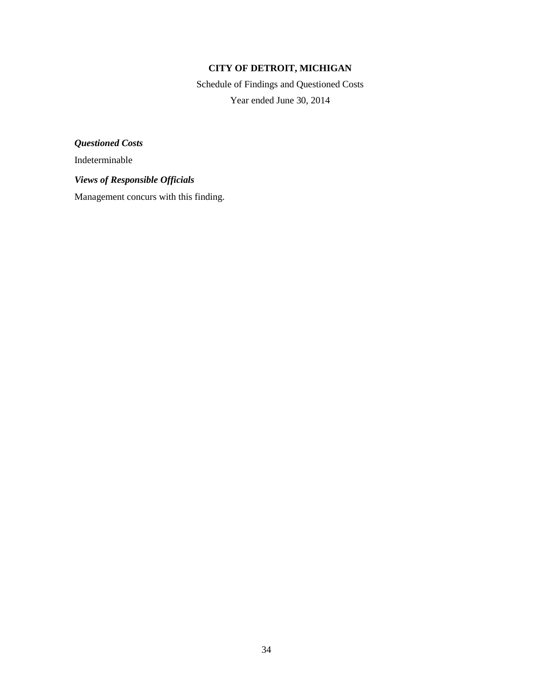Schedule of Findings and Questioned Costs Year ended June 30, 2014

*Questioned Costs*

Indeterminable

*Views of Responsible Officials*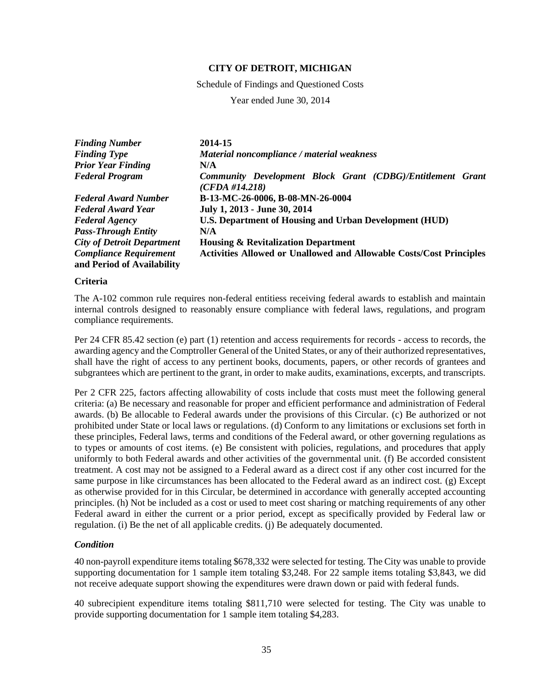Schedule of Findings and Questioned Costs

Year ended June 30, 2014

| <b>Finding Number</b>                                       | 2014-15                                                                      |
|-------------------------------------------------------------|------------------------------------------------------------------------------|
| <b>Finding Type</b>                                         | Material noncompliance / material weakness                                   |
| <b>Prior Year Finding</b>                                   | N/A                                                                          |
| <b>Federal Program</b>                                      | Community Development Block Grant (CDBG)/Entitlement Grant<br>(CFDA #14.218) |
| <b>Federal Award Number</b>                                 | B-13-MC-26-0006, B-08-MN-26-0004                                             |
| <b>Federal Award Year</b>                                   | July 1, 2013 - June 30, 2014                                                 |
| <b>Federal Agency</b>                                       | <b>U.S. Department of Housing and Urban Development (HUD)</b>                |
| <b>Pass-Through Entity</b>                                  | N/A                                                                          |
| <b>City of Detroit Department</b>                           | <b>Housing &amp; Revitalization Department</b>                               |
| <b>Compliance Requirement</b><br>and Period of Availability | <b>Activities Allowed or Unallowed and Allowable Costs/Cost Principles</b>   |

### **Criteria**

The A-102 common rule requires non-federal entitiess receiving federal awards to establish and maintain internal controls designed to reasonably ensure compliance with federal laws, regulations, and program compliance requirements.

Per 24 CFR 85.42 section (e) part (1) retention and access requirements for records - access to records, the awarding agency and the Comptroller General of the United States, or any of their authorized representatives, shall have the right of access to any pertinent books, documents, papers, or other records of grantees and subgrantees which are pertinent to the grant, in order to make audits, examinations, excerpts, and transcripts.

Per 2 CFR 225, factors affecting allowability of costs include that costs must meet the following general criteria: (a) Be necessary and reasonable for proper and efficient performance and administration of Federal awards. (b) Be allocable to Federal awards under the provisions of this Circular. (c) Be authorized or not prohibited under State or local laws or regulations. (d) Conform to any limitations or exclusions set forth in these principles, Federal laws, terms and conditions of the Federal award, or other governing regulations as to types or amounts of cost items. (e) Be consistent with policies, regulations, and procedures that apply uniformly to both Federal awards and other activities of the governmental unit. (f) Be accorded consistent treatment. A cost may not be assigned to a Federal award as a direct cost if any other cost incurred for the same purpose in like circumstances has been allocated to the Federal award as an indirect cost. (g) Except as otherwise provided for in this Circular, be determined in accordance with generally accepted accounting principles. (h) Not be included as a cost or used to meet cost sharing or matching requirements of any other Federal award in either the current or a prior period, except as specifically provided by Federal law or regulation. (i) Be the net of all applicable credits. (j) Be adequately documented.

# *Condition*

40 non-payroll expenditure items totaling \$678,332 were selected for testing. The City was unable to provide supporting documentation for 1 sample item totaling \$3,248. For 22 sample items totaling \$3,843, we did not receive adequate support showing the expenditures were drawn down or paid with federal funds.

40 subrecipient expenditure items totaling \$811,710 were selected for testing. The City was unable to provide supporting documentation for 1 sample item totaling \$4,283.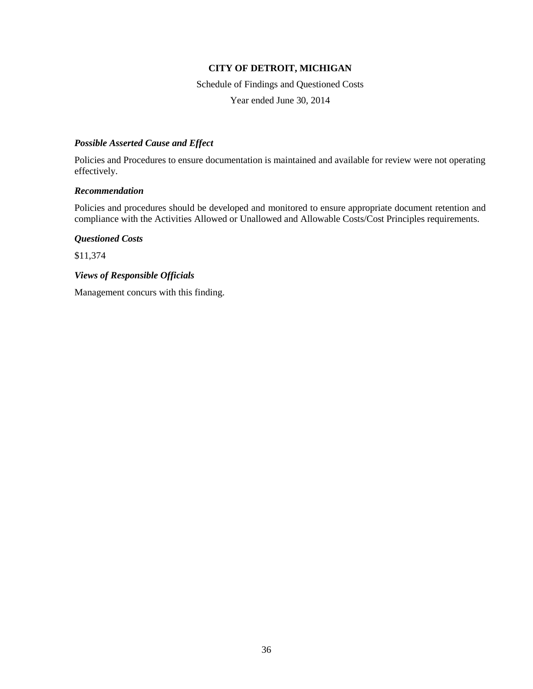Schedule of Findings and Questioned Costs Year ended June 30, 2014

# *Possible Asserted Cause and Effect*

Policies and Procedures to ensure documentation is maintained and available for review were not operating effectively.

## *Recommendation*

Policies and procedures should be developed and monitored to ensure appropriate document retention and compliance with the Activities Allowed or Unallowed and Allowable Costs/Cost Principles requirements.

*Questioned Costs*

\$11,374

# *Views of Responsible Officials*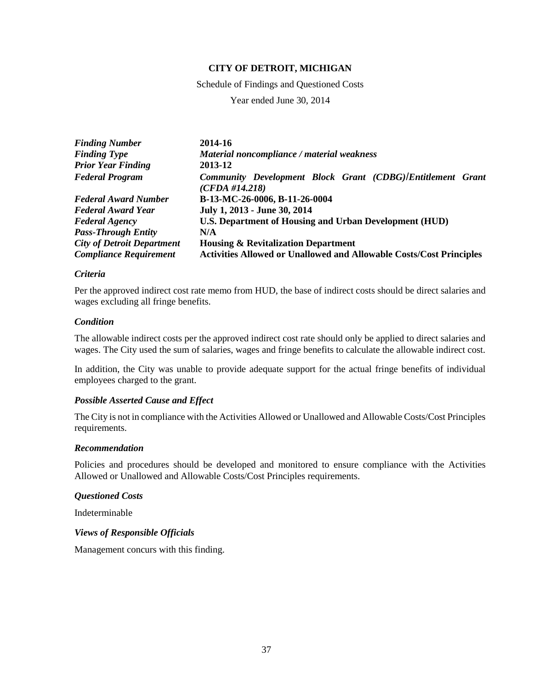Schedule of Findings and Questioned Costs

Year ended June 30, 2014

| <b>Finding Number</b>             | 2014-16                                                                      |
|-----------------------------------|------------------------------------------------------------------------------|
| <b>Finding Type</b>               | Material noncompliance / material weakness                                   |
| <b>Prior Year Finding</b>         | 2013-12                                                                      |
| <b>Federal Program</b>            | Community Development Block Grant (CDBG)/Entitlement Grant<br>(CFDA #14.218) |
| <b>Federal Award Number</b>       | B-13-MC-26-0006, B-11-26-0004                                                |
| <b>Federal Award Year</b>         | July 1, 2013 - June 30, 2014                                                 |
| <b>Federal Agency</b>             | U.S. Department of Housing and Urban Development (HUD)                       |
| <b>Pass-Through Entity</b>        | N/A                                                                          |
| <b>City of Detroit Department</b> | <b>Housing &amp; Revitalization Department</b>                               |
| <b>Compliance Requirement</b>     | <b>Activities Allowed or Unallowed and Allowable Costs/Cost Principles</b>   |

### *Criteria*

Per the approved indirect cost rate memo from HUD, the base of indirect costs should be direct salaries and wages excluding all fringe benefits.

# *Condition*

The allowable indirect costs per the approved indirect cost rate should only be applied to direct salaries and wages. The City used the sum of salaries, wages and fringe benefits to calculate the allowable indirect cost.

In addition, the City was unable to provide adequate support for the actual fringe benefits of individual employees charged to the grant.

### *Possible Asserted Cause and Effect*

The City is not in compliance with the Activities Allowed or Unallowed and Allowable Costs/Cost Principles requirements.

### *Recommendation*

Policies and procedures should be developed and monitored to ensure compliance with the Activities Allowed or Unallowed and Allowable Costs/Cost Principles requirements.

### *Questioned Costs*

Indeterminable

### *Views of Responsible Officials*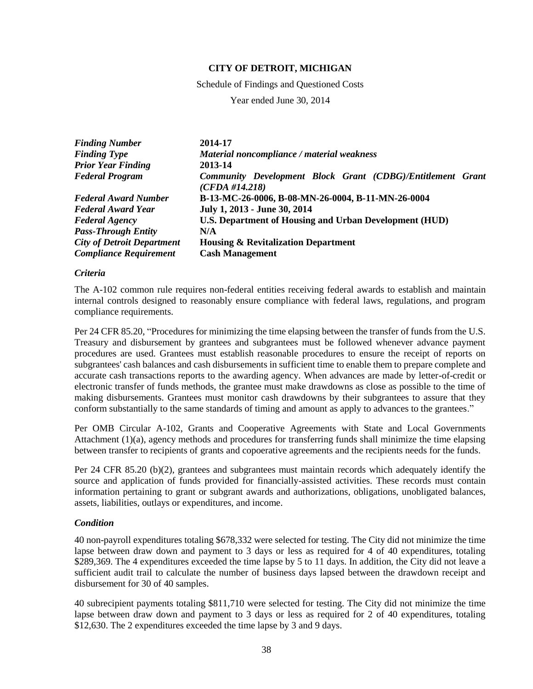Schedule of Findings and Questioned Costs

Year ended June 30, 2014

| <b>Finding Number</b>             | 2014-17                                                                      |
|-----------------------------------|------------------------------------------------------------------------------|
| <b>Finding Type</b>               | Material noncompliance / material weakness                                   |
| <b>Prior Year Finding</b>         | 2013-14                                                                      |
| <b>Federal Program</b>            | Community Development Block Grant (CDBG)/Entitlement Grant<br>(CFDA #14.218) |
| <b>Federal Award Number</b>       | B-13-MC-26-0006, B-08-MN-26-0004, B-11-MN-26-0004                            |
| <b>Federal Award Year</b>         | July 1, 2013 - June 30, 2014                                                 |
| <b>Federal Agency</b>             | <b>U.S. Department of Housing and Urban Development (HUD)</b>                |
| <b>Pass-Through Entity</b>        | N/A                                                                          |
| <b>City of Detroit Department</b> | <b>Housing &amp; Revitalization Department</b>                               |
| <b>Compliance Requirement</b>     | <b>Cash Management</b>                                                       |

### *Criteria*

The A-102 common rule requires non-federal entities receiving federal awards to establish and maintain internal controls designed to reasonably ensure compliance with federal laws, regulations, and program compliance requirements.

Per 24 CFR 85.20, "Procedures for minimizing the time elapsing between the transfer of funds from the U.S. Treasury and disbursement by grantees and subgrantees must be followed whenever advance payment procedures are used. Grantees must establish reasonable procedures to ensure the receipt of reports on subgrantees' cash balances and cash disbursements in sufficient time to enable them to prepare complete and accurate cash transactions reports to the awarding agency. When advances are made by letter-of-credit or electronic transfer of funds methods, the grantee must make drawdowns as close as possible to the time of making disbursements. Grantees must monitor cash drawdowns by their subgrantees to assure that they conform substantially to the same standards of timing and amount as apply to advances to the grantees."

Per OMB Circular A-102, Grants and Cooperative Agreements with State and Local Governments Attachment (1)(a), agency methods and procedures for transferring funds shall minimize the time elapsing between transfer to recipients of grants and copoerative agreements and the recipients needs for the funds.

Per 24 CFR 85.20 (b)(2), grantees and subgrantees must maintain records which adequately identify the source and application of funds provided for financially-assisted activities. These records must contain information pertaining to grant or subgrant awards and authorizations, obligations, unobligated balances, assets, liabilities, outlays or expenditures, and income.

# *Condition*

40 non-payroll expenditures totaling \$678,332 were selected for testing. The City did not minimize the time lapse between draw down and payment to 3 days or less as required for 4 of 40 expenditures, totaling \$289,369. The 4 expenditures exceeded the time lapse by 5 to 11 days. In addition, the City did not leave a sufficient audit trail to calculate the number of business days lapsed between the drawdown receipt and disbursement for 30 of 40 samples.

40 subrecipient payments totaling \$811,710 were selected for testing. The City did not minimize the time lapse between draw down and payment to 3 days or less as required for 2 of 40 expenditures, totaling \$12,630. The 2 expenditures exceeded the time lapse by 3 and 9 days.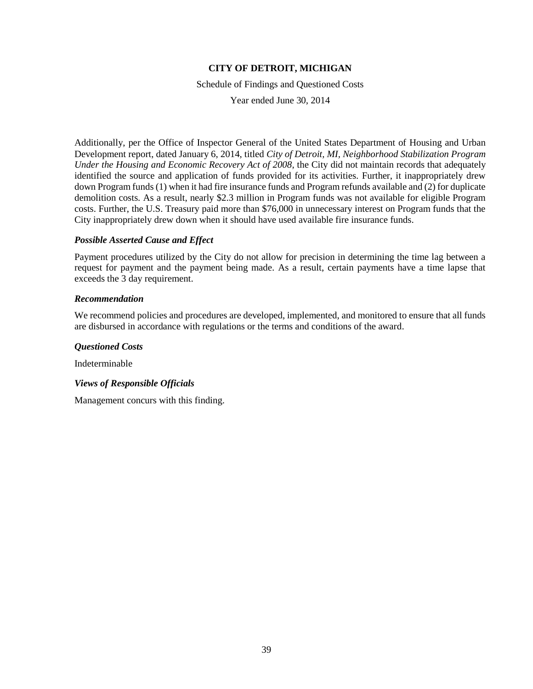Schedule of Findings and Questioned Costs

Year ended June 30, 2014

Additionally, per the Office of Inspector General of the United States Department of Housing and Urban Development report, dated January 6, 2014, titled *City of Detroit, MI, Neighborhood Stabilization Program Under the Housing and Economic Recovery Act of 2008*, the City did not maintain records that adequately identified the source and application of funds provided for its activities. Further, it inappropriately drew down Program funds (1) when it had fire insurance funds and Program refunds available and (2) for duplicate demolition costs. As a result, nearly \$2.3 million in Program funds was not available for eligible Program costs. Further, the U.S. Treasury paid more than \$76,000 in unnecessary interest on Program funds that the City inappropriately drew down when it should have used available fire insurance funds.

## *Possible Asserted Cause and Effect*

Payment procedures utilized by the City do not allow for precision in determining the time lag between a request for payment and the payment being made. As a result, certain payments have a time lapse that exceeds the 3 day requirement.

## *Recommendation*

We recommend policies and procedures are developed, implemented, and monitored to ensure that all funds are disbursed in accordance with regulations or the terms and conditions of the award.

### *Questioned Costs*

Indeterminable

# *Views of Responsible Officials*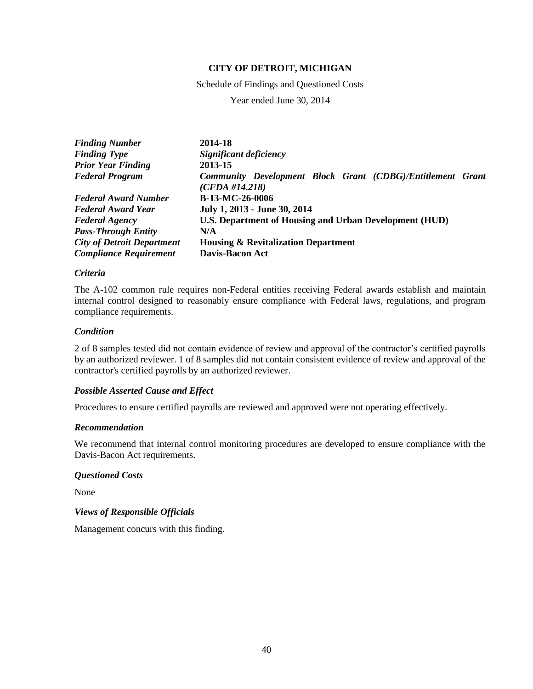Schedule of Findings and Questioned Costs

Year ended June 30, 2014

| 2014-18                                                                      |
|------------------------------------------------------------------------------|
| Significant deficiency                                                       |
| 2013-15                                                                      |
| Community Development Block Grant (CDBG)/Entitlement Grant<br>(CFDA #14.218) |
| B-13-MC-26-0006                                                              |
| July 1, 2013 - June 30, 2014                                                 |
| U.S. Department of Housing and Urban Development (HUD)                       |
| N/A                                                                          |
| <b>Housing &amp; Revitalization Department</b>                               |
| <b>Davis-Bacon Act</b>                                                       |
|                                                                              |

## *Criteria*

The A-102 common rule requires non-Federal entities receiving Federal awards establish and maintain internal control designed to reasonably ensure compliance with Federal laws, regulations, and program compliance requirements.

# *Condition*

2 of 8 samples tested did not contain evidence of review and approval of the contractor's certified payrolls by an authorized reviewer. 1 of 8 samples did not contain consistent evidence of review and approval of the contractor's certified payrolls by an authorized reviewer.

### *Possible Asserted Cause and Effect*

Procedures to ensure certified payrolls are reviewed and approved were not operating effectively.

### *Recommendation*

We recommend that internal control monitoring procedures are developed to ensure compliance with the Davis-Bacon Act requirements.

### *Questioned Costs*

None

*Views of Responsible Officials*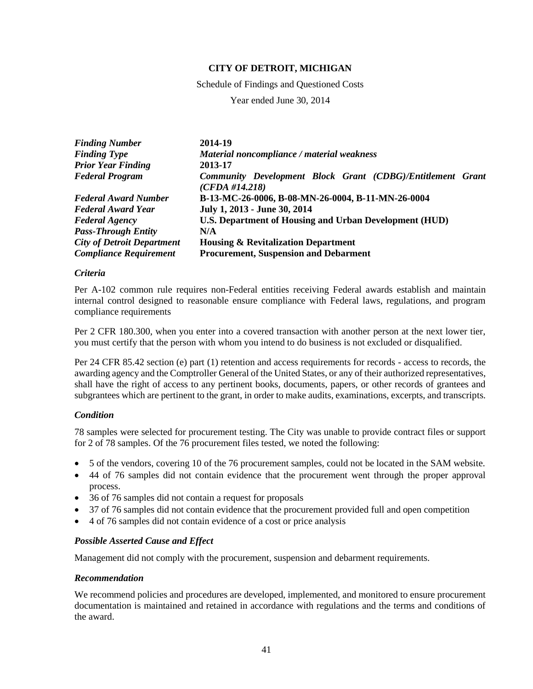Schedule of Findings and Questioned Costs

Year ended June 30, 2014

| <b>Finding Number</b>             | 2014-19                                                                      |
|-----------------------------------|------------------------------------------------------------------------------|
| <b>Finding Type</b>               | Material noncompliance / material weakness                                   |
| <b>Prior Year Finding</b>         | 2013-17                                                                      |
| <b>Federal Program</b>            | Community Development Block Grant (CDBG)/Entitlement Grant<br>(CFDA #14.218) |
| <b>Federal Award Number</b>       | B-13-MC-26-0006, B-08-MN-26-0004, B-11-MN-26-0004                            |
| <b>Federal Award Year</b>         | July 1, 2013 - June 30, 2014                                                 |
| <b>Federal Agency</b>             | <b>U.S. Department of Housing and Urban Development (HUD)</b>                |
| <b>Pass-Through Entity</b>        | N/A                                                                          |
| <b>City of Detroit Department</b> | <b>Housing &amp; Revitalization Department</b>                               |
| <b>Compliance Requirement</b>     | <b>Procurement, Suspension and Debarment</b>                                 |

### *Criteria*

Per A-102 common rule requires non-Federal entities receiving Federal awards establish and maintain internal control designed to reasonable ensure compliance with Federal laws, regulations, and program compliance requirements

Per 2 CFR 180.300, when you enter into a covered transaction with another person at the next lower tier, you must certify that the person with whom you intend to do business is not excluded or disqualified.

Per 24 CFR 85.42 section (e) part (1) retention and access requirements for records - access to records, the awarding agency and the Comptroller General of the United States, or any of their authorized representatives, shall have the right of access to any pertinent books, documents, papers, or other records of grantees and subgrantees which are pertinent to the grant, in order to make audits, examinations, excerpts, and transcripts.

# *Condition*

78 samples were selected for procurement testing. The City was unable to provide contract files or support for 2 of 78 samples. Of the 76 procurement files tested, we noted the following:

- 5 of the vendors, covering 10 of the 76 procurement samples, could not be located in the SAM website.
- 44 of 76 samples did not contain evidence that the procurement went through the proper approval process.
- 36 of 76 samples did not contain a request for proposals
- 37 of 76 samples did not contain evidence that the procurement provided full and open competition
- 4 of 76 samples did not contain evidence of a cost or price analysis

# *Possible Asserted Cause and Effect*

Management did not comply with the procurement, suspension and debarment requirements.

### *Recommendation*

We recommend policies and procedures are developed, implemented, and monitored to ensure procurement documentation is maintained and retained in accordance with regulations and the terms and conditions of the award.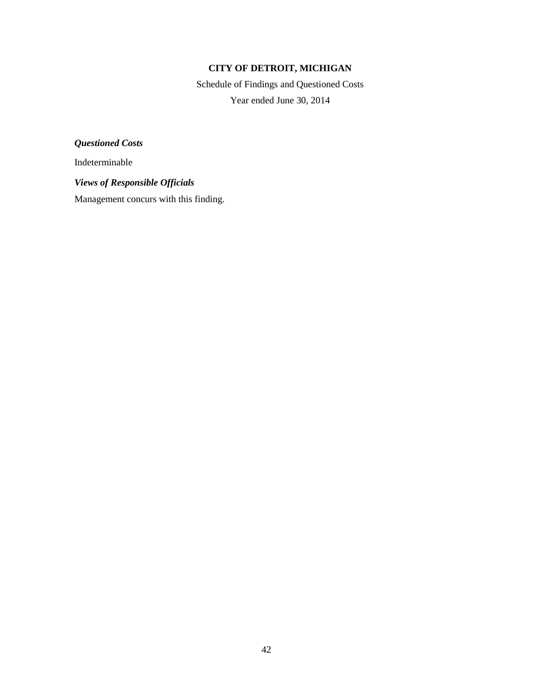Schedule of Findings and Questioned Costs Year ended June 30, 2014

*Questioned Costs*

Indeterminable

*Views of Responsible Officials*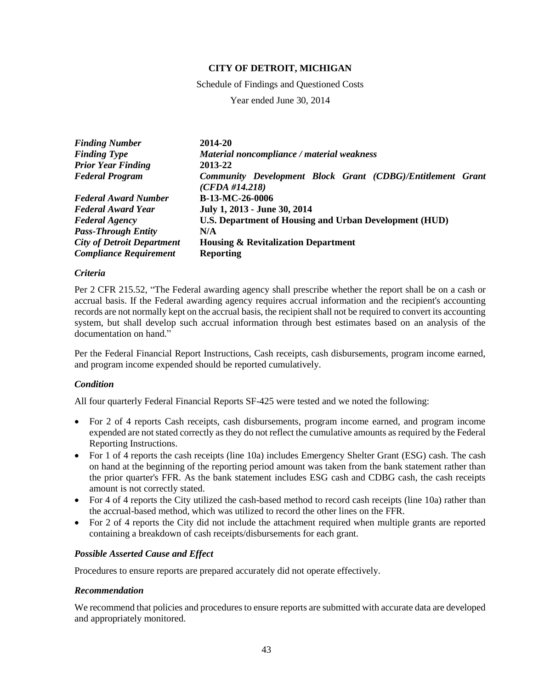Schedule of Findings and Questioned Costs

Year ended June 30, 2014

| <b>Finding Number</b>             | 2014-20                                                                      |
|-----------------------------------|------------------------------------------------------------------------------|
| <b>Finding Type</b>               | Material noncompliance / material weakness                                   |
| <b>Prior Year Finding</b>         | 2013-22                                                                      |
| <b>Federal Program</b>            | Community Development Block Grant (CDBG)/Entitlement Grant<br>(CFDA #14.218) |
| <b>Federal Award Number</b>       | B-13-MC-26-0006                                                              |
| <b>Federal Award Year</b>         | July 1, 2013 - June 30, 2014                                                 |
| <b>Federal Agency</b>             | U.S. Department of Housing and Urban Development (HUD)                       |
| <b>Pass-Through Entity</b>        | N/A                                                                          |
| <b>City of Detroit Department</b> | <b>Housing &amp; Revitalization Department</b>                               |
| <b>Compliance Requirement</b>     | <b>Reporting</b>                                                             |

### *Criteria*

Per 2 CFR 215.52, "The Federal awarding agency shall prescribe whether the report shall be on a cash or accrual basis. If the Federal awarding agency requires accrual information and the recipient's accounting records are not normally kept on the accrual basis, the recipient shall not be required to convert its accounting system, but shall develop such accrual information through best estimates based on an analysis of the documentation on hand."

Per the Federal Financial Report Instructions, Cash receipts, cash disbursements, program income earned, and program income expended should be reported cumulatively.

# *Condition*

All four quarterly Federal Financial Reports SF-425 were tested and we noted the following:

- For 2 of 4 reports Cash receipts, cash disbursements, program income earned, and program income expended are not stated correctly as they do not reflect the cumulative amounts as required by the Federal Reporting Instructions.
- For 1 of 4 reports the cash receipts (line 10a) includes Emergency Shelter Grant (ESG) cash. The cash on hand at the beginning of the reporting period amount was taken from the bank statement rather than the prior quarter's FFR. As the bank statement includes ESG cash and CDBG cash, the cash receipts amount is not correctly stated.
- For 4 of 4 reports the City utilized the cash-based method to record cash receipts (line 10a) rather than the accrual-based method, which was utilized to record the other lines on the FFR.
- For 2 of 4 reports the City did not include the attachment required when multiple grants are reported containing a breakdown of cash receipts/disbursements for each grant.

### *Possible Asserted Cause and Effect*

Procedures to ensure reports are prepared accurately did not operate effectively.

### *Recommendation*

We recommend that policies and procedures to ensure reports are submitted with accurate data are developed and appropriately monitored.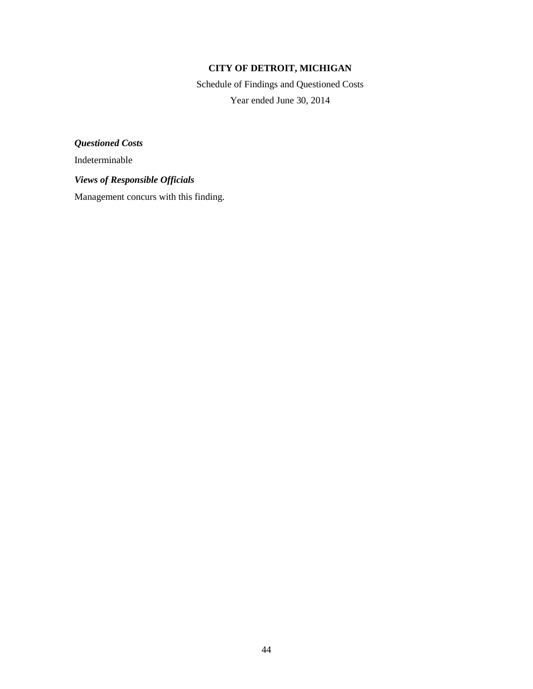Schedule of Findings and Questioned Costs Year ended June 30, 2014

*Questioned Costs*

Indeterminable

*Views of Responsible Officials*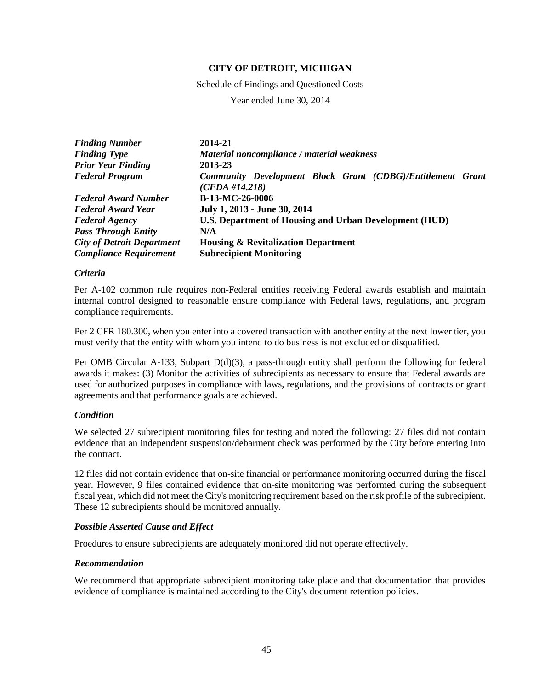Schedule of Findings and Questioned Costs

Year ended June 30, 2014

| <b>Finding Number</b>             | 2014-21                                                                      |
|-----------------------------------|------------------------------------------------------------------------------|
| <b>Finding Type</b>               | Material noncompliance / material weakness                                   |
| <b>Prior Year Finding</b>         | 2013-23                                                                      |
| <b>Federal Program</b>            | Community Development Block Grant (CDBG)/Entitlement Grant<br>(CFDA #14.218) |
| <b>Federal Award Number</b>       | B-13-MC-26-0006                                                              |
| <b>Federal Award Year</b>         | July 1, 2013 - June 30, 2014                                                 |
| <b>Federal Agency</b>             | U.S. Department of Housing and Urban Development (HUD)                       |
| <b>Pass-Through Entity</b>        | N/A                                                                          |
| <b>City of Detroit Department</b> | <b>Housing &amp; Revitalization Department</b>                               |
| <b>Compliance Requirement</b>     | <b>Subrecipient Monitoring</b>                                               |

## *Criteria*

Per A-102 common rule requires non-Federal entities receiving Federal awards establish and maintain internal control designed to reasonable ensure compliance with Federal laws, regulations, and program compliance requirements.

Per 2 CFR 180.300, when you enter into a covered transaction with another entity at the next lower tier, you must verify that the entity with whom you intend to do business is not excluded or disqualified.

Per OMB Circular A-133, Subpart D(d)(3), a pass-through entity shall perform the following for federal awards it makes: (3) Monitor the activities of subrecipients as necessary to ensure that Federal awards are used for authorized purposes in compliance with laws, regulations, and the provisions of contracts or grant agreements and that performance goals are achieved.

### *Condition*

We selected 27 subrecipient monitoring files for testing and noted the following: 27 files did not contain evidence that an independent suspension/debarment check was performed by the City before entering into the contract.

12 files did not contain evidence that on-site financial or performance monitoring occurred during the fiscal year. However, 9 files contained evidence that on-site monitoring was performed during the subsequent fiscal year, which did not meet the City's monitoring requirement based on the risk profile of the subrecipient. These 12 subrecipients should be monitored annually.

### *Possible Asserted Cause and Effect*

Proedures to ensure subrecipients are adequately monitored did not operate effectively.

### *Recommendation*

We recommend that appropriate subrecipient monitoring take place and that documentation that provides evidence of compliance is maintained according to the City's document retention policies.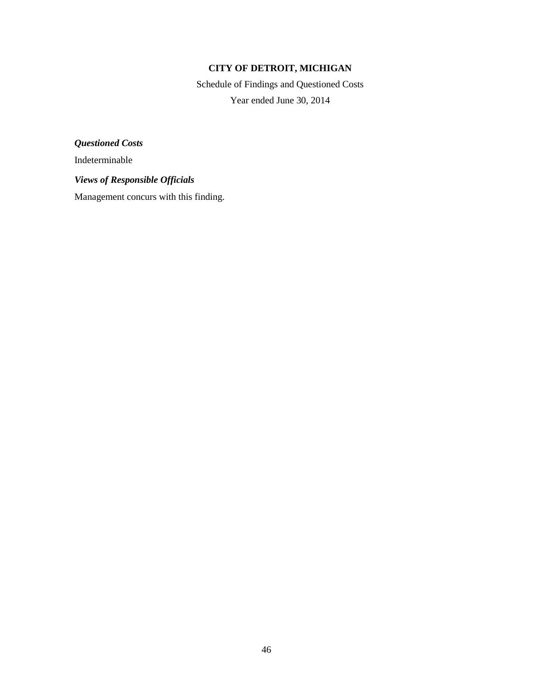Schedule of Findings and Questioned Costs Year ended June 30, 2014

*Questioned Costs*

Indeterminable

*Views of Responsible Officials*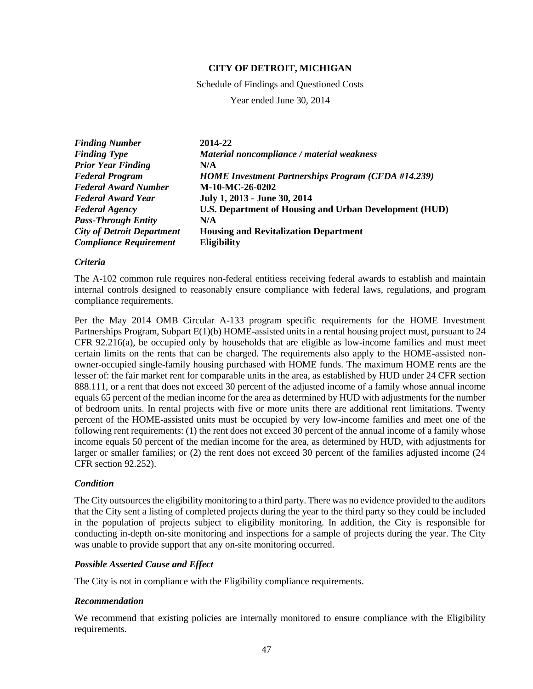Schedule of Findings and Questioned Costs

Year ended June 30, 2014

| <b>Finding Number</b>             | 2014-22                                                       |
|-----------------------------------|---------------------------------------------------------------|
| <b>Finding Type</b>               | Material noncompliance / material weakness                    |
| <b>Prior Year Finding</b>         | N/A                                                           |
| <b>Federal Program</b>            | <b>HOME Investment Partnerships Program (CFDA #14.239)</b>    |
| <b>Federal Award Number</b>       | M-10-MC-26-0202                                               |
| <b>Federal Award Year</b>         | July 1, 2013 - June 30, 2014                                  |
| <b>Federal Agency</b>             | <b>U.S. Department of Housing and Urban Development (HUD)</b> |
| <b>Pass-Through Entity</b>        | N/A                                                           |
| <b>City of Detroit Department</b> | <b>Housing and Revitalization Department</b>                  |
| <b>Compliance Requirement</b>     | <b>Eligibility</b>                                            |

### *Criteria*

The A-102 common rule requires non-federal entitiess receiving federal awards to establish and maintain internal controls designed to reasonably ensure compliance with federal laws, regulations, and program compliance requirements.

Per the May 2014 OMB Circular A-133 program specific requirements for the HOME Investment Partnerships Program, Subpart E(1)(b) HOME-assisted units in a rental housing project must, pursuant to 24 CFR 92.216(a), be occupied only by households that are eligible as low-income families and must meet certain limits on the rents that can be charged. The requirements also apply to the HOME-assisted nonowner-occupied single-family housing purchased with HOME funds. The maximum HOME rents are the lesser of: the fair market rent for comparable units in the area, as established by HUD under 24 CFR section 888.111, or a rent that does not exceed 30 percent of the adjusted income of a family whose annual income equals 65 percent of the median income for the area as determined by HUD with adjustments for the number of bedroom units. In rental projects with five or more units there are additional rent limitations. Twenty percent of the HOME-assisted units must be occupied by very low-income families and meet one of the following rent requirements: (1) the rent does not exceed 30 percent of the annual income of a family whose income equals 50 percent of the median income for the area, as determined by HUD, with adjustments for larger or smaller families; or (2) the rent does not exceed 30 percent of the families adjusted income (24 CFR section 92.252).

### *Condition*

The City outsources the eligibility monitoring to a third party. There was no evidence provided to the auditors that the City sent a listing of completed projects during the year to the third party so they could be included in the population of projects subject to eligibility monitoring. In addition, the City is responsible for conducting in-depth on-site monitoring and inspections for a sample of projects during the year. The City was unable to provide support that any on-site monitoring occurred.

# *Possible Asserted Cause and Effect*

The City is not in compliance with the Eligibility compliance requirements.

### *Recommendation*

We recommend that existing policies are internally monitored to ensure compliance with the Eligibility requirements.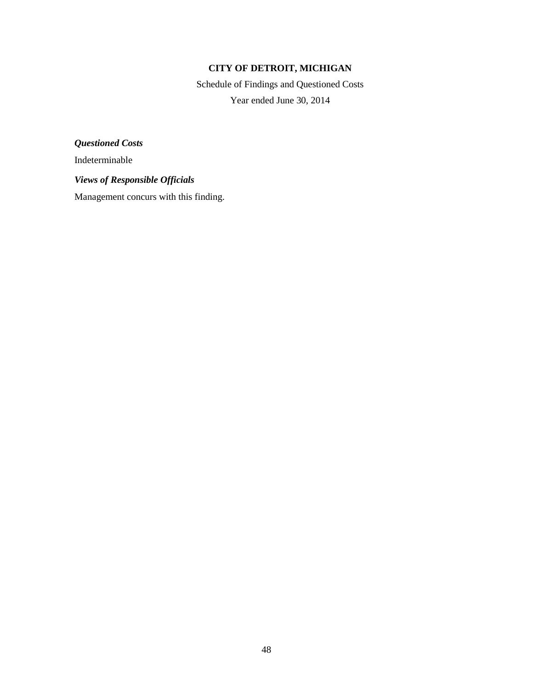Schedule of Findings and Questioned Costs Year ended June 30, 2014

*Questioned Costs*

Indeterminable

*Views of Responsible Officials*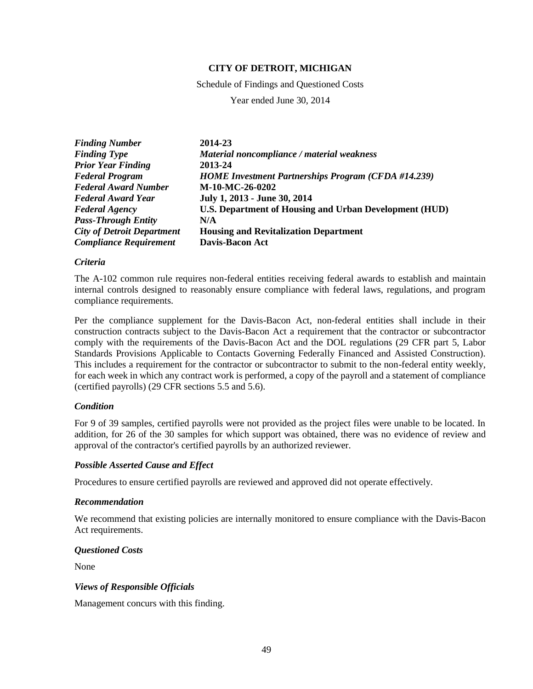Schedule of Findings and Questioned Costs

Year ended June 30, 2014

| <b>Finding Number</b>             | 2014-23                                                       |
|-----------------------------------|---------------------------------------------------------------|
| <b>Finding Type</b>               | Material noncompliance / material weakness                    |
| <b>Prior Year Finding</b>         | 2013-24                                                       |
| <b>Federal Program</b>            | <b>HOME Investment Partnerships Program (CFDA #14.239)</b>    |
| <b>Federal Award Number</b>       | M-10-MC-26-0202                                               |
| <b>Federal Award Year</b>         | July 1, 2013 - June 30, 2014                                  |
| <b>Federal Agency</b>             | <b>U.S. Department of Housing and Urban Development (HUD)</b> |
| <b>Pass-Through Entity</b>        | N/A                                                           |
| <b>City of Detroit Department</b> | <b>Housing and Revitalization Department</b>                  |
| <b>Compliance Requirement</b>     | <b>Davis-Bacon Act</b>                                        |

### *Criteria*

The A-102 common rule requires non-federal entities receiving federal awards to establish and maintain internal controls designed to reasonably ensure compliance with federal laws, regulations, and program compliance requirements.

Per the compliance supplement for the Davis-Bacon Act, non-federal entities shall include in their construction contracts subject to the Davis-Bacon Act a requirement that the contractor or subcontractor comply with the requirements of the Davis-Bacon Act and the DOL regulations (29 CFR part 5, Labor Standards Provisions Applicable to Contacts Governing Federally Financed and Assisted Construction). This includes a requirement for the contractor or subcontractor to submit to the non-federal entity weekly, for each week in which any contract work is performed, a copy of the payroll and a statement of compliance (certified payrolls) (29 CFR sections 5.5 and 5.6).

### *Condition*

For 9 of 39 samples, certified payrolls were not provided as the project files were unable to be located. In addition, for 26 of the 30 samples for which support was obtained, there was no evidence of review and approval of the contractor's certified payrolls by an authorized reviewer.

### *Possible Asserted Cause and Effect*

Procedures to ensure certified payrolls are reviewed and approved did not operate effectively.

### *Recommendation*

We recommend that existing policies are internally monitored to ensure compliance with the Davis-Bacon Act requirements.

### *Questioned Costs*

None

### *Views of Responsible Officials*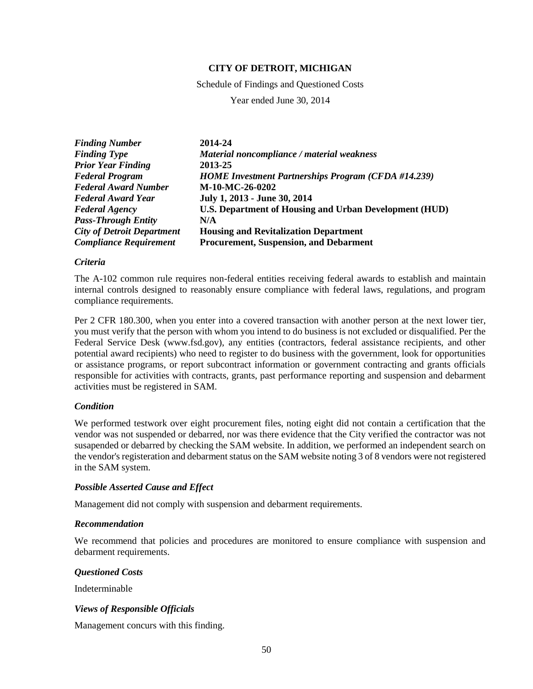Schedule of Findings and Questioned Costs

Year ended June 30, 2014

| <b>Finding Number</b>             | 2014-24                                                       |
|-----------------------------------|---------------------------------------------------------------|
| <b>Finding Type</b>               | Material noncompliance / material weakness                    |
| <b>Prior Year Finding</b>         | 2013-25                                                       |
| <b>Federal Program</b>            | <b>HOME Investment Partnerships Program (CFDA #14.239)</b>    |
| <b>Federal Award Number</b>       | M-10-MC-26-0202                                               |
| <b>Federal Award Year</b>         | July 1, 2013 - June 30, 2014                                  |
| <b>Federal Agency</b>             | <b>U.S. Department of Housing and Urban Development (HUD)</b> |
| <b>Pass-Through Entity</b>        | N/A                                                           |
| <b>City of Detroit Department</b> | <b>Housing and Revitalization Department</b>                  |
| <b>Compliance Requirement</b>     | <b>Procurement, Suspension, and Debarment</b>                 |

### *Criteria*

The A-102 common rule requires non-federal entities receiving federal awards to establish and maintain internal controls designed to reasonably ensure compliance with federal laws, regulations, and program compliance requirements.

Per 2 CFR 180.300, when you enter into a covered transaction with another person at the next lower tier, you must verify that the person with whom you intend to do business is not excluded or disqualified. Per the Federal Service Desk (www.fsd.gov), any entities (contractors, federal assistance recipients, and other potential award recipients) who need to register to do business with the government, look for opportunities or assistance programs, or report subcontract information or government contracting and grants officials responsible for activities with contracts, grants, past performance reporting and suspension and debarment activities must be registered in SAM.

### *Condition*

We performed testwork over eight procurement files, noting eight did not contain a certification that the vendor was not suspended or debarred, nor was there evidence that the City verified the contractor was not susapended or debarred by checking the SAM website. In addition, we performed an independent search on the vendor's registeration and debarment status on the SAM website noting 3 of 8 vendors were not registered in the SAM system.

## *Possible Asserted Cause and Effect*

Management did not comply with suspension and debarment requirements.

### *Recommendation*

We recommend that policies and procedures are monitored to ensure compliance with suspension and debarment requirements.

### *Questioned Costs*

Indeterminable

# *Views of Responsible Officials*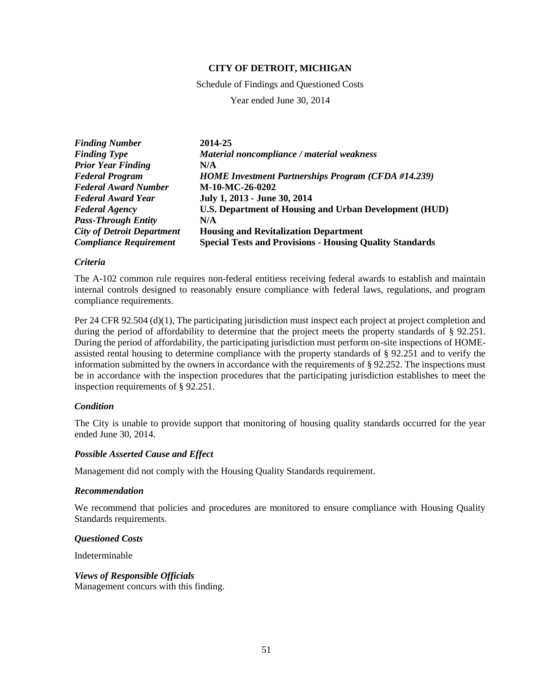Schedule of Findings and Questioned Costs

Year ended June 30, 2014

| <b>Finding Number</b>             | 2014-25                                                         |
|-----------------------------------|-----------------------------------------------------------------|
| <b>Finding Type</b>               | Material noncompliance / material weakness                      |
| <b>Prior Year Finding</b>         | N/A                                                             |
| <b>Federal Program</b>            | <b>HOME Investment Partnerships Program (CFDA #14.239)</b>      |
| <b>Federal Award Number</b>       | M-10-MC-26-0202                                                 |
| <b>Federal Award Year</b>         | July 1, 2013 - June 30, 2014                                    |
| <b>Federal Agency</b>             | U.S. Department of Housing and Urban Development (HUD)          |
| <b>Pass-Through Entity</b>        | N/A                                                             |
| <b>City of Detroit Department</b> | <b>Housing and Revitalization Department</b>                    |
| <b>Compliance Requirement</b>     | <b>Special Tests and Provisions - Housing Quality Standards</b> |

### *Criteria*

The A-102 common rule requires non-federal entitiess receiving federal awards to establish and maintain internal controls designed to reasonably ensure compliance with federal laws, regulations, and program compliance requirements.

Per 24 CFR 92.504 (d)(1), The participating jurisdiction must inspect each project at project completion and during the period of affordability to determine that the project meets the property standards of § 92.251. During the period of affordability, the participating jurisdiction must perform on-site inspections of HOMEassisted rental housing to determine compliance with the property standards of § 92.251 and to verify the information submitted by the owners in accordance with the requirements of § 92.252. The inspections must be in accordance with the inspection procedures that the participating jurisdiction establishes to meet the inspection requirements of § 92.251.

### *Condition*

The City is unable to provide support that monitoring of housing quality standards occurred for the year ended June 30, 2014.

### *Possible Asserted Cause and Effect*

Management did not comply with the Housing Quality Standards requirement.

### *Recommendation*

We recommend that policies and procedures are monitored to ensure compliance with Housing Quality Standards requirements.

### *Questioned Costs*

Indeterminable

### *Views of Responsible Officials*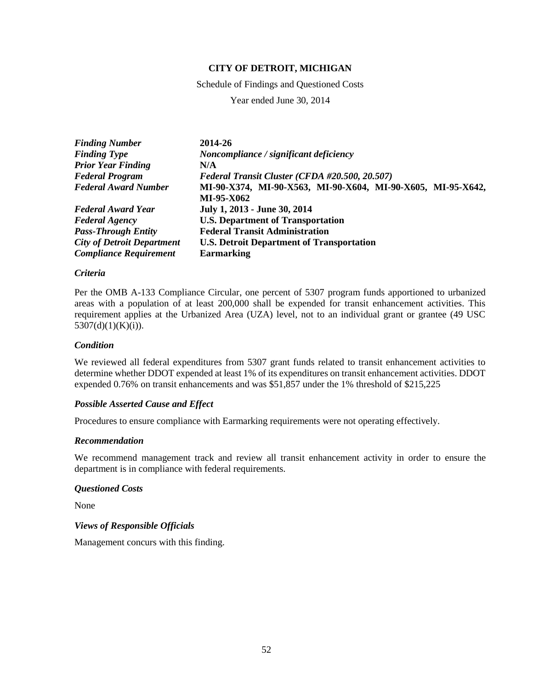Schedule of Findings and Questioned Costs

Year ended June 30, 2014

| <b>Finding Number</b>             | 2014-26                                                     |
|-----------------------------------|-------------------------------------------------------------|
| <b>Finding Type</b>               | Noncompliance / significant deficiency                      |
| <b>Prior Year Finding</b>         | N/A                                                         |
| <b>Federal Program</b>            | Federal Transit Cluster (CFDA #20.500, 20.507)              |
| <b>Federal Award Number</b>       | MI-90-X374, MI-90-X563, MI-90-X604, MI-90-X605, MI-95-X642, |
|                                   | MI-95-X062                                                  |
| <b>Federal Award Year</b>         | July 1, 2013 - June 30, 2014                                |
| <b>Federal Agency</b>             | <b>U.S. Department of Transportation</b>                    |
| <b>Pass-Through Entity</b>        | <b>Federal Transit Administration</b>                       |
| <b>City of Detroit Department</b> | <b>U.S. Detroit Department of Transportation</b>            |
| <b>Compliance Requirement</b>     | <b>Earmarking</b>                                           |

### *Criteria*

Per the OMB A-133 Compliance Circular, one percent of 5307 program funds apportioned to urbanized areas with a population of at least 200,000 shall be expended for transit enhancement activities. This requirement applies at the Urbanized Area (UZA) level, not to an individual grant or grantee (49 USC 5307(d)(1)(K)(i)).

### *Condition*

We reviewed all federal expenditures from 5307 grant funds related to transit enhancement activities to determine whether DDOT expended at least 1% of its expenditures on transit enhancement activities. DDOT expended 0.76% on transit enhancements and was \$51,857 under the 1% threshold of \$215,225

### *Possible Asserted Cause and Effect*

Procedures to ensure compliance with Earmarking requirements were not operating effectively.

### *Recommendation*

We recommend management track and review all transit enhancement activity in order to ensure the department is in compliance with federal requirements.

### *Questioned Costs*

None

### *Views of Responsible Officials*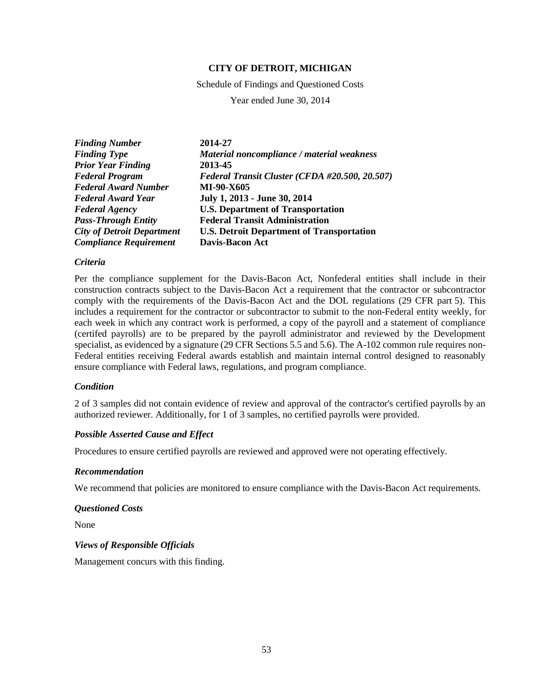Schedule of Findings and Questioned Costs

Year ended June 30, 2014

| <b>Finding Number</b>             | 2014-27                                          |
|-----------------------------------|--------------------------------------------------|
| <b>Finding Type</b>               | Material noncompliance / material weakness       |
| <b>Prior Year Finding</b>         | 2013-45                                          |
| <b>Federal Program</b>            | Federal Transit Cluster (CFDA #20.500, 20.507)   |
| <b>Federal Award Number</b>       | MI-90-X605                                       |
| <b>Federal Award Year</b>         | July 1, 2013 - June 30, 2014                     |
| <b>Federal Agency</b>             | <b>U.S. Department of Transportation</b>         |
| <b>Pass-Through Entity</b>        | <b>Federal Transit Administration</b>            |
| <b>City of Detroit Department</b> | <b>U.S. Detroit Department of Transportation</b> |
| <b>Compliance Requirement</b>     | <b>Davis-Bacon Act</b>                           |

### *Criteria*

Per the compliance supplement for the Davis-Bacon Act, Nonfederal entities shall include in their construction contracts subject to the Davis-Bacon Act a requirement that the contractor or subcontractor comply with the requirements of the Davis-Bacon Act and the DOL regulations (29 CFR part 5). This includes a requirement for the contractor or subcontractor to submit to the non-Federal entity weekly, for each week in which any contract work is performed, a copy of the payroll and a statement of compliance (certifed payrolls) are to be prepared by the payroll administrator and reviewed by the Development specialist, as evidenced by a signature (29 CFR Sections 5.5 and 5.6). The A-102 common rule requires non-Federal entities receiving Federal awards establish and maintain internal control designed to reasonably ensure compliance with Federal laws, regulations, and program compliance.

## *Condition*

2 of 3 samples did not contain evidence of review and approval of the contractor's certified payrolls by an authorized reviewer. Additionally, for 1 of 3 samples, no certified payrolls were provided.

### *Possible Asserted Cause and Effect*

Procedures to ensure certified payrolls are reviewed and approved were not operating effectively.

### *Recommendation*

We recommend that policies are monitored to ensure compliance with the Davis-Bacon Act requirements.

### *Questioned Costs*

None

# *Views of Responsible Officials*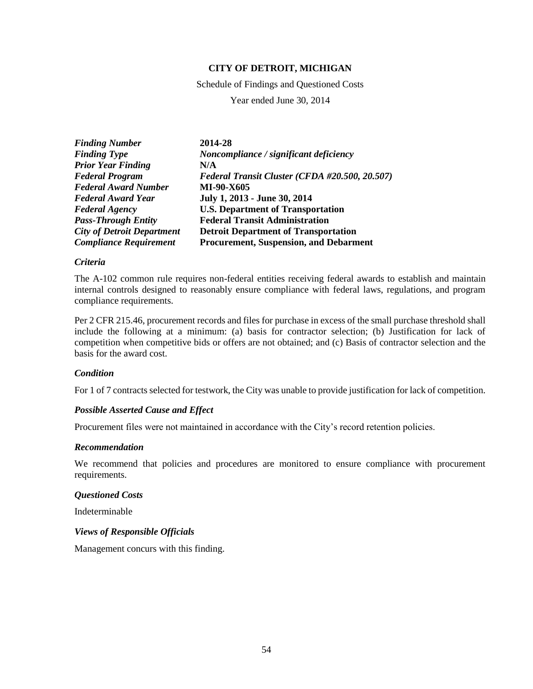Schedule of Findings and Questioned Costs

Year ended June 30, 2014

| <b>Finding Number</b>             | 2014-28                                        |
|-----------------------------------|------------------------------------------------|
| <b>Finding Type</b>               | Noncompliance / significant deficiency         |
| <b>Prior Year Finding</b>         | N/A                                            |
| <b>Federal Program</b>            | Federal Transit Cluster (CFDA #20.500, 20.507) |
| <b>Federal Award Number</b>       | MI-90-X605                                     |
| <b>Federal Award Year</b>         | July 1, 2013 - June 30, 2014                   |
| <b>Federal Agency</b>             | <b>U.S. Department of Transportation</b>       |
| <b>Pass-Through Entity</b>        | <b>Federal Transit Administration</b>          |
| <b>City of Detroit Department</b> | <b>Detroit Department of Transportation</b>    |
| <b>Compliance Requirement</b>     | <b>Procurement, Suspension, and Debarment</b>  |

### *Criteria*

The A-102 common rule requires non-federal entities receiving federal awards to establish and maintain internal controls designed to reasonably ensure compliance with federal laws, regulations, and program compliance requirements.

Per 2 CFR 215.46, procurement records and files for purchase in excess of the small purchase threshold shall include the following at a minimum: (a) basis for contractor selection; (b) Justification for lack of competition when competitive bids or offers are not obtained; and (c) Basis of contractor selection and the basis for the award cost.

### *Condition*

For 1 of 7 contracts selected for testwork, the City was unable to provide justification for lack of competition.

### *Possible Asserted Cause and Effect*

Procurement files were not maintained in accordance with the City's record retention policies.

## *Recommendation*

We recommend that policies and procedures are monitored to ensure compliance with procurement requirements.

## *Questioned Costs*

Indeterminable

## *Views of Responsible Officials*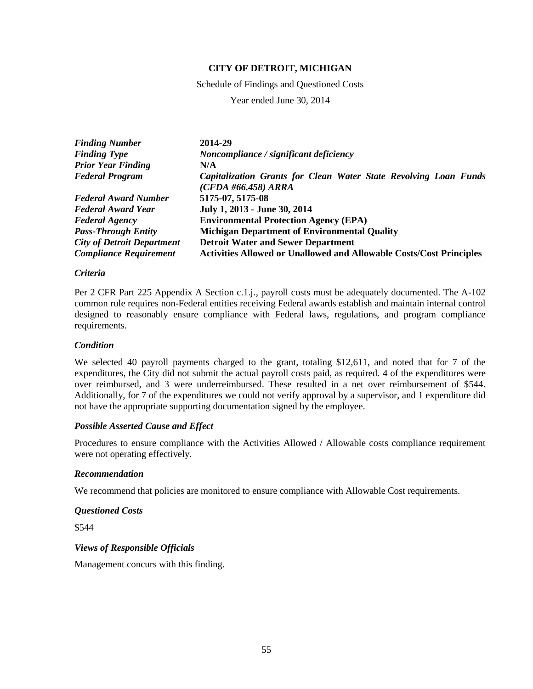Schedule of Findings and Questioned Costs

Year ended June 30, 2014

| <b>Finding Number</b>             | 2014-29                                                                                   |
|-----------------------------------|-------------------------------------------------------------------------------------------|
| <b>Finding Type</b>               | Noncompliance / significant deficiency                                                    |
| <b>Prior Year Finding</b>         | N/A                                                                                       |
| <b>Federal Program</b>            | Capitalization Grants for Clean Water State Revolving Loan Funds<br>$(CFDA\#66.458) ARRA$ |
| <b>Federal Award Number</b>       | 5175-07, 5175-08                                                                          |
| <b>Federal Award Year</b>         | July 1, 2013 - June 30, 2014                                                              |
| <b>Federal Agency</b>             | <b>Environmental Protection Agency (EPA)</b>                                              |
| <b>Pass-Through Entity</b>        | <b>Michigan Department of Environmental Quality</b>                                       |
| <b>City of Detroit Department</b> | <b>Detroit Water and Sewer Department</b>                                                 |
| <b>Compliance Requirement</b>     | <b>Activities Allowed or Unallowed and Allowable Costs/Cost Principles</b>                |

### *Criteria*

Per 2 CFR Part 225 Appendix A Section c.1.j., payroll costs must be adequately documented. The A-102 common rule requires non-Federal entities receiving Federal awards establish and maintain internal control designed to reasonably ensure compliance with Federal laws, regulations, and program compliance requirements.

### *Condition*

We selected 40 payroll payments charged to the grant, totaling \$12,611, and noted that for 7 of the expenditures, the City did not submit the actual payroll costs paid, as required. 4 of the expenditures were over reimbursed, and 3 were underreimbursed. These resulted in a net over reimbursement of \$544. Additionally, for 7 of the expenditures we could not verify approval by a supervisor, and 1 expenditure did not have the appropriate supporting documentation signed by the employee.

# *Possible Asserted Cause and Effect*

Procedures to ensure compliance with the Activities Allowed / Allowable costs compliance requirement were not operating effectively.

### *Recommendation*

We recommend that policies are monitored to ensure compliance with Allowable Cost requirements.

### *Questioned Costs*

\$544

# *Views of Responsible Officials*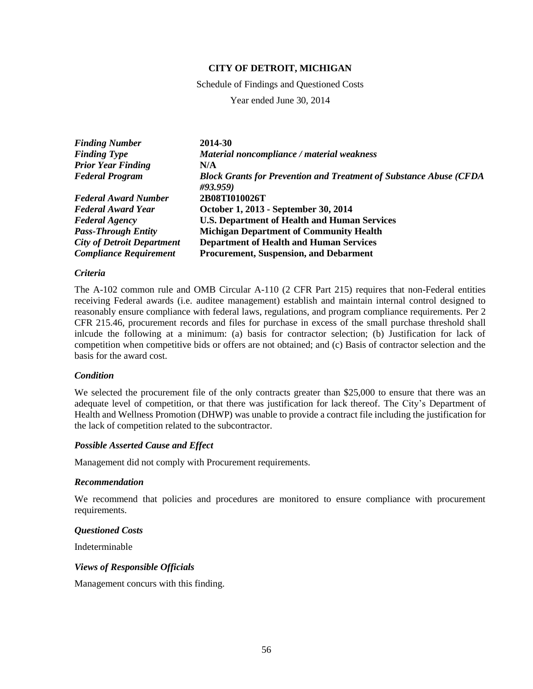Schedule of Findings and Questioned Costs

Year ended June 30, 2014

| <b>Finding Number</b>             | 2014-30                                                                               |
|-----------------------------------|---------------------------------------------------------------------------------------|
| <b>Finding Type</b>               | Material noncompliance / material weakness                                            |
| <b>Prior Year Finding</b>         | N/A                                                                                   |
| <b>Federal Program</b>            | <b>Block Grants for Prevention and Treatment of Substance Abuse (CFDA</b><br>#93.959) |
| <b>Federal Award Number</b>       | 2B08TI010026T                                                                         |
| Federal Award Year                | October 1, 2013 - September 30, 2014                                                  |
| <b>Federal Agency</b>             | <b>U.S. Department of Health and Human Services</b>                                   |
| <b>Pass-Through Entity</b>        | <b>Michigan Department of Community Health</b>                                        |
| <b>City of Detroit Department</b> | <b>Department of Health and Human Services</b>                                        |
| <b>Compliance Requirement</b>     | <b>Procurement, Suspension, and Debarment</b>                                         |

### *Criteria*

The A-102 common rule and OMB Circular A-110 (2 CFR Part 215) requires that non-Federal entities receiving Federal awards (i.e. auditee management) establish and maintain internal control designed to reasonably ensure compliance with federal laws, regulations, and program compliance requirements. Per 2 CFR 215.46, procurement records and files for purchase in excess of the small purchase threshold shall inlcude the following at a minimum: (a) basis for contractor selection; (b) Justification for lack of competition when competitive bids or offers are not obtained; and (c) Basis of contractor selection and the basis for the award cost.

### *Condition*

We selected the procurement file of the only contracts greater than \$25,000 to ensure that there was an adequate level of competition, or that there was justification for lack thereof. The City's Department of Health and Wellness Promotion (DHWP) was unable to provide a contract file including the justification for the lack of competition related to the subcontractor.

### *Possible Asserted Cause and Effect*

Management did not comply with Procurement requirements.

### *Recommendation*

We recommend that policies and procedures are monitored to ensure compliance with procurement requirements.

### *Questioned Costs*

Indeterminable

### *Views of Responsible Officials*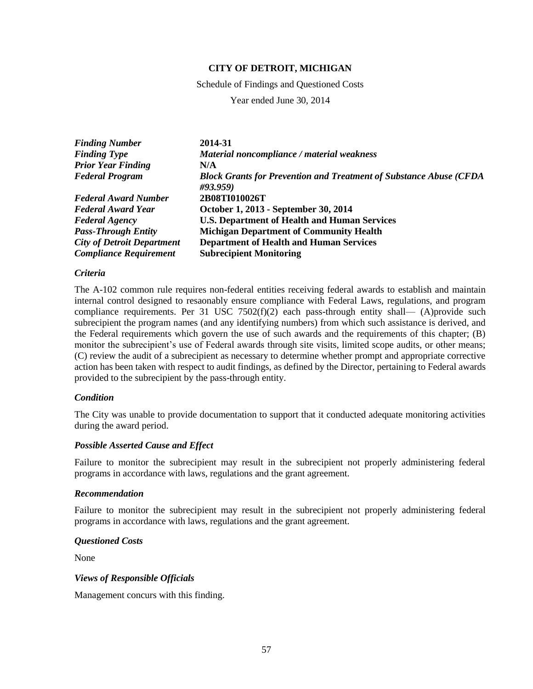Schedule of Findings and Questioned Costs

Year ended June 30, 2014

| <b>Finding Number</b>             | 2014-31                                                                               |
|-----------------------------------|---------------------------------------------------------------------------------------|
| <b>Finding Type</b>               | Material noncompliance / material weakness                                            |
| <b>Prior Year Finding</b>         | N/A                                                                                   |
| <b>Federal Program</b>            | <b>Block Grants for Prevention and Treatment of Substance Abuse (CFDA</b><br>#93.959) |
| <b>Federal Award Number</b>       | 2B08TI010026T                                                                         |
| Federal Award Year                | October 1, 2013 - September 30, 2014                                                  |
| <b>Federal Agency</b>             | <b>U.S. Department of Health and Human Services</b>                                   |
| <b>Pass-Through Entity</b>        | <b>Michigan Department of Community Health</b>                                        |
| <b>City of Detroit Department</b> | <b>Department of Health and Human Services</b>                                        |
| <b>Compliance Requirement</b>     | <b>Subrecipient Monitoring</b>                                                        |

### *Criteria*

The A-102 common rule requires non-federal entities receiving federal awards to establish and maintain internal control designed to resaonably ensure compliance with Federal Laws, regulations, and program compliance requirements. Per 31 USC 7502(f)(2) each pass-through entity shall— (A)provide such subrecipient the program names (and any identifying numbers) from which such assistance is derived, and the Federal requirements which govern the use of such awards and the requirements of this chapter; (B) monitor the subrecipient's use of Federal awards through site visits, limited scope audits, or other means; (C) review the audit of a subrecipient as necessary to determine whether prompt and appropriate corrective action has been taken with respect to audit findings, as defined by the Director, pertaining to Federal awards provided to the subrecipient by the pass-through entity.

### *Condition*

The City was unable to provide documentation to support that it conducted adequate monitoring activities during the award period.

### *Possible Asserted Cause and Effect*

Failure to monitor the subrecipient may result in the subrecipient not properly administering federal programs in accordance with laws, regulations and the grant agreement.

### *Recommendation*

Failure to monitor the subrecipient may result in the subrecipient not properly administering federal programs in accordance with laws, regulations and the grant agreement.

## *Questioned Costs*

None

### *Views of Responsible Officials*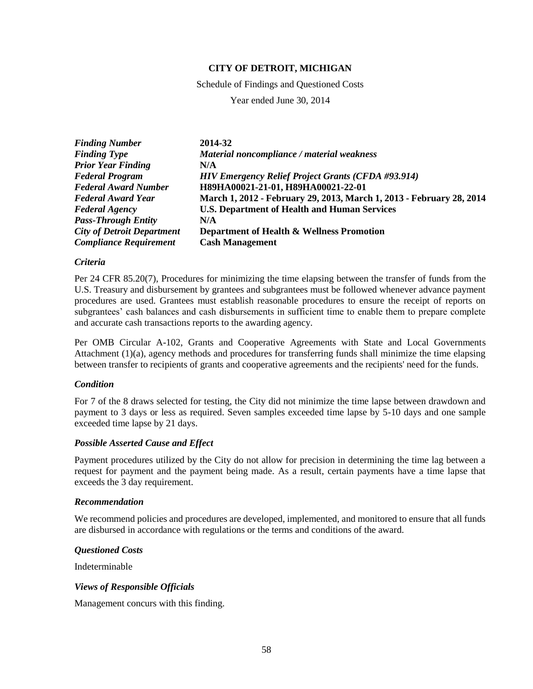Schedule of Findings and Questioned Costs

Year ended June 30, 2014

| <b>Finding Number</b>             | 2014-32                                                              |
|-----------------------------------|----------------------------------------------------------------------|
| <b>Finding Type</b>               | Material noncompliance / material weakness                           |
| <b>Prior Year Finding</b>         | N/A                                                                  |
| <b>Federal Program</b>            | <b>HIV Emergency Relief Project Grants (CFDA #93.914)</b>            |
| <b>Federal Award Number</b>       | H89HA00021-21-01, H89HA00021-22-01                                   |
| <b>Federal Award Year</b>         | March 1, 2012 - February 29, 2013, March 1, 2013 - February 28, 2014 |
| <b>Federal Agency</b>             | <b>U.S. Department of Health and Human Services</b>                  |
| <b>Pass-Through Entity</b>        | N/A                                                                  |
| <b>City of Detroit Department</b> | <b>Department of Health &amp; Wellness Promotion</b>                 |
| <b>Compliance Requirement</b>     | <b>Cash Management</b>                                               |

### *Criteria*

Per 24 CFR 85.20(7), Procedures for minimizing the time elapsing between the transfer of funds from the U.S. Treasury and disbursement by grantees and subgrantees must be followed whenever advance payment procedures are used. Grantees must establish reasonable procedures to ensure the receipt of reports on subgrantees' cash balances and cash disbursements in sufficient time to enable them to prepare complete and accurate cash transactions reports to the awarding agency.

Per OMB Circular A-102, Grants and Cooperative Agreements with State and Local Governments Attachment (1)(a), agency methods and procedures for transferring funds shall minimize the time elapsing between transfer to recipients of grants and cooperative agreements and the recipients' need for the funds.

### *Condition*

For 7 of the 8 draws selected for testing, the City did not minimize the time lapse between drawdown and payment to 3 days or less as required. Seven samples exceeded time lapse by 5-10 days and one sample exceeded time lapse by 21 days.

### *Possible Asserted Cause and Effect*

Payment procedures utilized by the City do not allow for precision in determining the time lag between a request for payment and the payment being made. As a result, certain payments have a time lapse that exceeds the 3 day requirement.

### *Recommendation*

We recommend policies and procedures are developed, implemented, and monitored to ensure that all funds are disbursed in accordance with regulations or the terms and conditions of the award.

### *Questioned Costs*

Indeterminable

### *Views of Responsible Officials*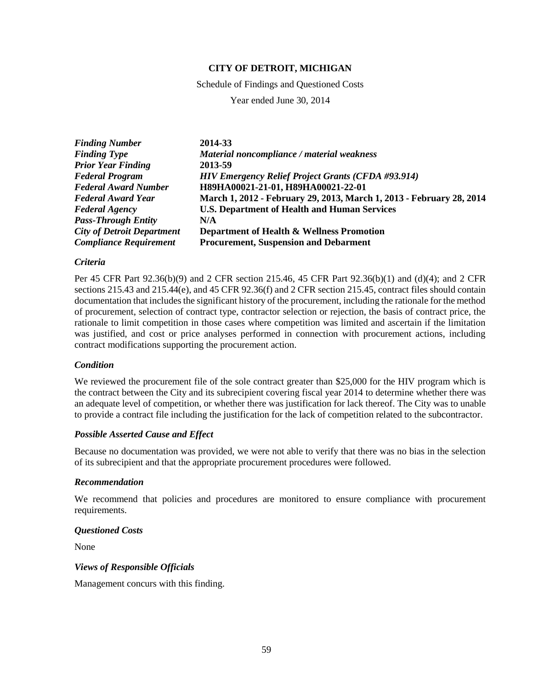Schedule of Findings and Questioned Costs

Year ended June 30, 2014

| <b>Finding Number</b>             | 2014-33                                                              |
|-----------------------------------|----------------------------------------------------------------------|
| <b>Finding Type</b>               | Material noncompliance / material weakness                           |
| <b>Prior Year Finding</b>         | 2013-59                                                              |
| <b>Federal Program</b>            | <b>HIV Emergency Relief Project Grants (CFDA #93.914)</b>            |
| <b>Federal Award Number</b>       | H89HA00021-21-01, H89HA00021-22-01                                   |
| <b>Federal Award Year</b>         | March 1, 2012 - February 29, 2013, March 1, 2013 - February 28, 2014 |
| <b>Federal Agency</b>             | <b>U.S. Department of Health and Human Services</b>                  |
| <b>Pass-Through Entity</b>        | N/A                                                                  |
| <b>City of Detroit Department</b> | <b>Department of Health &amp; Wellness Promotion</b>                 |
| <b>Compliance Requirement</b>     | <b>Procurement, Suspension and Debarment</b>                         |

### *Criteria*

Per 45 CFR Part 92.36(b)(9) and 2 CFR section 215.46, 45 CFR Part 92.36(b)(1) and (d)(4); and 2 CFR sections 215.43 and 215.44(e), and 45 CFR 92.36(f) and 2 CFR section 215.45, contract files should contain documentation that includes the significant history of the procurement, including the rationale for the method of procurement, selection of contract type, contractor selection or rejection, the basis of contract price, the rationale to limit competition in those cases where competition was limited and ascertain if the limitation was justified, and cost or price analyses performed in connection with procurement actions, including contract modifications supporting the procurement action.

### *Condition*

We reviewed the procurement file of the sole contract greater than \$25,000 for the HIV program which is the contract between the City and its subrecipient covering fiscal year 2014 to determine whether there was an adequate level of competition, or whether there was justification for lack thereof. The City was to unable to provide a contract file including the justification for the lack of competition related to the subcontractor.

# *Possible Asserted Cause and Effect*

Because no documentation was provided, we were not able to verify that there was no bias in the selection of its subrecipient and that the appropriate procurement procedures were followed.

### *Recommendation*

We recommend that policies and procedures are monitored to ensure compliance with procurement requirements.

### *Questioned Costs*

None

### *Views of Responsible Officials*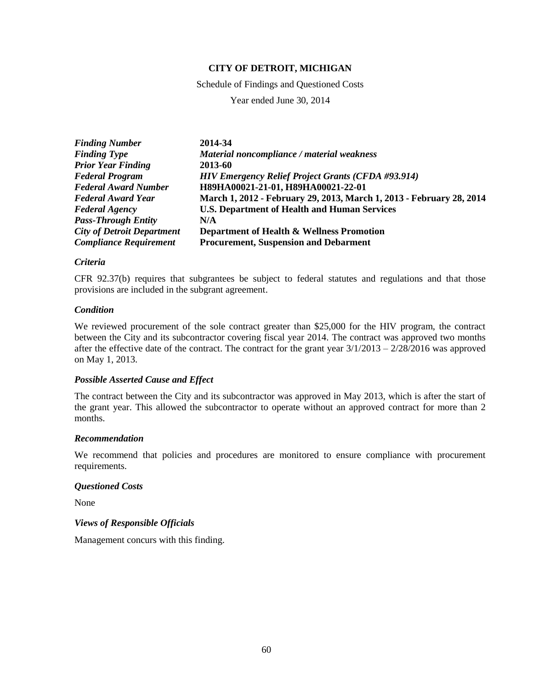Schedule of Findings and Questioned Costs

Year ended June 30, 2014

| <b>Finding Number</b>             | 2014-34                                                              |
|-----------------------------------|----------------------------------------------------------------------|
| <b>Finding Type</b>               | Material noncompliance / material weakness                           |
| <b>Prior Year Finding</b>         | 2013-60                                                              |
| <b>Federal Program</b>            | <b>HIV Emergency Relief Project Grants (CFDA #93.914)</b>            |
| <b>Federal Award Number</b>       | H89HA00021-21-01, H89HA00021-22-01                                   |
| Federal Award Year                | March 1, 2012 - February 29, 2013, March 1, 2013 - February 28, 2014 |
| <b>Federal Agency</b>             | <b>U.S. Department of Health and Human Services</b>                  |
| <b>Pass-Through Entity</b>        | N/A                                                                  |
| <b>City of Detroit Department</b> | <b>Department of Health &amp; Wellness Promotion</b>                 |
| <b>Compliance Requirement</b>     | <b>Procurement, Suspension and Debarment</b>                         |

### *Criteria*

CFR 92.37(b) requires that subgrantees be subject to federal statutes and regulations and that those provisions are included in the subgrant agreement.

### *Condition*

We reviewed procurement of the sole contract greater than \$25,000 for the HIV program, the contract between the City and its subcontractor covering fiscal year 2014. The contract was approved two months after the effective date of the contract. The contract for the grant year  $3/1/2013 - 2/28/2016$  was approved on May 1, 2013.

### *Possible Asserted Cause and Effect*

The contract between the City and its subcontractor was approved in May 2013, which is after the start of the grant year. This allowed the subcontractor to operate without an approved contract for more than 2 months.

### *Recommendation*

We recommend that policies and procedures are monitored to ensure compliance with procurement requirements.

### *Questioned Costs*

None

### *Views of Responsible Officials*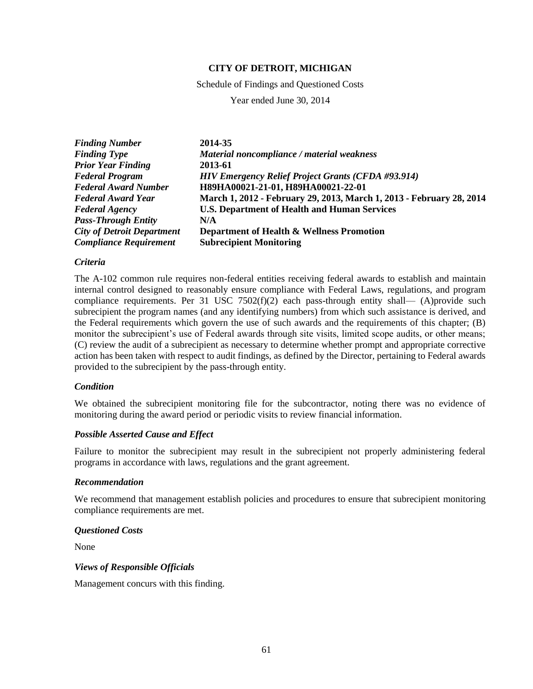Schedule of Findings and Questioned Costs

Year ended June 30, 2014

| <b>Finding Number</b>             | 2014-35                                                              |
|-----------------------------------|----------------------------------------------------------------------|
| <b>Finding Type</b>               | Material noncompliance / material weakness                           |
| <b>Prior Year Finding</b>         | 2013-61                                                              |
| <b>Federal Program</b>            | <b>HIV Emergency Relief Project Grants (CFDA #93.914)</b>            |
| <b>Federal Award Number</b>       | H89HA00021-21-01, H89HA00021-22-01                                   |
| <b>Federal Award Year</b>         | March 1, 2012 - February 29, 2013, March 1, 2013 - February 28, 2014 |
| <b>Federal Agency</b>             | <b>U.S. Department of Health and Human Services</b>                  |
| <b>Pass-Through Entity</b>        | N/A                                                                  |
| <b>City of Detroit Department</b> | Department of Health & Wellness Promotion                            |
| <b>Compliance Requirement</b>     | <b>Subrecipient Monitoring</b>                                       |

### *Criteria*

The A-102 common rule requires non-federal entities receiving federal awards to establish and maintain internal control designed to reasonably ensure compliance with Federal Laws, regulations, and program compliance requirements. Per 31 USC  $7502(f)(2)$  each pass-through entity shall— (A)provide such subrecipient the program names (and any identifying numbers) from which such assistance is derived, and the Federal requirements which govern the use of such awards and the requirements of this chapter; (B) monitor the subrecipient's use of Federal awards through site visits, limited scope audits, or other means; (C) review the audit of a subrecipient as necessary to determine whether prompt and appropriate corrective action has been taken with respect to audit findings, as defined by the Director, pertaining to Federal awards provided to the subrecipient by the pass-through entity.

## *Condition*

We obtained the subrecipient monitoring file for the subcontractor, noting there was no evidence of monitoring during the award period or periodic visits to review financial information.

## *Possible Asserted Cause and Effect*

Failure to monitor the subrecipient may result in the subrecipient not properly administering federal programs in accordance with laws, regulations and the grant agreement.

### *Recommendation*

We recommend that management establish policies and procedures to ensure that subrecipient monitoring compliance requirements are met.

### *Questioned Costs*

None

### *Views of Responsible Officials*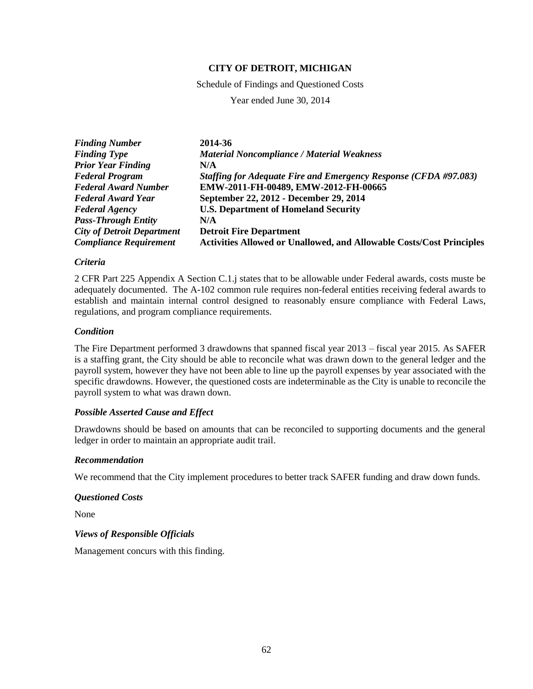Schedule of Findings and Questioned Costs

Year ended June 30, 2014

| <b>Finding Number</b>             | 2014-36                                                                     |
|-----------------------------------|-----------------------------------------------------------------------------|
| <b>Finding Type</b>               | <b>Material Noncompliance / Material Weakness</b>                           |
| <b>Prior Year Finding</b>         | N/A                                                                         |
| <b>Federal Program</b>            | Staffing for Adequate Fire and Emergency Response (CFDA #97.083)            |
| <b>Federal Award Number</b>       | EMW-2011-FH-00489, EMW-2012-FH-00665                                        |
| <b>Federal Award Year</b>         | September 22, 2012 - December 29, 2014                                      |
| <b>Federal Agency</b>             | <b>U.S. Department of Homeland Security</b>                                 |
| <b>Pass-Through Entity</b>        | N/A                                                                         |
| <b>City of Detroit Department</b> | <b>Detroit Fire Department</b>                                              |
| <b>Compliance Requirement</b>     | <b>Activities Allowed or Unallowed, and Allowable Costs/Cost Principles</b> |

### *Criteria*

2 CFR Part 225 Appendix A Section C.1.j states that to be allowable under Federal awards, costs muste be adequately documented. The A-102 common rule requires non-federal entities receiving federal awards to establish and maintain internal control designed to reasonably ensure compliance with Federal Laws, regulations, and program compliance requirements.

## *Condition*

The Fire Department performed 3 drawdowns that spanned fiscal year 2013 – fiscal year 2015. As SAFER is a staffing grant, the City should be able to reconcile what was drawn down to the general ledger and the payroll system, however they have not been able to line up the payroll expenses by year associated with the specific drawdowns. However, the questioned costs are indeterminable as the City is unable to reconcile the payroll system to what was drawn down.

### *Possible Asserted Cause and Effect*

Drawdowns should be based on amounts that can be reconciled to supporting documents and the general ledger in order to maintain an appropriate audit trail.

### *Recommendation*

We recommend that the City implement procedures to better track SAFER funding and draw down funds.

### *Questioned Costs*

None

### *Views of Responsible Officials*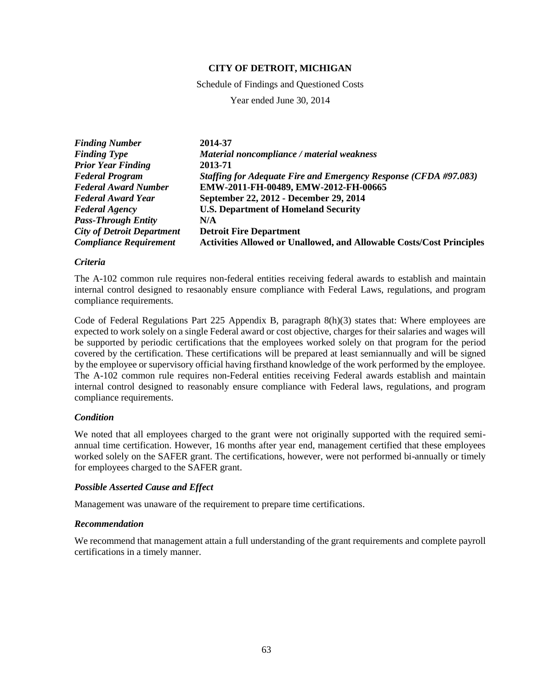Schedule of Findings and Questioned Costs

Year ended June 30, 2014

| <b>Finding Number</b>             | 2014-37                                                                     |
|-----------------------------------|-----------------------------------------------------------------------------|
| <b>Finding Type</b>               | Material noncompliance / material weakness                                  |
| <b>Prior Year Finding</b>         | 2013-71                                                                     |
| <b>Federal Program</b>            | Staffing for Adequate Fire and Emergency Response (CFDA #97.083)            |
| <b>Federal Award Number</b>       | EMW-2011-FH-00489, EMW-2012-FH-00665                                        |
| <b>Federal Award Year</b>         | September 22, 2012 - December 29, 2014                                      |
| <b>Federal Agency</b>             | <b>U.S. Department of Homeland Security</b>                                 |
| <b>Pass-Through Entity</b>        | N/A                                                                         |
| <b>City of Detroit Department</b> | <b>Detroit Fire Department</b>                                              |
| <b>Compliance Requirement</b>     | <b>Activities Allowed or Unallowed, and Allowable Costs/Cost Principles</b> |

### *Criteria*

The A-102 common rule requires non-federal entities receiving federal awards to establish and maintain internal control designed to resaonably ensure compliance with Federal Laws, regulations, and program compliance requirements.

Code of Federal Regulations Part 225 Appendix B, paragraph 8(h)(3) states that: Where employees are expected to work solely on a single Federal award or cost objective, charges for their salaries and wages will be supported by periodic certifications that the employees worked solely on that program for the period covered by the certification. These certifications will be prepared at least semiannually and will be signed by the employee or supervisory official having firsthand knowledge of the work performed by the employee. The A-102 common rule requires non-Federal entities receiving Federal awards establish and maintain internal control designed to reasonably ensure compliance with Federal laws, regulations, and program compliance requirements.

## *Condition*

We noted that all employees charged to the grant were not originally supported with the required semiannual time certification. However, 16 months after year end, management certified that these employees worked solely on the SAFER grant. The certifications, however, were not performed bi-annually or timely for employees charged to the SAFER grant.

## *Possible Asserted Cause and Effect*

Management was unaware of the requirement to prepare time certifications.

### *Recommendation*

We recommend that management attain a full understanding of the grant requirements and complete payroll certifications in a timely manner.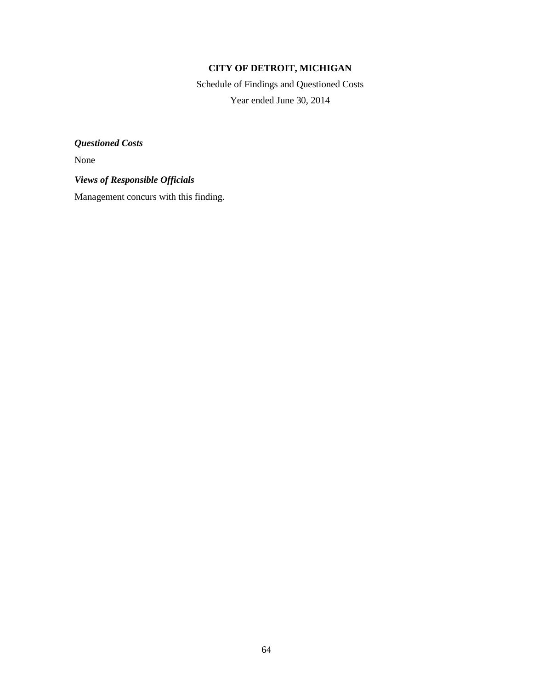Schedule of Findings and Questioned Costs Year ended June 30, 2014

*Questioned Costs*

None

*Views of Responsible Officials*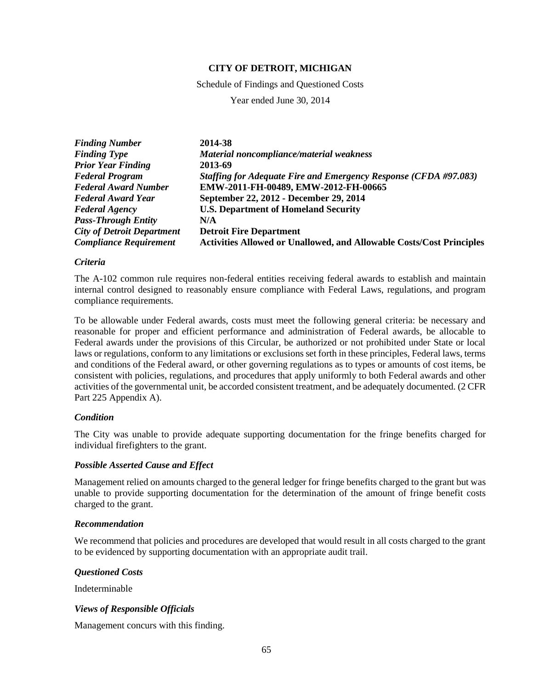Schedule of Findings and Questioned Costs

Year ended June 30, 2014

| <b>Finding Number</b>             | 2014-38                                                                     |
|-----------------------------------|-----------------------------------------------------------------------------|
| <b>Finding Type</b>               | Material noncompliance/material weakness                                    |
| <b>Prior Year Finding</b>         | 2013-69                                                                     |
| <b>Federal Program</b>            | Staffing for Adequate Fire and Emergency Response (CFDA #97.083)            |
| <b>Federal Award Number</b>       | EMW-2011-FH-00489, EMW-2012-FH-00665                                        |
| <b>Federal Award Year</b>         | September 22, 2012 - December 29, 2014                                      |
| <b>Federal Agency</b>             | <b>U.S. Department of Homeland Security</b>                                 |
| <b>Pass-Through Entity</b>        | N/A                                                                         |
| <b>City of Detroit Department</b> | <b>Detroit Fire Department</b>                                              |
| <b>Compliance Requirement</b>     | <b>Activities Allowed or Unallowed, and Allowable Costs/Cost Principles</b> |

### *Criteria*

The A-102 common rule requires non-federal entities receiving federal awards to establish and maintain internal control designed to reasonably ensure compliance with Federal Laws, regulations, and program compliance requirements.

To be allowable under Federal awards, costs must meet the following general criteria: be necessary and reasonable for proper and efficient performance and administration of Federal awards, be allocable to Federal awards under the provisions of this Circular, be authorized or not prohibited under State or local laws or regulations, conform to any limitations or exclusions set forth in these principles, Federal laws, terms and conditions of the Federal award, or other governing regulations as to types or amounts of cost items, be consistent with policies, regulations, and procedures that apply uniformly to both Federal awards and other activities of the governmental unit, be accorded consistent treatment, and be adequately documented. (2 CFR Part 225 Appendix A).

### *Condition*

The City was unable to provide adequate supporting documentation for the fringe benefits charged for individual firefighters to the grant.

### *Possible Asserted Cause and Effect*

Management relied on amounts charged to the general ledger for fringe benefits charged to the grant but was unable to provide supporting documentation for the determination of the amount of fringe benefit costs charged to the grant.

### *Recommendation*

We recommend that policies and procedures are developed that would result in all costs charged to the grant to be evidenced by supporting documentation with an appropriate audit trail.

### *Questioned Costs*

Indeterminable

### *Views of Responsible Officials*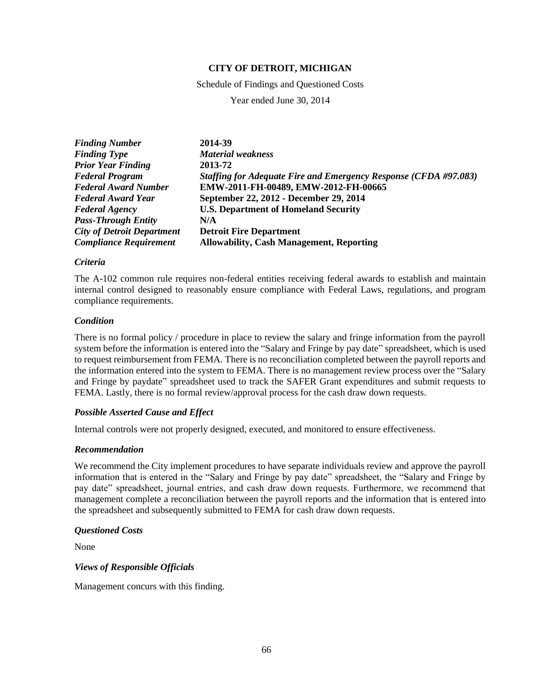Schedule of Findings and Questioned Costs

Year ended June 30, 2014

| <b>Finding Number</b>             | 2014-39                                                                 |
|-----------------------------------|-------------------------------------------------------------------------|
| <b>Finding Type</b>               | <b>Material weakness</b>                                                |
| <b>Prior Year Finding</b>         | 2013-72                                                                 |
| <b>Federal Program</b>            | <b>Staffing for Adequate Fire and Emergency Response (CFDA #97.083)</b> |
| <b>Federal Award Number</b>       | EMW-2011-FH-00489, EMW-2012-FH-00665                                    |
| <b>Federal Award Year</b>         | September 22, 2012 - December 29, 2014                                  |
| <b>Federal Agency</b>             | <b>U.S. Department of Homeland Security</b>                             |
| <b>Pass-Through Entity</b>        | N/A                                                                     |
| <b>City of Detroit Department</b> | <b>Detroit Fire Department</b>                                          |
| <b>Compliance Requirement</b>     | <b>Allowability, Cash Management, Reporting</b>                         |

### *Criteria*

The A-102 common rule requires non-federal entities receiving federal awards to establish and maintain internal control designed to reasonably ensure compliance with Federal Laws, regulations, and program compliance requirements.

## *Condition*

There is no formal policy / procedure in place to review the salary and fringe information from the payroll system before the information is entered into the "Salary and Fringe by pay date" spreadsheet, which is used to request reimbursement from FEMA. There is no reconciliation completed between the payroll reports and the information entered into the system to FEMA. There is no management review process over the "Salary and Fringe by paydate" spreadsheet used to track the SAFER Grant expenditures and submit requests to FEMA. Lastly, there is no formal review/approval process for the cash draw down requests.

## *Possible Asserted Cause and Effect*

Internal controls were not properly designed, executed, and monitored to ensure effectiveness.

## *Recommendation*

We recommend the City implement procedures to have separate individuals review and approve the payroll information that is entered in the "Salary and Fringe by pay date" spreadsheet, the "Salary and Fringe by pay date" spreadsheet, journal entries, and cash draw down requests. Furthermore, we recommend that management complete a reconciliation between the payroll reports and the information that is entered into the spreadsheet and subsequently submitted to FEMA for cash draw down requests.

### *Questioned Costs*

None

*Views of Responsible Officials*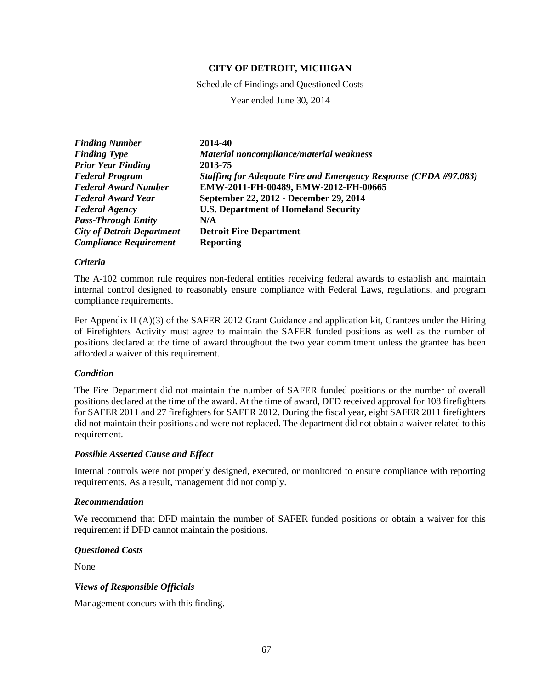Schedule of Findings and Questioned Costs

Year ended June 30, 2014

| <b>Finding Number</b>             | 2014-40                                                          |
|-----------------------------------|------------------------------------------------------------------|
| <b>Finding Type</b>               | Material noncompliance/material weakness                         |
| <b>Prior Year Finding</b>         | 2013-75                                                          |
| <b>Federal Program</b>            | Staffing for Adequate Fire and Emergency Response (CFDA #97.083) |
| <b>Federal Award Number</b>       | EMW-2011-FH-00489, EMW-2012-FH-00665                             |
| <b>Federal Award Year</b>         | September 22, 2012 - December 29, 2014                           |
| <b>Federal Agency</b>             | <b>U.S. Department of Homeland Security</b>                      |
| <b>Pass-Through Entity</b>        | N/A                                                              |
| <b>City of Detroit Department</b> | <b>Detroit Fire Department</b>                                   |
| <b>Compliance Requirement</b>     | <b>Reporting</b>                                                 |

### *Criteria*

The A-102 common rule requires non-federal entities receiving federal awards to establish and maintain internal control designed to reasonably ensure compliance with Federal Laws, regulations, and program compliance requirements.

Per Appendix II (A)(3) of the SAFER 2012 Grant Guidance and application kit, Grantees under the Hiring of Firefighters Activity must agree to maintain the SAFER funded positions as well as the number of positions declared at the time of award throughout the two year commitment unless the grantee has been afforded a waiver of this requirement.

### *Condition*

The Fire Department did not maintain the number of SAFER funded positions or the number of overall positions declared at the time of the award. At the time of award, DFD received approval for 108 firefighters for SAFER 2011 and 27 firefighters for SAFER 2012. During the fiscal year, eight SAFER 2011 firefighters did not maintain their positions and were not replaced. The department did not obtain a waiver related to this requirement.

## *Possible Asserted Cause and Effect*

Internal controls were not properly designed, executed, or monitored to ensure compliance with reporting requirements. As a result, management did not comply.

## *Recommendation*

We recommend that DFD maintain the number of SAFER funded positions or obtain a waiver for this requirement if DFD cannot maintain the positions.

### *Questioned Costs*

None

### *Views of Responsible Officials*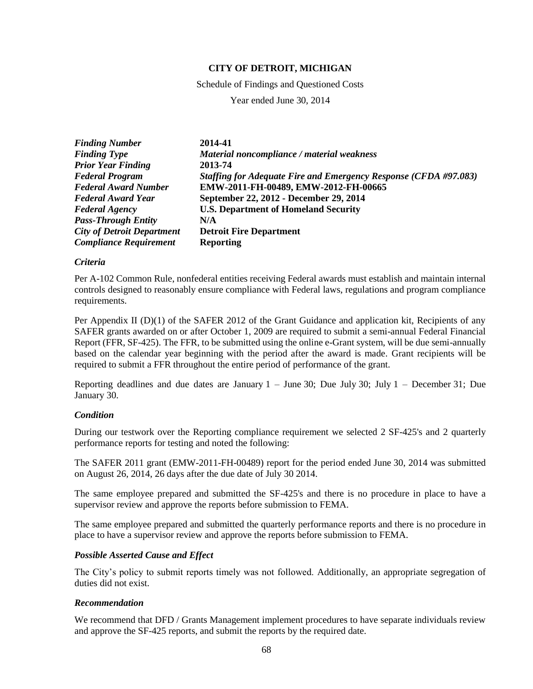Schedule of Findings and Questioned Costs

Year ended June 30, 2014

| <b>Finding Number</b>             | 2014-41                                                          |
|-----------------------------------|------------------------------------------------------------------|
| <b>Finding Type</b>               | Material noncompliance / material weakness                       |
| <b>Prior Year Finding</b>         | 2013-74                                                          |
| <b>Federal Program</b>            | Staffing for Adequate Fire and Emergency Response (CFDA #97.083) |
| <b>Federal Award Number</b>       | EMW-2011-FH-00489, EMW-2012-FH-00665                             |
| <b>Federal Award Year</b>         | September 22, 2012 - December 29, 2014                           |
| <b>Federal Agency</b>             | <b>U.S. Department of Homeland Security</b>                      |
| <b>Pass-Through Entity</b>        | N/A                                                              |
| <b>City of Detroit Department</b> | <b>Detroit Fire Department</b>                                   |
| <b>Compliance Requirement</b>     | <b>Reporting</b>                                                 |

### *Criteria*

Per A-102 Common Rule, nonfederal entities receiving Federal awards must establish and maintain internal controls designed to reasonably ensure compliance with Federal laws, regulations and program compliance requirements.

Per Appendix II (D)(1) of the SAFER 2012 of the Grant Guidance and application kit, Recipients of any SAFER grants awarded on or after October 1, 2009 are required to submit a semi-annual Federal Financial Report (FFR, SF-425). The FFR, to be submitted using the online e-Grant system, will be due semi-annually based on the calendar year beginning with the period after the award is made. Grant recipients will be required to submit a FFR throughout the entire period of performance of the grant.

Reporting deadlines and due dates are January  $1 -$  June 30; Due July 30; July  $1 -$  December 31; Due January 30.

### *Condition*

During our testwork over the Reporting compliance requirement we selected 2 SF-425's and 2 quarterly performance reports for testing and noted the following:

The SAFER 2011 grant (EMW-2011-FH-00489) report for the period ended June 30, 2014 was submitted on August 26, 2014, 26 days after the due date of July 30 2014.

The same employee prepared and submitted the SF-425's and there is no procedure in place to have a supervisor review and approve the reports before submission to FEMA.

The same employee prepared and submitted the quarterly performance reports and there is no procedure in place to have a supervisor review and approve the reports before submission to FEMA.

### *Possible Asserted Cause and Effect*

The City's policy to submit reports timely was not followed. Additionally, an appropriate segregation of duties did not exist.

### *Recommendation*

We recommend that DFD / Grants Management implement procedures to have separate individuals review and approve the SF-425 reports, and submit the reports by the required date.